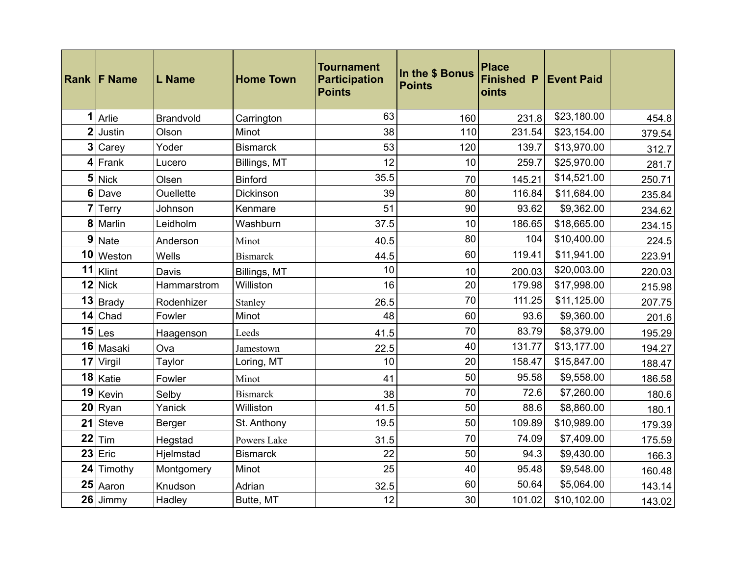|                 | <b>Rank F Name</b> | <b>L</b> Name    | <b>Home Town</b> | <b>Tournament</b><br><b>Participation</b><br><b>Points</b> | In the \$ Bonus<br><b>Points</b> | <b>Place</b><br><b>Finished P</b><br>oints | <b>Event Paid</b> |        |
|-----------------|--------------------|------------------|------------------|------------------------------------------------------------|----------------------------------|--------------------------------------------|-------------------|--------|
| 1               | Arlie              | Brandvold        | Carrington       | 63                                                         | 160                              | 231.8                                      | \$23,180.00       | 454.8  |
| $\overline{2}$  | Justin             | Olson            | Minot            | 38                                                         | 110                              | 231.54                                     | \$23,154.00       | 379.54 |
| 3 <sup>1</sup>  | Carey              | Yoder            | <b>Bismarck</b>  | 53                                                         | 120                              | 139.7                                      | \$13,970.00       | 312.7  |
|                 | $4$ Frank          | Lucero           | Billings, MT     | 12                                                         | 10                               | 259.7                                      | \$25,970.00       | 281.7  |
| 5 <sub>5</sub>  | <b>Nick</b>        | Olsen            | <b>Binford</b>   | 35.5                                                       | 70                               | 145.21                                     | \$14,521.00       | 250.71 |
| 6               | Dave               | <b>Ouellette</b> | Dickinson        | 39                                                         | 80                               | 116.84                                     | \$11,684.00       | 235.84 |
| 7               | Terry              | Johnson          | Kenmare          | 51                                                         | 90                               | 93.62                                      | \$9,362.00        | 234.62 |
|                 | 8 Marlin           | Leidholm         | Washburn         | 37.5                                                       | 10                               | 186.65                                     | \$18,665.00       | 234.15 |
| 9               | <b>Nate</b>        | Anderson         | Minot            | 40.5                                                       | 80                               | 104                                        | \$10,400.00       | 224.5  |
| 10              | Weston             | Wells            | <b>Bismarck</b>  | 44.5                                                       | 60                               | 119.41                                     | \$11,941.00       | 223.91 |
| 11              | Klint              | Davis            | Billings, MT     | 10                                                         | 10                               | 200.03                                     | \$20,003.00       | 220.03 |
| 12              | <b>Nick</b>        | Hammarstrom      | Williston        | 16                                                         | 20                               | 179.98                                     | \$17,998.00       | 215.98 |
| 13              | Brady              | Rodenhizer       | Stanley          | 26.5                                                       | 70                               | 111.25                                     | \$11,125.00       | 207.75 |
| 14              | Chad               | Fowler           | Minot            | 48                                                         | 60                               | 93.6                                       | \$9,360.00        | 201.6  |
| 15              | Les                | Haagenson        | Leeds            | 41.5                                                       | 70                               | 83.79                                      | \$8,379.00        | 195.29 |
| 16              | Masaki             | Ova              | Jamestown        | 22.5                                                       | 40                               | 131.77                                     | \$13,177.00       | 194.27 |
| 17              | Virgil             | Taylor           | Loring, MT       | 10                                                         | 20                               | 158.47                                     | \$15,847.00       | 188.47 |
| 18              | Katie              | Fowler           | Minot            | 41                                                         | 50                               | 95.58                                      | \$9,558.00        | 186.58 |
| 19              | Kevin              | Selby            | <b>Bismarck</b>  | 38                                                         | 70                               | 72.6                                       | \$7,260.00        | 180.6  |
| 20 <sub>2</sub> | Ryan               | Yanick           | Williston        | 41.5                                                       | 50                               | 88.6                                       | \$8,860.00        | 180.1  |
| 21              | Steve              | Berger           | St. Anthony      | 19.5                                                       | 50                               | 109.89                                     | \$10,989.00       | 179.39 |
| 22              | Tim                | Hegstad          | Powers Lake      | 31.5                                                       | 70                               | 74.09                                      | \$7,409.00        | 175.59 |
|                 | $23$ Eric          | Hjelmstad        | <b>Bismarck</b>  | 22                                                         | 50                               | 94.3                                       | \$9,430.00        | 166.3  |
| 24              | Timothy            | Montgomery       | Minot            | 25                                                         | 40                               | 95.48                                      | \$9,548.00        | 160.48 |
| 25              | Aaron              | Knudson          | Adrian           | 32.5                                                       | 60                               | 50.64                                      | \$5,064.00        | 143.14 |
|                 | 26 Jimmy           | Hadley           | Butte, MT        | 12                                                         | 30                               | 101.02                                     | \$10,102.00       | 143.02 |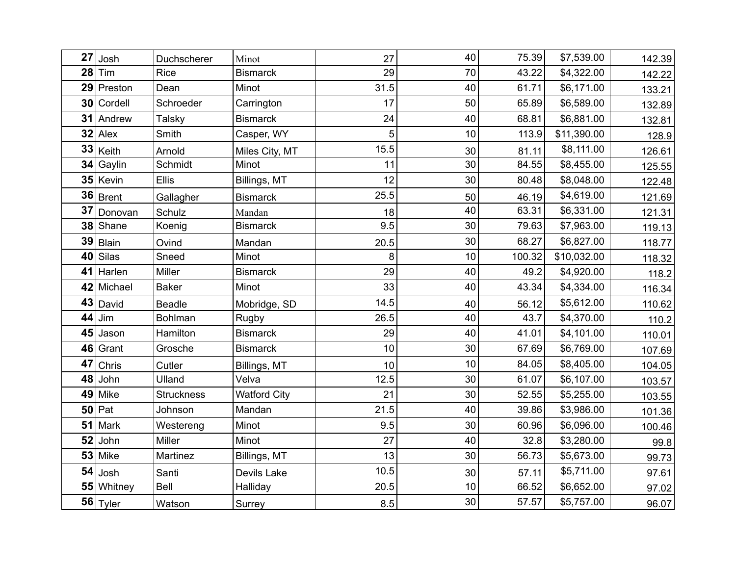| 27 | Josh        | Duchscherer       | Minot               | 27   | 40 | 75.39  | \$7,539.00  | 142.39 |
|----|-------------|-------------------|---------------------|------|----|--------|-------------|--------|
| 28 | Tim         | <b>Rice</b>       | <b>Bismarck</b>     | 29   | 70 | 43.22  | \$4,322.00  | 142.22 |
|    | 29 Preston  | Dean              | Minot               | 31.5 | 40 | 61.71  | \$6,171.00  | 133.21 |
| 30 | Cordell     | Schroeder         | Carrington          | 17   | 50 | 65.89  | \$6,589.00  | 132.89 |
|    | 31 Andrew   | <b>Talsky</b>     | <b>Bismarck</b>     | 24   | 40 | 68.81  | \$6,881.00  | 132.81 |
| 32 | Alex        | Smith             | Casper, WY          | 5    | 10 | 113.9  | \$11,390.00 | 128.9  |
| 33 | Keith       | Arnold            | Miles City, MT      | 15.5 | 30 | 81.11  | \$8,111.00  | 126.61 |
| 34 | Gaylin      | Schmidt           | Minot               | 11   | 30 | 84.55  | \$8,455.00  | 125.55 |
|    | 35 Kevin    | <b>Ellis</b>      | Billings, MT        | 12   | 30 | 80.48  | \$8,048.00  | 122.48 |
|    | $36$ Brent  | Gallagher         | <b>Bismarck</b>     | 25.5 | 50 | 46.19  | \$4,619.00  | 121.69 |
| 37 | Donovan     | Schulz            | Mandan              | 18   | 40 | 63.31  | \$6,331.00  | 121.31 |
| 38 | Shane       | Koenig            | <b>Bismarck</b>     | 9.5  | 30 | 79.63  | \$7,963.00  | 119.13 |
| 39 | Blain       | Ovind             | Mandan              | 20.5 | 30 | 68.27  | \$6,827.00  | 118.77 |
| 40 | Silas       | Sneed             | Minot               | 8    | 10 | 100.32 | \$10,032.00 | 118.32 |
| 41 | Harlen      | Miller            | <b>Bismarck</b>     | 29   | 40 | 49.2   | \$4,920.00  | 118.2  |
|    | 42 Michael  | <b>Baker</b>      | Minot               | 33   | 40 | 43.34  | \$4,334.00  | 116.34 |
| 43 | David       | <b>Beadle</b>     | Mobridge, SD        | 14.5 | 40 | 56.12  | \$5,612.00  | 110.62 |
| 44 | Jim         | Bohlman           | Rugby               | 26.5 | 40 | 43.7   | \$4,370.00  | 110.2  |
| 45 | Jason       | Hamilton          | <b>Bismarck</b>     | 29   | 40 | 41.01  | \$4,101.00  | 110.01 |
| 46 | Grant       | Grosche           | <b>Bismarck</b>     | 10   | 30 | 67.69  | \$6,769.00  | 107.69 |
| 47 | Chris       | Cutler            | Billings, MT        | 10   | 10 | 84.05  | \$8,405.00  | 104.05 |
| 48 | John        | Ulland            | Velva               | 12.5 | 30 | 61.07  | \$6,107.00  | 103.57 |
| 49 | Mike        | <b>Struckness</b> | <b>Watford City</b> | 21   | 30 | 52.55  | \$5,255.00  | 103.55 |
| 50 | Pat         | Johnson           | Mandan              | 21.5 | 40 | 39.86  | \$3,986.00  | 101.36 |
| 51 | Mark        | Westereng         | Minot               | 9.5  | 30 | 60.96  | \$6,096.00  | 100.46 |
| 52 | John        | Miller            | Minot               | 27   | 40 | 32.8   | \$3,280.00  | 99.8   |
|    | 53 Mike     | Martinez          | Billings, MT        | 13   | 30 | 56.73  | \$5,673.00  | 99.73  |
| 54 | Josh        | Santi             | Devils Lake         | 10.5 | 30 | 57.11  | \$5,711.00  | 97.61  |
|    | 55 Whitney  | Bell              | Halliday            | 20.5 | 10 | 66.52  | \$6,652.00  | 97.02  |
|    | $56 $ Tyler | Watson            | Surrey              | 8.5  | 30 | 57.57  | \$5,757.00  | 96.07  |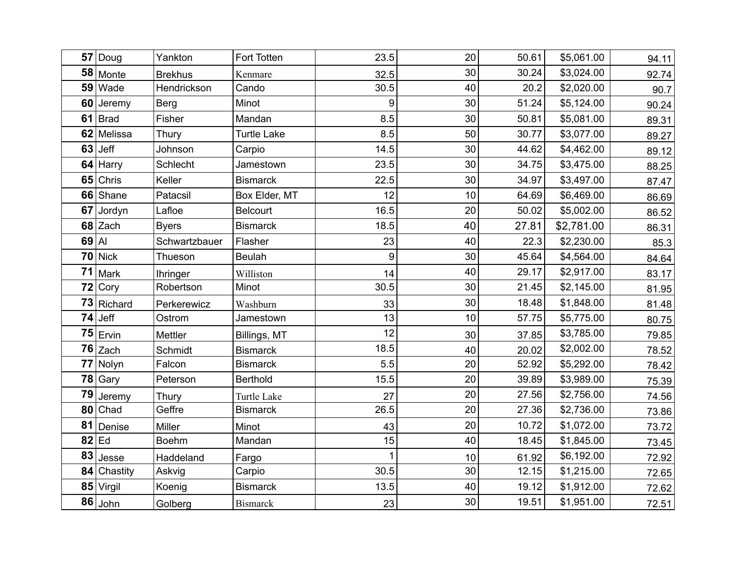| 57    | Doug        | Yankton         | Fort Totten        | 23.5             | 20   | 50.61 | \$5,061.00 | 94.11 |
|-------|-------------|-----------------|--------------------|------------------|------|-------|------------|-------|
|       | 58 Monte    | <b>Brekhus</b>  | Kenmare            | 32.5             | 30   | 30.24 | \$3,024.00 | 92.74 |
| 59    | Wade        | Hendrickson     | Cando              | 30.5             | 40   | 20.2  | \$2,020.00 | 90.7  |
| 60    | Jeremy      | <b>Berg</b>     | Minot              | 9                | 30   | 51.24 | \$5,124.00 | 90.24 |
|       | $61$ Brad   | Fisher          | Mandan             | 8.5              | 30   | 50.81 | \$5,081.00 | 89.31 |
| 62    | Melissa     | Thury           | <b>Turtle Lake</b> | 8.5              | 50   | 30.77 | \$3,077.00 | 89.27 |
| 63    | Jeff        | Johnson         | Carpio             | 14.5             | 30   | 44.62 | \$4,462.00 | 89.12 |
| 64    | Harry       | Schlecht        | Jamestown          | 23.5             | 30   | 34.75 | \$3,475.00 | 88.25 |
| 65    | Chris       | Keller          | <b>Bismarck</b>    | 22.5             | 30   | 34.97 | \$3,497.00 | 87.47 |
| 66    | Shane       | Patacsil        | Box Elder, MT      | 12               | 10   | 64.69 | \$6,469.00 | 86.69 |
| 67    | Jordyn      | Lafloe          | <b>Belcourt</b>    | 16.5             | 20   | 50.02 | \$5,002.00 | 86.52 |
| 68    | Zach        | <b>Byers</b>    | <b>Bismarck</b>    | 18.5             | 40   | 27.81 | \$2,781.00 | 86.31 |
| 69 AI |             | Schwartzbauer   | Flasher            | 23               | 40   | 22.3  | \$2,230.00 | 85.3  |
| 70    | <b>Nick</b> | Thueson         | <b>Beulah</b>      | $\boldsymbol{9}$ | 30   | 45.64 | \$4,564.00 | 84.64 |
| 71    | Mark        | <b>Ihringer</b> | Williston          | 14               | 40   | 29.17 | \$2,917.00 | 83.17 |
| 72    | Cory        | Robertson       | Minot              | 30.5             | 30   | 21.45 | \$2,145.00 | 81.95 |
|       | 73 Richard  | Perkerewicz     | Washburn           | 33               | 30   | 18.48 | \$1,848.00 | 81.48 |
| 74    | Jeff        | Ostrom          | Jamestown          | 13               | 10   | 57.75 | \$5,775.00 | 80.75 |
| 75    | Ervin       | <b>Mettler</b>  | Billings, MT       | 12               | 30   | 37.85 | \$3,785.00 | 79.85 |
| 76    | Zach        | Schmidt         | <b>Bismarck</b>    | 18.5             | 40   | 20.02 | \$2,002.00 | 78.52 |
| 77    | Nolyn       | Falcon          | <b>Bismarck</b>    | 5.5              | 20   | 52.92 | \$5,292.00 | 78.42 |
|       | 78 Gary     | Peterson        | <b>Berthold</b>    | 15.5             | 20   | 39.89 | \$3,989.00 | 75.39 |
| 79    | Jeremy      | Thury           | Turtle Lake        | 27               | 20   | 27.56 | \$2,756.00 | 74.56 |
| 80    | Chad        | Geffre          | <b>Bismarck</b>    | 26.5             | 20   | 27.36 | \$2,736.00 | 73.86 |
| 81    | Denise      | Miller          | Minot              | 43               | 20   | 10.72 | \$1,072.00 | 73.72 |
|       | $82$ Ed     | <b>Boehm</b>    | Mandan             | 15               | 40   | 18.45 | \$1,845.00 | 73.45 |
| 83    | Jesse       | Haddeland       | Fargo              | $\overline{1}$   | $10$ | 61.92 | \$6,192.00 | 72.92 |
| 84    | Chastity    | Askvig          | Carpio             | 30.5             | 30   | 12.15 | \$1,215.00 | 72.65 |
|       | 85 Virgil   | Koenig          | <b>Bismarck</b>    | 13.5             | 40   | 19.12 | \$1,912.00 | 72.62 |
|       | $86$ John   | Golberg         | <b>Bismarck</b>    | 23               | 30   | 19.51 | \$1,951.00 | 72.51 |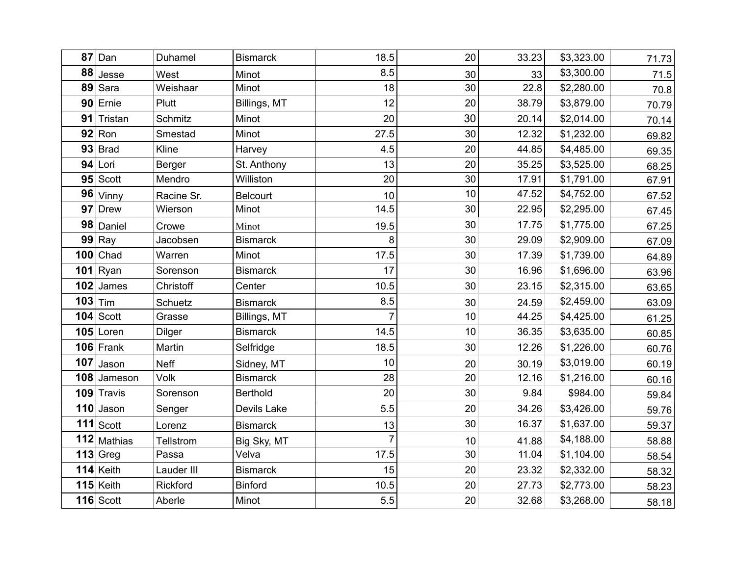| 87  | Dan         | Duhamel       | <b>Bismarck</b> | 18.5           | 20              | 33.23 | \$3,323.00 | 71.73 |
|-----|-------------|---------------|-----------------|----------------|-----------------|-------|------------|-------|
| 88  | Jesse       | West          | Minot           | 8.5            | 30              | 33    | \$3,300.00 | 71.5  |
| 89  | Sara        | Weishaar      | Minot           | 18             | 30              | 22.8  | \$2,280.00 | 70.8  |
|     | 90 Ernie    | Plutt         | Billings, MT    | 12             | 20              | 38.79 | \$3,879.00 | 70.79 |
| 91  | Tristan     | Schmitz       | Minot           | 20             | 30              | 20.14 | \$2,014.00 | 70.14 |
|     | $92$ Ron    | Smestad       | Minot           | 27.5           | 30              | 12.32 | \$1,232.00 | 69.82 |
|     | $93$ Brad   | Kline         | Harvey          | 4.5            | 20              | 44.85 | \$4,485.00 | 69.35 |
| 94  | Lori        | Berger        | St. Anthony     | 13             | 20              | 35.25 | \$3,525.00 | 68.25 |
|     | $95$ Scott  | Mendro        | Williston       | 20             | 30              | 17.91 | \$1,791.00 | 67.91 |
| 96  | Vinny       | Racine Sr.    | <b>Belcourt</b> | 10             | 10 <sub>1</sub> | 47.52 | \$4,752.00 | 67.52 |
| 97  | <b>Drew</b> | Wierson       | Minot           | 14.5           | 30              | 22.95 | \$2,295.00 | 67.45 |
| 98  | Daniel      | Crowe         | Minot           | 19.5           | 30              | 17.75 | \$1,775.00 | 67.25 |
|     | $99$ Ray    | Jacobsen      | <b>Bismarck</b> | 8              | 30              | 29.09 | \$2,909.00 | 67.09 |
|     | $100$ Chad  | Warren        | Minot           | 17.5           | 30              | 17.39 | \$1,739.00 | 64.89 |
|     | 101 $Ryan$  | Sorenson      | <b>Bismarck</b> | 17             | 30              | 16.96 | \$1,696.00 | 63.96 |
| 102 | James       | Christoff     | Center          | 10.5           | 30              | 23.15 | \$2,315.00 | 63.65 |
| 103 | Tim         | Schuetz       | <b>Bismarck</b> | 8.5            | 30              | 24.59 | \$2,459.00 | 63.09 |
|     | $104$ Scott | Grasse        | Billings, MT    | $\overline{7}$ | 10              | 44.25 | \$4,425.00 | 61.25 |
|     | $105$ Loren | <b>Dilger</b> | <b>Bismarck</b> | 14.5           | 10              | 36.35 | \$3,635.00 | 60.85 |
|     | $106$ Frank | Martin        | Selfridge       | 18.5           | 30              | 12.26 | \$1,226.00 | 60.76 |
| 107 | Jason       | <b>Neff</b>   | Sidney, MT      | 10             | 20              | 30.19 | \$3,019.00 | 60.19 |
| 108 | Jameson     | Volk          | <b>Bismarck</b> | 28             | 20              | 12.16 | \$1,216.00 | 60.16 |
|     | 109 Travis  | Sorenson      | <b>Berthold</b> | 20             | 30              | 9.84  | \$984.00   | 59.84 |
|     | 110 Jason   | Senger        | Devils Lake     | 5.5            | 20              | 34.26 | \$3,426.00 | 59.76 |
|     | $111$ Scott | Lorenz        | <b>Bismarck</b> | 13             | 30              | 16.37 | \$1,637.00 | 59.37 |
|     | 112 Mathias | Tellstrom     | Big Sky, MT     | $\overline{7}$ | 10              | 41.88 | \$4,188.00 | 58.88 |
|     | $113$ Greg  | Passa         | Velva           | 17.5           | 30              | 11.04 | \$1,104.00 | 58.54 |
|     | 114 Keith   | Lauder III    | <b>Bismarck</b> | 15             | 20              | 23.32 | \$2,332.00 | 58.32 |
|     | $115$ Keith | Rickford      | <b>Binford</b>  | 10.5           | 20              | 27.73 | \$2,773.00 | 58.23 |
|     | $116$ Scott | Aberle        | Minot           | 5.5            | 20              | 32.68 | \$3,268.00 | 58.18 |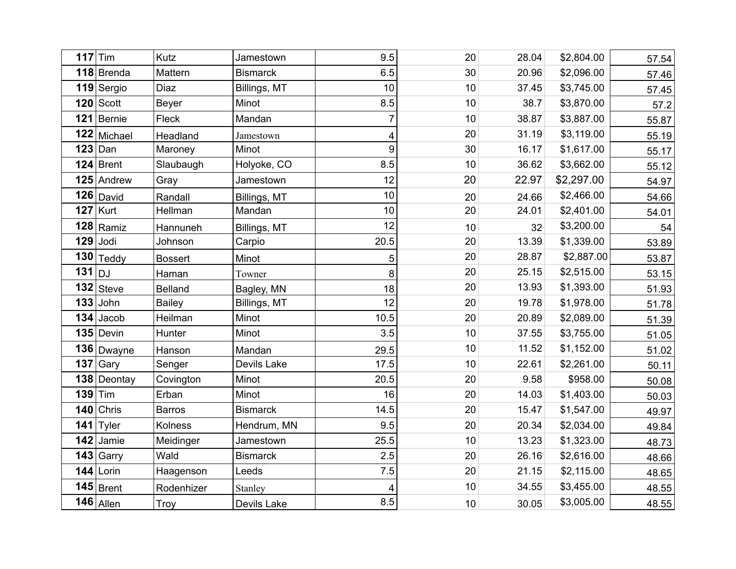| 117      | Tim          | Kutz           | Jamestown       | 9.5            | 20   | 28.04 | \$2,804.00 | 57.54 |
|----------|--------------|----------------|-----------------|----------------|------|-------|------------|-------|
|          | 118 Brenda   | Mattern        | <b>Bismarck</b> | 6.5            | 30   | 20.96 | \$2,096.00 |       |
|          | 119 Sergio   | Diaz           | Billings, MT    | 10             | 10   | 37.45 | \$3,745.00 | 57.46 |
|          | $120$ Scott  | <b>Beyer</b>   | Minot           | 8.5            | 10   | 38.7  | \$3,870.00 | 57.45 |
|          | 121 Bernie   | Fleck          |                 | $\overline{7}$ |      | 38.87 |            | 57.2  |
|          |              |                | Mandan          |                | 10   |       | \$3,887.00 | 55.87 |
|          | 122 Michael  | Headland       | Jamestown       | 4              | 20   | 31.19 | \$3,119.00 | 55.19 |
|          | $123$ Dan    | Maroney        | Minot           | 9              | 30   | 16.17 | \$1,617.00 | 55.17 |
|          | $124$ Brent  | Slaubaugh      | Holyoke, CO     | 8.5            | 10   | 36.62 | \$3,662.00 | 55.12 |
|          | $125$ Andrew | Gray           | Jamestown       | 12             | 20   | 22.97 | \$2,297.00 | 54.97 |
|          | $126$ David  | Randall        | Billings, MT    | 10             | 20   | 24.66 | \$2,466.00 | 54.66 |
|          | $127$ Kurt   | Hellman        | Mandan          | 10             | 20   | 24.01 | \$2,401.00 | 54.01 |
|          | $128$ Ramiz  | Hannuneh       | Billings, MT    | 12             | 10   | 32    | \$3,200.00 | 54    |
|          | $129$ Jodi   | Johnson        | Carpio          | 20.5           | 20   | 13.39 | \$1,339.00 | 53.89 |
|          | $130$ Teddy  | <b>Bossert</b> | Minot           | 5              | 20   | 28.87 | \$2,887.00 | 53.87 |
| $131$ DJ |              | Haman          | Towner          | 8              | 20   | 25.15 | \$2,515.00 | 53.15 |
|          | $132$ Steve  | <b>Belland</b> | Bagley, MN      | 18             | 20   | 13.93 | \$1,393.00 | 51.93 |
|          | $133$ John   | <b>Bailey</b>  | Billings, MT    | 12             | 20   | 19.78 | \$1,978.00 | 51.78 |
|          | 134 Jacob    | Heilman        | Minot           | 10.5           | 20   | 20.89 | \$2,089.00 | 51.39 |
|          | $135$ Devin  | Hunter         | Minot           | 3.5            | 10   | 37.55 | \$3,755.00 | 51.05 |
|          | 136 Dwayne   | Hanson         | Mandan          | 29.5           | 10   | 11.52 | \$1,152.00 | 51.02 |
|          | $137$ Gary   | Senger         | Devils Lake     | 17.5           | 10   | 22.61 | \$2,261.00 | 50.11 |
|          | 138 Deontay  | Covington      | Minot           | 20.5           | 20   | 9.58  | \$958.00   | 50.08 |
|          | $139$ Tim    | Erban          | Minot           | 16             | 20   | 14.03 | \$1,403.00 | 50.03 |
| 140      | Chris        | <b>Barros</b>  | <b>Bismarck</b> | 14.5           | 20   | 15.47 | \$1,547.00 | 49.97 |
| 141      | <b>Tyler</b> | <b>Kolness</b> | Hendrum, MN     | 9.5            | 20   | 20.34 | \$2,034.00 | 49.84 |
| 142      | Jamie        | Meidinger      | Jamestown       | 25.5           | 10   | 13.23 | \$1,323.00 | 48.73 |
|          | 143 Garry    | Wald           | <b>Bismarck</b> | 2.5            | 20   | 26.16 | \$2,616.00 | 48.66 |
|          | $144$ Lorin  | Haagenson      | Leeds           | 7.5            | 20   | 21.15 | \$2,115.00 | 48.65 |
|          | $145$ Brent  | Rodenhizer     | Stanley         | 4              | $10$ | 34.55 | \$3,455.00 | 48.55 |
|          | 146 Allen    | Troy           | Devils Lake     | 8.5            | $10$ | 30.05 | \$3,005.00 | 48.55 |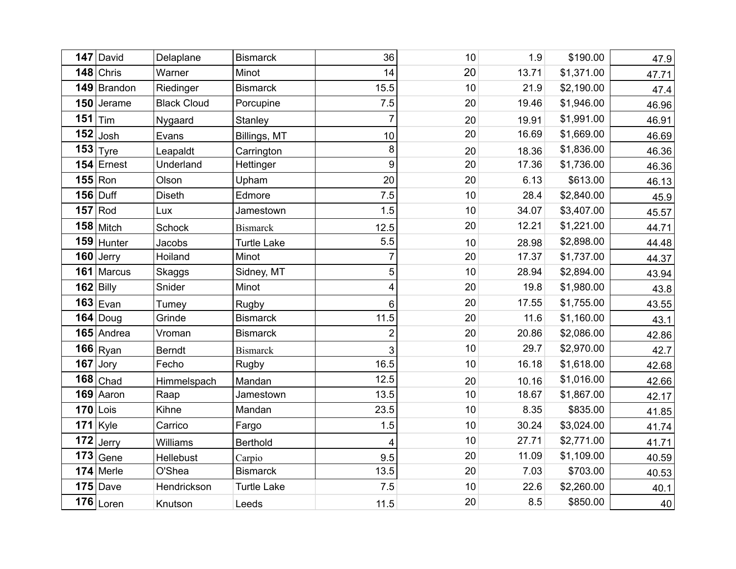| 147 | David           | Delaplane          | <b>Bismarck</b>    | 36             | 10 | 1.9   | \$190.00   | 47.9  |
|-----|-----------------|--------------------|--------------------|----------------|----|-------|------------|-------|
|     | $148$ Chris     | Warner             | Minot              | 14             | 20 | 13.71 | \$1,371.00 | 47.71 |
|     | 149 Brandon     | Riedinger          | <b>Bismarck</b>    | 15.5           | 10 | 21.9  | \$2,190.00 | 47.4  |
|     | 150 Jerame      | <b>Black Cloud</b> | Porcupine          | 7.5            | 20 | 19.46 | \$1,946.00 | 46.96 |
| 151 | Tim             | Nygaard            | Stanley            | $\overline{7}$ | 20 | 19.91 | \$1,991.00 | 46.91 |
| 152 | Josh            | Evans              | Billings, MT       | 10             | 20 | 16.69 | \$1,669.00 | 46.69 |
|     | $153$ Tyre      | Leapaldt           | Carrington         | 8              | 20 | 18.36 | \$1,836.00 | 46.36 |
|     | $154$ Ernest    | Underland          | Hettinger          | 9              | 20 | 17.36 | \$1,736.00 | 46.36 |
|     | $155$ Ron       | Olson              | Upham              | 20             | 20 | 6.13  | \$613.00   | 46.13 |
|     | <b>156 Duff</b> | <b>Diseth</b>      | Edmore             | 7.5            | 10 | 28.4  | \$2,840.00 | 45.9  |
|     | $157$ Rod       | Lux                | Jamestown          | 1.5            | 10 | 34.07 | \$3,407.00 | 45.57 |
|     | $158$ Mitch     | Schock             | <b>Bismarck</b>    | 12.5           | 20 | 12.21 | \$1,221.00 | 44.71 |
|     | 159 Hunter      | Jacobs             | <b>Turtle Lake</b> | 5.5            | 10 | 28.98 | \$2,898.00 | 44.48 |
|     | 160 Jerry       | Hoiland            | Minot              | $\overline{7}$ | 20 | 17.37 | \$1,737.00 | 44.37 |
|     | 161 Marcus      | Skaggs             | Sidney, MT         | 5              | 10 | 28.94 | \$2,894.00 | 43.94 |
|     | $162$ Billy     | Snider             | Minot              | 4              | 20 | 19.8  | \$1,980.00 | 43.8  |
|     | $163$ Evan      | Tumey              | Rugby              | $6\phantom{1}$ | 20 | 17.55 | \$1,755.00 | 43.55 |
|     | $164$ Doug      | Grinde             | <b>Bismarck</b>    | 11.5           | 20 | 11.6  | \$1,160.00 | 43.1  |
|     | $165$ Andrea    | Vroman             | <b>Bismarck</b>    | $\overline{2}$ | 20 | 20.86 | \$2,086.00 | 42.86 |
|     | $166$ Ryan      | <b>Berndt</b>      | <b>Bismarck</b>    | 3              | 10 | 29.7  | \$2,970.00 | 42.7  |
| 167 | Jory            | Fecho              | Rugby              | 16.5           | 10 | 16.18 | \$1,618.00 | 42.68 |
|     | $168$ Chad      | Himmelspach        | Mandan             | 12.5           | 20 | 10.16 | \$1,016.00 | 42.66 |
|     | 169 Aaron       | Raap               | Jamestown          | 13.5           | 10 | 18.67 | \$1,867.00 | 42.17 |
|     | $170$ Lois      | Kihne              | Mandan             | 23.5           | 10 | 8.35  | \$835.00   | 41.85 |
|     | $171$ Kyle      | Carrico            | Fargo              | 1.5            | 10 | 30.24 | \$3,024.00 | 41.74 |
| 172 | Jerry           | Williams           | <b>Berthold</b>    | 4              | 10 | 27.71 | \$2,771.00 | 41.71 |
|     | $173$ Gene      | Hellebust          | Carpio             | 9.5            | 20 | 11.09 | \$1,109.00 | 40.59 |
|     | 174 Merle       | O'Shea             | <b>Bismarck</b>    | 13.5           | 20 | 7.03  | \$703.00   | 40.53 |
|     | $175$ Dave      | Hendrickson        | <b>Turtle Lake</b> | 7.5            | 10 | 22.6  | \$2,260.00 | 40.1  |
|     | $176$ Loren     | Knutson            | Leeds              | 11.5           | 20 | 8.5   | \$850.00   | 40    |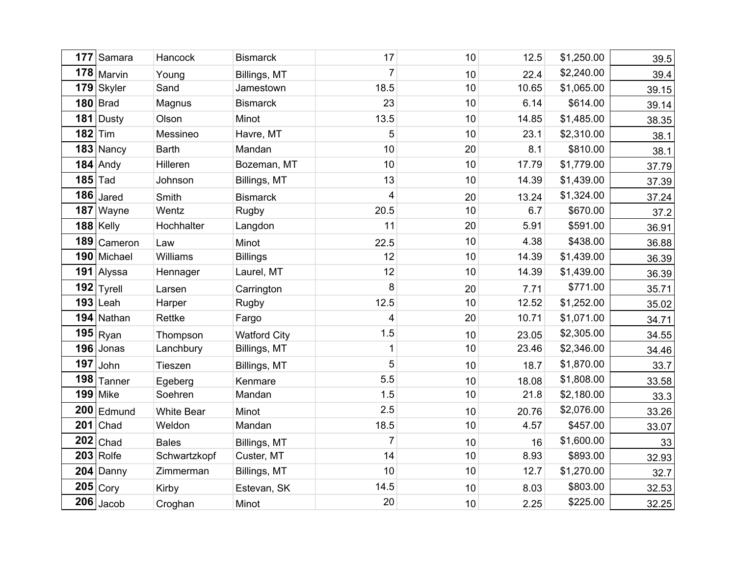|     | 177 Samara      | Hancock           | <b>Bismarck</b>     | 17             | 10 | 12.5  | \$1,250.00 | 39.5  |
|-----|-----------------|-------------------|---------------------|----------------|----|-------|------------|-------|
|     | $178$ Marvin    | Young             | Billings, MT        | $\overline{7}$ | 10 | 22.4  | \$2,240.00 | 39.4  |
|     | 179 Skyler      | Sand              | Jamestown           | 18.5           | 10 | 10.65 | \$1,065.00 | 39.15 |
|     | $180$ Brad      | Magnus            | <b>Bismarck</b>     | 23             | 10 | 6.14  | \$614.00   | 39.14 |
|     | 181 Dusty       | Olson             | Minot               | 13.5           | 10 | 14.85 | \$1,485.00 | 38.35 |
|     | $182$ Tim       | Messineo          | Havre, MT           | 5              | 10 | 23.1  | \$2,310.00 | 38.1  |
|     | 183 Nancy       | <b>Barth</b>      | Mandan              | 10             | 20 | 8.1   | \$810.00   | 38.1  |
|     | $184$ Andy      | Hilleren          | Bozeman, MT         | 10             | 10 | 17.79 | \$1,779.00 | 37.79 |
|     | $185$ Tad       | Johnson           | Billings, MT        | 13             | 10 | 14.39 | \$1,439.00 | 37.39 |
|     | $186$ Jared     | Smith             | <b>Bismarck</b>     | 4              | 20 | 13.24 | \$1,324.00 | 37.24 |
|     | 187 Wayne       | Wentz             | Rugby               | 20.5           | 10 | 6.7   | \$670.00   | 37.2  |
|     | 188 Kelly       | Hochhalter        | Langdon             | 11             | 20 | 5.91  | \$591.00   | 36.91 |
|     | 189 Cameron     | Law               | Minot               | 22.5           | 10 | 4.38  | \$438.00   | 36.88 |
|     | 190 Michael     | Williams          | <b>Billings</b>     | 12             | 10 | 14.39 | \$1,439.00 | 36.39 |
|     | 191 Alyssa      | Hennager          | Laurel, MT          | 12             | 10 | 14.39 | \$1,439.00 | 36.39 |
|     | $192$ Tyrell    | Larsen            | Carrington          | 8              | 20 | 7.71  | \$771.00   | 35.71 |
|     | $193$ Leah      | Harper            | <b>Rugby</b>        | 12.5           | 10 | 12.52 | \$1,252.00 | 35.02 |
|     | 194 Nathan      | Rettke            | Fargo               | 4              | 20 | 10.71 | \$1,071.00 | 34.71 |
|     | $195$ Ryan      | Thompson          | <b>Watford City</b> | 1.5            | 10 | 23.05 | \$2,305.00 | 34.55 |
|     | $196$ Jonas     | Lanchbury         | Billings, MT        | 1              | 10 | 23.46 | \$2,346.00 | 34.46 |
| 197 | John            | Tieszen           | Billings, MT        | 5              | 10 | 18.7  | \$1,870.00 | 33.7  |
| 198 | Tanner          | Egeberg           | Kenmare             | 5.5            | 10 | 18.08 | \$1,808.00 | 33.58 |
|     | <b>199 Mike</b> | Soehren           | Mandan              | 1.5            | 10 | 21.8  | \$2,180.00 | 33.3  |
|     | $200$ Edmund    | <b>White Bear</b> | Minot               | 2.5            | 10 | 20.76 | \$2,076.00 | 33.26 |
|     | $201$ Chad      | Weldon            | Mandan              | 18.5           | 10 | 4.57  | \$457.00   | 33.07 |
| 202 | Chad            | <b>Bales</b>      | Billings, MT        | $\overline{7}$ | 10 | 16    | \$1,600.00 | 33    |
|     | $203$ Rolfe     | Schwartzkopf      | Custer, MT          | 14             | 10 | 8.93  | \$893.00   | 32.93 |
|     | 204 Danny       | Zimmerman         | Billings, MT        | 10             | 10 | 12.7  | \$1,270.00 | 32.7  |
|     | $205$ Cory      | Kirby             | Estevan, SK         | 14.5           | 10 | 8.03  | \$803.00   | 32.53 |
|     | $206$ Jacob     | Croghan           | Minot               | 20             | 10 | 2.25  | \$225.00   | 32.25 |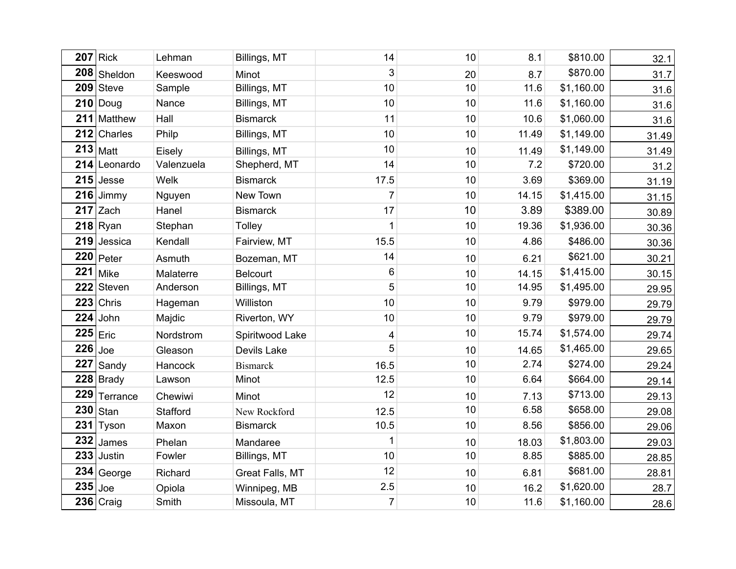|     | $207$ Rick   | Lehman     | Billings, MT    | 14                      | 10 | 8.1   | \$810.00   | 32.1  |
|-----|--------------|------------|-----------------|-------------------------|----|-------|------------|-------|
|     | 208 Sheldon  | Keeswood   | Minot           | 3                       | 20 | 8.7   | \$870.00   | 31.7  |
|     | $209$ Steve  | Sample     | Billings, MT    | 10                      | 10 | 11.6  | \$1,160.00 | 31.6  |
|     | $210$ Doug   | Nance      | Billings, MT    | 10                      | 10 | 11.6  | \$1,160.00 | 31.6  |
| 211 | Matthew      | Hall       | <b>Bismarck</b> | 11                      | 10 | 10.6  | \$1,060.00 | 31.6  |
|     | 212 Charles  | Philp      | Billings, MT    | 10                      | 10 | 11.49 | \$1,149.00 | 31.49 |
|     | $213$ Matt   | Eisely     | Billings, MT    | 10                      | 10 | 11.49 | \$1,149.00 | 31.49 |
|     | 214 Leonardo | Valenzuela | Shepherd, MT    | 14                      | 10 | 7.2   | \$720.00   | 31.2  |
|     | $215$ Jesse  | Welk       | <b>Bismarck</b> | 17.5                    | 10 | 3.69  | \$369.00   | 31.19 |
| 216 | Jimmy        | Nguyen     | New Town        | $\overline{7}$          | 10 | 14.15 | \$1,415.00 | 31.15 |
|     | $217$ Zach   | Hanel      | <b>Bismarck</b> | 17                      | 10 | 3.89  | \$389.00   | 30.89 |
|     | $218$ Ryan   | Stephan    | <b>Tolley</b>   | 1                       | 10 | 19.36 | \$1,936.00 | 30.36 |
| 219 | Jessica      | Kendall    | Fairview, MT    | 15.5                    | 10 | 4.86  | \$486.00   | 30.36 |
| 220 | Peter        | Asmuth     | Bozeman, MT     | 14                      | 10 | 6.21  | \$621.00   | 30.21 |
| 221 | <b>Mike</b>  | Malaterre  | <b>Belcourt</b> | $\,6$                   | 10 | 14.15 | \$1,415.00 | 30.15 |
| 222 | Steven       | Anderson   | Billings, MT    | 5                       | 10 | 14.95 | \$1,495.00 | 29.95 |
| 223 | Chris        | Hageman    | Williston       | 10                      | 10 | 9.79  | \$979.00   | 29.79 |
| 224 | John         | Majdic     | Riverton, WY    | 10                      | 10 | 9.79  | \$979.00   | 29.79 |
|     | $225$ Eric   | Nordstrom  | Spiritwood Lake | $\overline{\mathbf{4}}$ | 10 | 15.74 | \$1,574.00 | 29.74 |
| 226 | Joe          | Gleason    | Devils Lake     | 5                       | 10 | 14.65 | \$1,465.00 | 29.65 |
| 227 | Sandy        | Hancock    | <b>Bismarck</b> | 16.5                    | 10 | 2.74  | \$274.00   | 29.24 |
|     | 228 Brady    | Lawson     | Minot           | 12.5                    | 10 | 6.64  | \$664.00   | 29.14 |
| 229 | Terrance     | Chewiwi    | Minot           | 12                      | 10 | 7.13  | \$713.00   | 29.13 |
| 230 | Stan         | Stafford   | New Rockford    | 12.5                    | 10 | 6.58  | \$658.00   | 29.08 |
| 231 | Tyson        | Maxon      | <b>Bismarck</b> | 10.5                    | 10 | 8.56  | \$856.00   | 29.06 |
| 232 | James        | Phelan     | Mandaree        | 1                       | 10 | 18.03 | \$1,803.00 | 29.03 |
| 233 | Justin       | Fowler     | Billings, MT    | 10                      | 10 | 8.85  | \$885.00   | 28.85 |
| 234 | George       | Richard    | Great Falls, MT | 12                      | 10 | 6.81  | \$681.00   | 28.81 |
| 235 | Joe          | Opiola     | Winnipeg, MB    | 2.5                     | 10 | 16.2  | \$1,620.00 | 28.7  |
|     | $236$ Craig  | Smith      | Missoula, MT    | $\overline{7}$          | 10 | 11.6  | \$1,160.00 | 28.6  |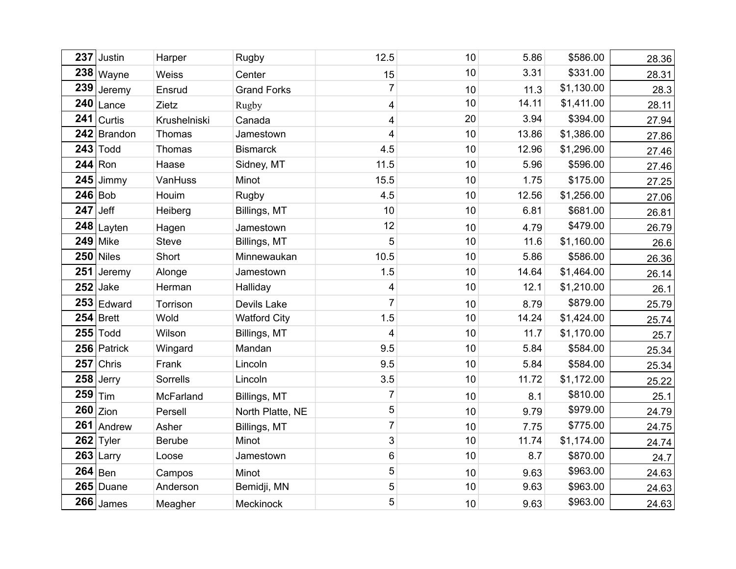| 237 | Justin       | Harper        | <b>Rugby</b>        | 12.5            | 10 | 5.86  | \$586.00   | 28.36 |
|-----|--------------|---------------|---------------------|-----------------|----|-------|------------|-------|
|     | 238 Wayne    | Weiss         | Center              | 15              | 10 | 3.31  | \$331.00   | 28.31 |
| 239 | Jeremy       | Ensrud        | <b>Grand Forks</b>  | $\overline{7}$  | 10 | 11.3  | \$1,130.00 | 28.3  |
| 240 | Lance        | Zietz         | Rugby               | 4               | 10 | 14.11 | \$1,411.00 | 28.11 |
| 241 | Curtis       | Krushelniski  | Canada              | 4               | 20 | 3.94  | \$394.00   | 27.94 |
|     | 242 Brandon  | Thomas        | Jamestown           | 4               | 10 | 13.86 | \$1,386.00 | 27.86 |
|     | $243$ Todd   | Thomas        | <b>Bismarck</b>     | 4.5             | 10 | 12.96 | \$1,296.00 | 27.46 |
|     | $244$ Ron    | Haase         | Sidney, MT          | 11.5            | 10 | 5.96  | \$596.00   | 27.46 |
| 245 | Jimmy        | VanHuss       | Minot               | 15.5            | 10 | 1.75  | \$175.00   | 27.25 |
|     | $246$ Bob    | Houim         | Rugby               | 4.5             | 10 | 12.56 | \$1,256.00 | 27.06 |
| 247 | Jeff         | Heiberg       | Billings, MT        | 10              | 10 | 6.81  | \$681.00   | 26.81 |
| 248 | Layten       | Hagen         | Jamestown           | 12              | 10 | 4.79  | \$479.00   | 26.79 |
| 249 | Mike         | <b>Steve</b>  | Billings, MT        | 5               | 10 | 11.6  | \$1,160.00 | 26.6  |
| 250 | <b>Niles</b> | Short         | Minnewaukan         | 10.5            | 10 | 5.86  | \$586.00   | 26.36 |
| 251 | Jeremy       | Alonge        | Jamestown           | 1.5             | 10 | 14.64 | \$1,464.00 | 26.14 |
| 252 | Jake         | Herman        | Halliday            | 4               | 10 | 12.1  | \$1,210.00 | 26.1  |
|     | $253$ Edward | Torrison      | Devils Lake         | $\overline{7}$  | 10 | 8.79  | \$879.00   | 25.79 |
|     | $254$ Brett  | Wold          | <b>Watford City</b> | 1.5             | 10 | 14.24 | \$1,424.00 | 25.74 |
|     | $255$ Todd   | Wilson        | Billings, MT        | 4               | 10 | 11.7  | \$1,170.00 | 25.7  |
|     | 256 Patrick  | Wingard       | Mandan              | 9.5             | 10 | 5.84  | \$584.00   | 25.34 |
| 257 | Chris        | Frank         | Lincoln             | 9.5             | 10 | 5.84  | \$584.00   | 25.34 |
| 258 | Jerry        | Sorrells      | Lincoln             | 3.5             | 10 | 11.72 | \$1,172.00 | 25.22 |
| 259 | Tim          | McFarland     | Billings, MT        | $\overline{7}$  | 10 | 8.1   | \$810.00   | 25.1  |
| 260 | Zion         | Persell       | North Platte, NE    | $\overline{5}$  | 10 | 9.79  | \$979.00   | 24.79 |
| 261 | Andrew       | Asher         | Billings, MT        | $\overline{7}$  | 10 | 7.75  | \$775.00   | 24.75 |
| 262 | Tyler        | <b>Berube</b> | Minot               | 3               | 10 | 11.74 | \$1,174.00 | 24.74 |
|     | $263$ Larry  | Loose         | Jamestown           | $\,6\,$         | 10 | 8.7   | \$870.00   | 24.7  |
|     | $264$ Ben    | Campos        | Minot               | $5\phantom{.0}$ | 10 | 9.63  | \$963.00   | 24.63 |
|     | 265 Duane    | Anderson      | Bemidji, MN         | 5               | 10 | 9.63  | \$963.00   | 24.63 |
|     | $266$ James  | Meagher       | Meckinock           | 5               | 10 | 9.63  | \$963.00   | 24.63 |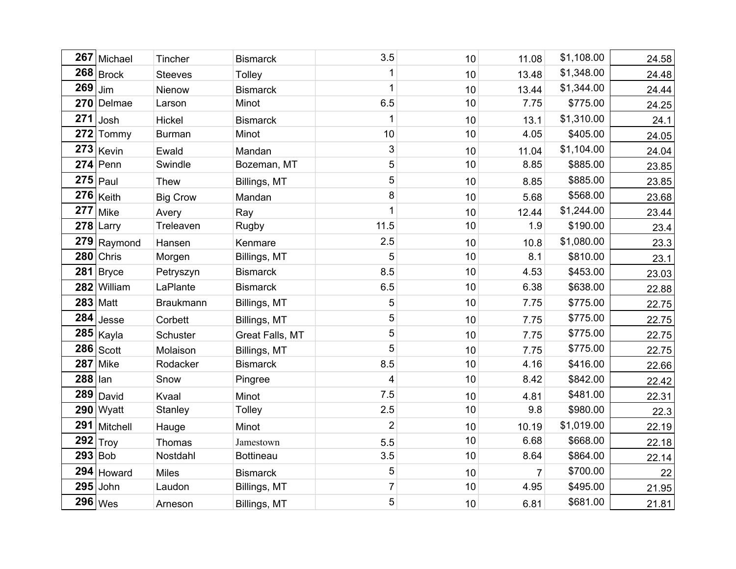| 267 | Michael        | Tincher          | <b>Bismarck</b>  | 3.5            | 10 | 11.08          | \$1,108.00 | 24.58 |
|-----|----------------|------------------|------------------|----------------|----|----------------|------------|-------|
|     | $268$ Brock    | <b>Steeves</b>   | <b>Tolley</b>    | 1              | 10 | 13.48          | \$1,348.00 | 24.48 |
| 269 | Jim            | Nienow           | <b>Bismarck</b>  | 1              | 10 | 13.44          | \$1,344.00 | 24.44 |
| 270 | Delmae         | Larson           | Minot            | 6.5            | 10 | 7.75           | \$775.00   | 24.25 |
| 271 | Josh           | Hickel           | <b>Bismarck</b>  | 1              | 10 | 13.1           | \$1,310.00 | 24.1  |
|     | 272 Tommy      | <b>Burman</b>    | Minot            | 10             | 10 | 4.05           | \$405.00   | 24.05 |
|     | $273$ Kevin    | Ewald            | Mandan           | 3              | 10 | 11.04          | \$1,104.00 | 24.04 |
|     | $274$ Penn     | Swindle          | Bozeman, MT      | 5              | 10 | 8.85           | \$885.00   | 23.85 |
|     | $275$ Paul     | Thew             | Billings, MT     | 5              | 10 | 8.85           | \$885.00   | 23.85 |
| 276 | Keith          | <b>Big Crow</b>  | Mandan           | 8              | 10 | 5.68           | \$568.00   | 23.68 |
| 277 | Mike           | Avery            | Ray              | 1              | 10 | 12.44          | \$1,244.00 | 23.44 |
| 278 | Larry          | Treleaven        | Rugby            | 11.5           | 10 | 1.9            | \$190.00   | 23.4  |
| 279 | Raymond        | Hansen           | Kenmare          | 2.5            | 10 | 10.8           | \$1,080.00 | 23.3  |
| 280 | Chris          | Morgen           | Billings, MT     | 5              | 10 | 8.1            | \$810.00   | 23.1  |
|     | $281$ Bryce    | Petryszyn        | <b>Bismarck</b>  | 8.5            | 10 | 4.53           | \$453.00   | 23.03 |
|     | 282 William    | LaPlante         | <b>Bismarck</b>  | 6.5            | 10 | 6.38           | \$638.00   | 22.88 |
|     | $283$ Matt     | <b>Braukmann</b> | Billings, MT     | 5              | 10 | 7.75           | \$775.00   | 22.75 |
| 284 | Jesse          | Corbett          | Billings, MT     | 5              | 10 | 7.75           | \$775.00   | 22.75 |
| 285 | Kayla          | Schuster         | Great Falls, MT  | 5              | 10 | 7.75           | \$775.00   | 22.75 |
| 286 | Scott          | Molaison         | Billings, MT     | 5              | 10 | 7.75           | \$775.00   | 22.75 |
| 287 | Mike           | Rodacker         | <b>Bismarck</b>  | 8.5            | 10 | 4.16           | \$416.00   | 22.66 |
| 288 | lan            | Snow             | Pingree          | 4              | 10 | 8.42           | \$842.00   | 22.42 |
| 289 | David          | Kvaal            | Minot            | 7.5            | 10 | 4.81           | \$481.00   | 22.31 |
| 290 | Wyatt          | Stanley          | <b>Tolley</b>    | 2.5            | 10 | 9.8            | \$980.00   | 22.3  |
| 291 | Mitchell       | Hauge            | Minot            | $\overline{2}$ | 10 | 10.19          | \$1,019.00 | 22.19 |
| 292 | Troy           | Thomas           | Jamestown        | 5.5            | 10 | 6.68           | \$668.00   | 22.18 |
|     | <b>293 Bob</b> | Nostdahl         | <b>Bottineau</b> | 3.5            | 10 | 8.64           | \$864.00   | 22.14 |
| 294 | Howard         | Miles            | <b>Bismarck</b>  | $\overline{5}$ | 10 | $\overline{7}$ | \$700.00   | 22    |
|     | $295$ John     | Laudon           | Billings, MT     | $\overline{7}$ | 10 | 4.95           | \$495.00   | 21.95 |
|     | 296   Wes      | Arneson          | Billings, MT     | $\overline{5}$ | 10 | 6.81           | \$681.00   | 21.81 |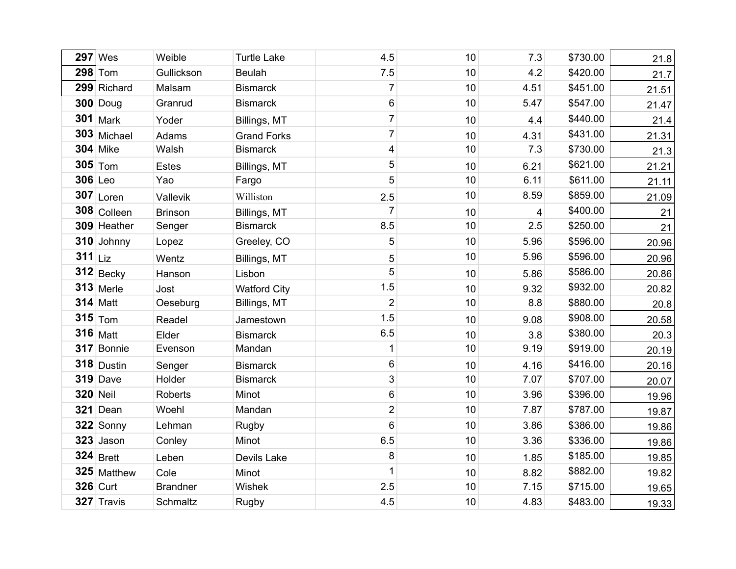| 297       | Wes             | Weible          | <b>Turtle Lake</b>  | 4.5                       | 10 | 7.3            | \$730.00 | 21.8  |
|-----------|-----------------|-----------------|---------------------|---------------------------|----|----------------|----------|-------|
|           | $298$ Tom       | Gullickson      | <b>Beulah</b>       | 7.5                       | 10 | 4.2            | \$420.00 | 21.7  |
|           | 299 Richard     | Malsam          | <b>Bismarck</b>     | $\overline{7}$            | 10 | 4.51           | \$451.00 | 21.51 |
|           | $300$ Doug      | Granrud         | <b>Bismarck</b>     | 6                         | 10 | 5.47           | \$547.00 | 21.47 |
|           | $301$ Mark      | Yoder           | Billings, MT        | $\overline{7}$            | 10 | 4.4            | \$440.00 | 21.4  |
|           | 303 Michael     | Adams           | <b>Grand Forks</b>  | $\overline{7}$            | 10 | 4.31           | \$431.00 | 21.31 |
|           | <b>304 Mike</b> | Walsh           | <b>Bismarck</b>     | $\overline{\mathbf{4}}$   | 10 | 7.3            | \$730.00 | 21.3  |
|           | $305$ Tom       | <b>Estes</b>    | Billings, MT        | $\sqrt{5}$                | 10 | 6.21           | \$621.00 | 21.21 |
| 306 Leo   |                 | Yao             | Fargo               | 5                         | 10 | 6.11           | \$611.00 | 21.11 |
|           | $307$ Loren     | Vallevik        | Williston           | 2.5                       | 10 | 8.59           | \$859.00 | 21.09 |
|           | 308 Colleen     | <b>Brinson</b>  | Billings, MT        | $\overline{7}$            | 10 | $\overline{4}$ | \$400.00 | 21    |
|           | 309 Heather     | Senger          | <b>Bismarck</b>     | 8.5                       | 10 | 2.5            | \$250.00 | 21    |
|           | 310 Johnny      | Lopez           | Greeley, CO         | 5                         | 10 | 5.96           | \$596.00 | 20.96 |
| $311$ Liz |                 | Wentz           | Billings, MT        | $\sqrt{5}$                | 10 | 5.96           | \$596.00 | 20.96 |
|           | $312$ Becky     | Hanson          | Lisbon              | 5                         | 10 | 5.86           | \$586.00 | 20.86 |
|           | $313$ Merle     | Jost            | <b>Watford City</b> | 1.5                       | 10 | 9.32           | \$932.00 | 20.82 |
|           | <b>314 Matt</b> | Oeseburg        | Billings, MT        | $\mathbf 2$               | 10 | 8.8            | \$880.00 | 20.8  |
|           | $315$ Tom       | Readel          | Jamestown           | 1.5                       | 10 | 9.08           | \$908.00 | 20.58 |
|           | <b>316 Matt</b> | Elder           | <b>Bismarck</b>     | 6.5                       | 10 | 3.8            | \$380.00 | 20.3  |
|           | 317 Bonnie      | Evenson         | Mandan              | $\mathbf 1$               | 10 | 9.19           | \$919.00 | 20.19 |
|           | $318$ Dustin    | Senger          | <b>Bismarck</b>     | 6                         | 10 | 4.16           | \$416.00 | 20.16 |
|           | $319$ Dave      | Holder          | <b>Bismarck</b>     | $\ensuremath{\mathsf{3}}$ | 10 | 7.07           | \$707.00 | 20.07 |
|           | <b>320 Neil</b> | Roberts         | Minot               | $\,6$                     | 10 | 3.96           | \$396.00 | 19.96 |
|           | 321 Dean        | Woehl           | Mandan              | $\overline{2}$            | 10 | 7.87           | \$787.00 | 19.87 |
|           | 322 Sonny       | Lehman          | Rugby               | $\,6$                     | 10 | 3.86           | \$386.00 | 19.86 |
|           | $323$ Jason     | Conley          | Minot               | 6.5                       | 10 | 3.36           | \$336.00 | 19.86 |
|           | $324$ Brett     | Leben           | Devils Lake         | 8                         | 10 | 1.85           | \$185.00 | 19.85 |
|           | 325 Matthew     | Cole            | Minot               | $\mathbf 1$               | 10 | 8.82           | \$882.00 | 19.82 |
|           | <b>326 Curt</b> | <b>Brandner</b> | Wishek              | 2.5                       | 10 | 7.15           | \$715.00 | 19.65 |
|           | 327 Travis      | Schmaltz        | Rugby               | 4.5                       | 10 | 4.83           | \$483.00 | 19.33 |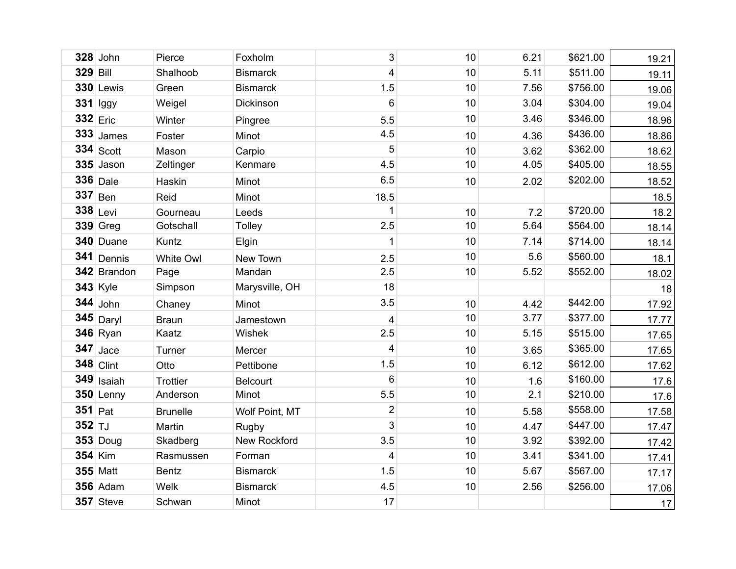|                 | $328$ John       | Pierce           | Foxholm         | 3                       | 10 | 6.21 | \$621.00 | 19.21 |
|-----------------|------------------|------------------|-----------------|-------------------------|----|------|----------|-------|
| <b>329 Bill</b> |                  | Shalhoob         | <b>Bismarck</b> | 4                       | 10 | 5.11 | \$511.00 | 19.11 |
|                 | <b>330 Lewis</b> | Green            | <b>Bismarck</b> | 1.5                     | 10 | 7.56 | \$756.00 | 19.06 |
|                 | $331$ lggy       | Weigel           | Dickinson       | 6                       | 10 | 3.04 | \$304.00 | 19.04 |
| $332$ Eric      |                  | Winter           | Pingree         | 5.5                     | 10 | 3.46 | \$346.00 | 18.96 |
|                 | $333$ James      | Foster           | Minot           | 4.5                     | 10 | 4.36 | \$436.00 | 18.86 |
|                 | $334$ Scott      | Mason            | Carpio          | 5                       | 10 | 3.62 | \$362.00 | 18.62 |
|                 | $335$ Jason      | Zeltinger        | Kenmare         | 4.5                     | 10 | 4.05 | \$405.00 | 18.55 |
|                 | $336$ Dale       | Haskin           | Minot           | 6.5                     | 10 | 2.02 | \$202.00 | 18.52 |
|                 | $337$ Ben        | Reid             | Minot           | 18.5                    |    |      |          | 18.5  |
|                 | $338$ Levi       | Gourneau         | Leeds           | 1                       | 10 | 7.2  | \$720.00 | 18.2  |
|                 | $339$ Greg       | Gotschall        | <b>Tolley</b>   | 2.5                     | 10 | 5.64 | \$564.00 | 18.14 |
|                 | 340 Duane        | Kuntz            | Elgin           | 1                       | 10 | 7.14 | \$714.00 | 18.14 |
|                 | 341 Dennis       | <b>White Owl</b> | New Town        | 2.5                     | 10 | 5.6  | \$560.00 | 18.1  |
|                 | 342 Brandon      | Page             | Mandan          | 2.5                     | 10 | 5.52 | \$552.00 | 18.02 |
|                 | <b>343 Kyle</b>  | Simpson          | Marysville, OH  | 18                      |    |      |          | 18    |
|                 | $344$ John       | Chaney           | Minot           | 3.5                     | 10 | 4.42 | \$442.00 | 17.92 |
|                 | $345$ Daryl      | <b>Braun</b>     | Jamestown       | $\overline{\mathbf{4}}$ | 10 | 3.77 | \$377.00 | 17.77 |
|                 | $346$ Ryan       | Kaatz            | Wishek          | 2.5                     | 10 | 5.15 | \$515.00 | 17.65 |
|                 | $347$ Jace       | Turner           | Mercer          | 4                       | 10 | 3.65 | \$365.00 | 17.65 |
|                 | $348$ Clint      | Otto             | Pettibone       | 1.5                     | 10 | 6.12 | \$612.00 | 17.62 |
|                 | 349 Isaiah       | <b>Trottier</b>  | <b>Belcourt</b> | 6                       | 10 | 1.6  | \$160.00 | 17.6  |
|                 | $350$ Lenny      | Anderson         | Minot           | 5.5                     | 10 | 2.1  | \$210.00 | 17.6  |
| $351$ Pat       |                  | <b>Brunelle</b>  | Wolf Point, MT  | $\overline{2}$          | 10 | 5.58 | \$558.00 | 17.58 |
| $352$ TJ        |                  | Martin           | Rugby           | 3                       | 10 | 4.47 | \$447.00 | 17.47 |
|                 | $353$ Doug       | Skadberg         | New Rockford    | 3.5                     | 10 | 3.92 | \$392.00 | 17.42 |
| <b>354 Kim</b>  |                  | Rasmussen        | Forman          | 4                       | 10 | 3.41 | \$341.00 | 17.41 |
|                 | <b>355 Matt</b>  | <b>Bentz</b>     | <b>Bismarck</b> | 1.5                     | 10 | 5.67 | \$567.00 | 17.17 |
|                 | $356$ Adam       | Welk             | <b>Bismarck</b> | 4.5                     | 10 | 2.56 | \$256.00 | 17.06 |
|                 | $357$ Steve      | Schwan           | Minot           | 17                      |    |      |          | 17    |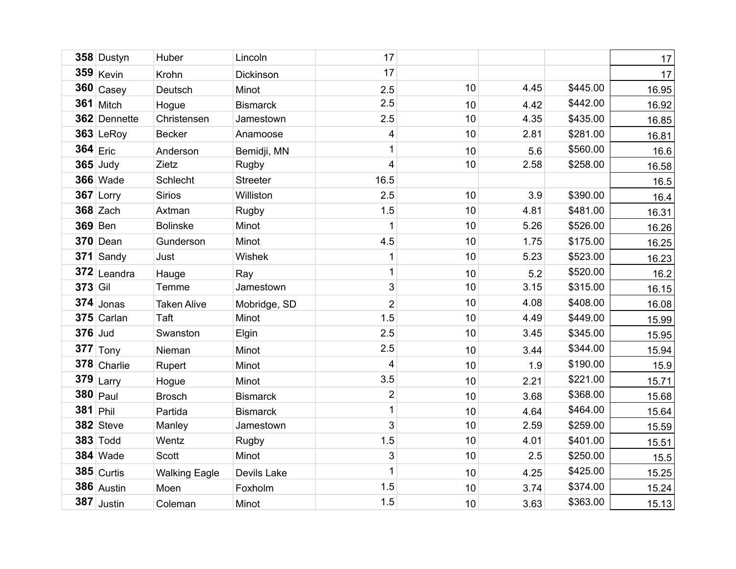|                | 358 Dustyn      | Huber                | Lincoln         | 17                      |    |      |          | 17    |
|----------------|-----------------|----------------------|-----------------|-------------------------|----|------|----------|-------|
|                | $359$ Kevin     | Krohn                | Dickinson       | 17                      |    |      |          | 17    |
|                | $360$ Casey     | Deutsch              | Minot           | 2.5                     | 10 | 4.45 | \$445.00 | 16.95 |
|                | $361$ Mitch     | Hogue                | <b>Bismarck</b> | 2.5                     | 10 | 4.42 | \$442.00 | 16.92 |
|                | 362 Dennette    | Christensen          | Jamestown       | 2.5                     | 10 | 4.35 | \$435.00 | 16.85 |
|                | $363$ LeRoy     | <b>Becker</b>        | Anamoose        | $\overline{\mathbf{4}}$ | 10 | 2.81 | \$281.00 | 16.81 |
| $364$ Eric     |                 | Anderson             | Bemidji, MN     | 1                       | 10 | 5.6  | \$560.00 | 16.6  |
|                | $365$ Judy      | Zietz                | Rugby           | $\overline{\mathbf{4}}$ | 10 | 2.58 | \$258.00 | 16.58 |
|                | <b>366 Wade</b> | Schlecht             | <b>Streeter</b> | 16.5                    |    |      |          | 16.5  |
|                | 367 Lorry       | <b>Sirios</b>        | Williston       | 2.5                     | 10 | 3.9  | \$390.00 | 16.4  |
|                | <b>368 Zach</b> | Axtman               | <b>Rugby</b>    | 1.5                     | 10 | 4.81 | \$481.00 | 16.31 |
|                | <b>369 Ben</b>  | <b>Bolinske</b>      | Minot           | 1                       | 10 | 5.26 | \$526.00 | 16.26 |
|                | <b>370 Dean</b> | Gunderson            | Minot           | 4.5                     | 10 | 1.75 | \$175.00 | 16.25 |
|                | 371 Sandy       | Just                 | Wishek          | $\mathbf 1$             | 10 | 5.23 | \$523.00 | 16.23 |
|                | $372$ Leandra   | Hauge                | Ray             | $\mathbf 1$             | 10 | 5.2  | \$520.00 | 16.2  |
| 373 Gil        |                 | Temme                | Jamestown       | 3                       | 10 | 3.15 | \$315.00 | 16.15 |
|                | $374$ Jonas     | <b>Taken Alive</b>   | Mobridge, SD    | $\overline{2}$          | 10 | 4.08 | \$408.00 | 16.08 |
|                | $375$ Carlan    | Taft                 | Minot           | 1.5                     | 10 | 4.49 | \$449.00 | 15.99 |
| <b>376</b> Jud |                 | Swanston             | Elgin           | 2.5                     | 10 | 3.45 | \$345.00 | 15.95 |
|                | $377$ Tony      | Nieman               | Minot           | 2.5                     | 10 | 3.44 | \$344.00 | 15.94 |
|                | 378 Charlie     | Rupert               | Minot           | 4                       | 10 | 1.9  | \$190.00 | 15.9  |
|                | $379$ Larry     | Hogue                | Minot           | 3.5                     | 10 | 2.21 | \$221.00 | 15.71 |
|                | $380$ Paul      | <b>Brosch</b>        | <b>Bismarck</b> | $\overline{2}$          | 10 | 3.68 | \$368.00 | 15.68 |
| $381$ Phil     |                 | Partida              | <b>Bismarck</b> | $\mathbf 1$             | 10 | 4.64 | \$464.00 | 15.64 |
|                | $382$ Steve     | Manley               | Jamestown       | 3                       | 10 | 2.59 | \$259.00 | 15.59 |
|                | <b>383 Todd</b> | Wentz                | <b>Rugby</b>    | 1.5                     | 10 | 4.01 | \$401.00 | 15.51 |
|                | <b>384 Wade</b> | Scott                | Minot           | 3                       | 10 | 2.5  | \$250.00 | 15.5  |
|                | $385$ Curtis    | <b>Walking Eagle</b> | Devils Lake     | 1                       | 10 | 4.25 | \$425.00 | 15.25 |
|                | $386$ Austin    | Moen                 | Foxholm         | 1.5                     | 10 | 3.74 | \$374.00 | 15.24 |
|                | $387$ Justin    | Coleman              | Minot           | 1.5                     | 10 | 3.63 | \$363.00 | 15.13 |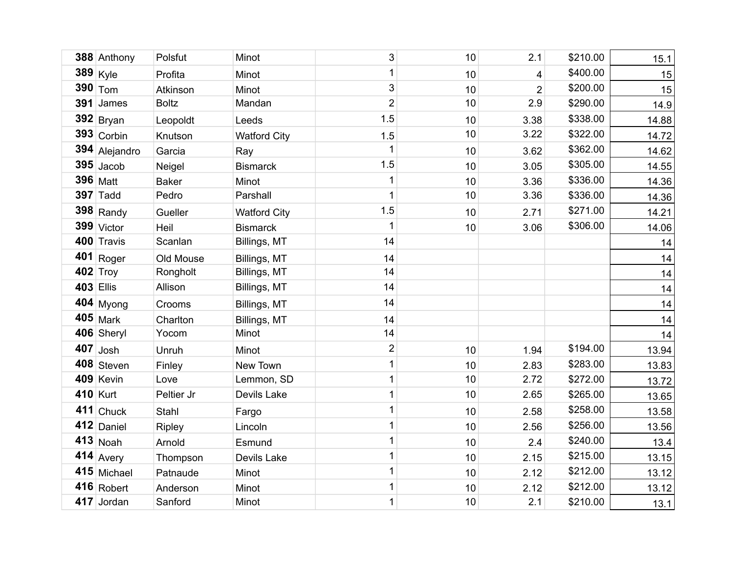|                  | 388 Anthony         | Polsfut       | Minot               | 3              | 10 | 2.1            | \$210.00 | 15.1  |
|------------------|---------------------|---------------|---------------------|----------------|----|----------------|----------|-------|
|                  | $389$ Kyle          | Profita       | Minot               | $\mathbf 1$    | 10 | $\overline{4}$ | \$400.00 | 15    |
|                  | $390$ $\text{T}$ om | Atkinson      | Minot               | 3              | 10 | $\overline{2}$ | \$200.00 | 15    |
| 391              | James               | <b>Boltz</b>  | Mandan              | $\overline{2}$ | 10 | 2.9            | \$290.00 | 14.9  |
|                  | $392$ Bryan         | Leopoldt      | Leeds               | 1.5            | 10 | 3.38           | \$338.00 | 14.88 |
|                  | $393$ Corbin        | Knutson       | <b>Watford City</b> | 1.5            | 10 | 3.22           | \$322.00 | 14.72 |
|                  | 394 Alejandro       | Garcia        | Ray                 | 1              | 10 | 3.62           | \$362.00 | 14.62 |
|                  | $395$ Jacob         | Neigel        | <b>Bismarck</b>     | 1.5            | 10 | 3.05           | \$305.00 | 14.55 |
|                  | 396   Matt          | <b>Baker</b>  | Minot               | 1              | 10 | 3.36           | \$336.00 | 14.36 |
|                  | $397$ Tadd          | Pedro         | Parshall            | $\mathbf{1}$   | 10 | 3.36           | \$336.00 | 14.36 |
|                  | $398$ Randy         | Gueller       | <b>Watford City</b> | 1.5            | 10 | 2.71           | \$271.00 | 14.21 |
|                  | 399 Victor          | Heil          | <b>Bismarck</b>     | 1              | 10 | 3.06           | \$306.00 | 14.06 |
|                  | 400 Travis          | Scanlan       | Billings, MT        | 14             |    |                |          | 14    |
|                  | $401$ Roger         | Old Mouse     | Billings, MT        | 14             |    |                |          | 14    |
|                  | $402$ Troy          | Rongholt      | Billings, MT        | 14             |    |                |          | 14    |
| <b>403 Ellis</b> |                     | Allison       | Billings, MT        | 14             |    |                |          | 14    |
|                  | $404$ Myong         | Crooms        | Billings, MT        | 14             |    |                |          | 14    |
|                  | $405$ Mark          | Charlton      | Billings, MT        | 14             |    |                |          | 14    |
|                  | 406 Sheryl          | Yocom         | Minot               | 14             |    |                |          | 14    |
|                  | $407$ Josh          | Unruh         | Minot               | $\overline{2}$ | 10 | 1.94           | \$194.00 | 13.94 |
|                  | 408 Steven          | Finley        | New Town            | $\mathbf 1$    | 10 | 2.83           | \$283.00 | 13.83 |
|                  | 409 Kevin           | Love          | Lemmon, SD          | 1              | 10 | 2.72           | \$272.00 | 13.72 |
|                  | 410 Kurt            | Peltier Jr    | Devils Lake         | 1              | 10 | 2.65           | \$265.00 | 13.65 |
|                  | $411$ Chuck         | Stahl         | Fargo               | 1              | 10 | 2.58           | \$258.00 | 13.58 |
|                  | $412$ Daniel        | <b>Ripley</b> | Lincoln             | 1              | 10 | 2.56           | \$256.00 | 13.56 |
|                  | $413$ Noah          | Arnold        | Esmund              | $\mathbf 1$    | 10 | 2.4            | \$240.00 | 13.4  |
|                  | $414$ Avery         | Thompson      | Devils Lake         | 1              | 10 | 2.15           | \$215.00 | 13.15 |
|                  | 415 Michael         | Patnaude      | Minot               | $\mathbf 1$    | 10 | 2.12           | \$212.00 | 13.12 |
|                  | $416$ Robert        | Anderson      | Minot               | $\mathbf 1$    | 10 | 2.12           | \$212.00 | 13.12 |
|                  | 417 Jordan          | Sanford       | Minot               | 1              | 10 | 2.1            | \$210.00 | 13.1  |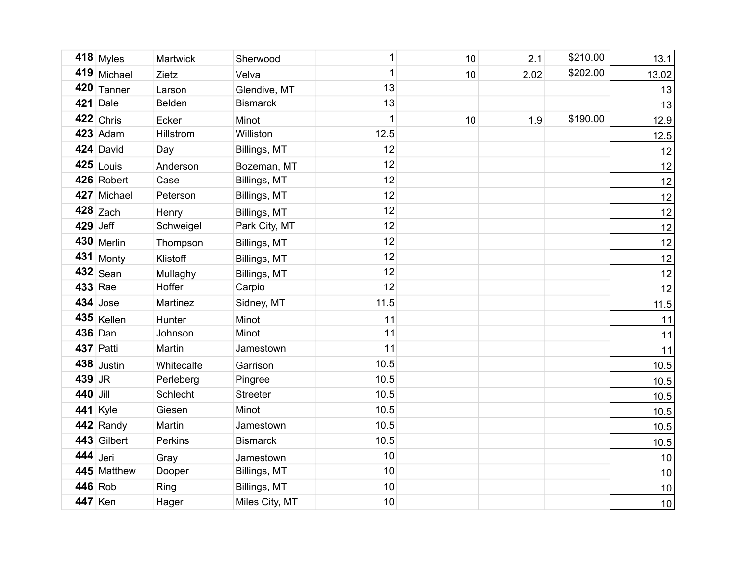|            | $418$ Myles     | Martwick   | Sherwood        | 1    | 10 | 2.1  | \$210.00 | 13.1  |
|------------|-----------------|------------|-----------------|------|----|------|----------|-------|
|            | 419 Michael     | Zietz      | Velva           | 1    | 10 | 2.02 | \$202.00 | 13.02 |
|            | $420$ Tanner    | Larson     | Glendive, MT    | 13   |    |      |          | 13    |
|            | $421$ Dale      | Belden     | <b>Bismarck</b> | 13   |    |      |          | 13    |
|            | $422$ Chris     | Ecker      | Minot           | 1    | 10 | 1.9  | \$190.00 | 12.9  |
|            | $423$ Adam      | Hillstrom  | Williston       | 12.5 |    |      |          | 12.5  |
|            | 424 David       | Day        | Billings, MT    | 12   |    |      |          | 12    |
|            | $425$ Louis     | Anderson   | Bozeman, MT     | 12   |    |      |          | 12    |
|            | 426 Robert      | Case       | Billings, MT    | 12   |    |      |          | 12    |
|            | 427 Michael     | Peterson   | Billings, MT    | 12   |    |      |          | 12    |
|            | $428$ Zach      | Henry      | Billings, MT    | 12   |    |      |          | 12    |
| $429$ Jeff |                 | Schweigel  | Park City, MT   | 12   |    |      |          | 12    |
|            | $430$ Merlin    | Thompson   | Billings, MT    | 12   |    |      |          | 12    |
|            | $431$ Monty     | Klistoff   | Billings, MT    | 12   |    |      |          | 12    |
|            | $432$ Sean      | Mullaghy   | Billings, MT    | 12   |    |      |          | 12    |
|            | 433 Rae         | Hoffer     | Carpio          | 12   |    |      |          | 12    |
|            | $434$ Jose      | Martinez   | Sidney, MT      | 11.5 |    |      |          | 11.5  |
|            | 435 Kellen      | Hunter     | Minot           | 11   |    |      |          | 11    |
|            | 436 Dan         | Johnson    | Minot           | 11   |    |      |          | 11    |
|            | 437 Patti       | Martin     | Jamestown       | 11   |    |      |          | 11    |
|            | $438$ Justin    | Whitecalfe | Garrison        | 10.5 |    |      |          | 10.5  |
| 439 JR     |                 | Perleberg  | Pingree         | 10.5 |    |      |          | 10.5  |
| 440 Jill   |                 | Schlecht   | <b>Streeter</b> | 10.5 |    |      |          | 10.5  |
|            | <b>441</b> Kyle | Giesen     | Minot           | 10.5 |    |      |          | 10.5  |
|            | 442 Randy       | Martin     | Jamestown       | 10.5 |    |      |          | 10.5  |
|            | 443 Gilbert     | Perkins    | <b>Bismarck</b> | 10.5 |    |      |          | 10.5  |
| 444 Jeri   |                 | Gray       | Jamestown       | 10   |    |      |          | 10    |
|            | 445 Matthew     | Dooper     | Billings, MT    | 10   |    |      |          | 10    |
| 446 Rob    |                 | Ring       | Billings, MT    | 10   |    |      |          | $10$  |
|            | 447 Ken         | Hager      | Miles City, MT  | 10   |    |      |          | 10    |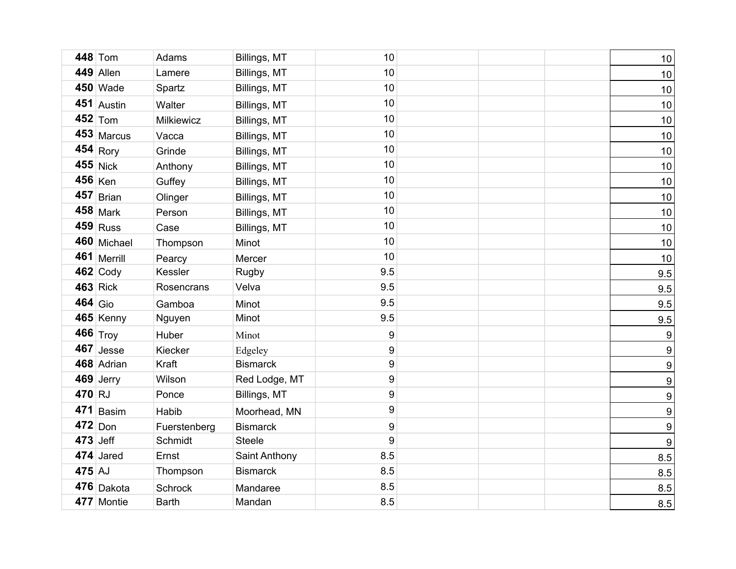|           | 448 Tom         | Adams          | Billings, MT    | 10  |  | $10\,$           |
|-----------|-----------------|----------------|-----------------|-----|--|------------------|
|           | 449 Allen       | Lamere         | Billings, MT    | 10  |  | 10               |
|           | <b>450 Wade</b> | Spartz         | Billings, MT    | 10  |  | 10               |
|           | 451 Austin      | Walter         | Billings, MT    | 10  |  | 10               |
|           | $452$ Tom       | Milkiewicz     | Billings, MT    | 10  |  | 10               |
|           | 453 Marcus      | Vacca          | Billings, MT    | 10  |  | 10               |
|           | $454$ Rory      | Grinde         | Billings, MT    | 10  |  | 10               |
|           | $455$ Nick      | Anthony        | Billings, MT    | 10  |  | 10               |
|           | $456$ Ken       | Guffey         | Billings, MT    | 10  |  | 10               |
|           | $457$ Brian     | Olinger        | Billings, MT    | 10  |  | 10               |
|           | $458$ Mark      | Person         | Billings, MT    | 10  |  | 10               |
|           | $459$ Russ      | Case           | Billings, MT    | 10  |  | 10               |
|           | 460 Michael     | Thompson       | Minot           | 10  |  | 10               |
|           | 461 Merrill     | Pearcy         | Mercer          | 10  |  | 10               |
|           | $462$ Cody      | Kessler        | Rugby           | 9.5 |  | 9.5              |
|           | $463$ Rick      | Rosencrans     | Velva           | 9.5 |  | 9.5              |
| $464$ Gio |                 | Gamboa         | Minot           | 9.5 |  | 9.5              |
|           | 465 Kenny       | Nguyen         | Minot           | 9.5 |  | 9.5              |
|           | 466 Troy        | Huber          | Minot           | 9   |  | 9                |
|           | $467$ Jesse     | Kiecker        | Edgeley         | 9   |  | 9                |
|           | 468 Adrian      | Kraft          | <b>Bismarck</b> | 9   |  | 9                |
|           | $469$ Jerry     | Wilson         | Red Lodge, MT   | 9   |  | $\boldsymbol{9}$ |
| 470 RJ    |                 | Ponce          | Billings, MT    | 9   |  | 9                |
| 471       | Basim           | Habib          | Moorhead, MN    | 9   |  | 9                |
| $472$ Don |                 | Fuerstenberg   | <b>Bismarck</b> | 9   |  | 9                |
| 473 Jeff  |                 | Schmidt        | <b>Steele</b>   | 9   |  | 9                |
|           | 474 Jared       | Ernst          | Saint Anthony   | 8.5 |  | 8.5              |
| 475 AJ    |                 | Thompson       | <b>Bismarck</b> | 8.5 |  | 8.5              |
|           | 476 Dakota      | <b>Schrock</b> | Mandaree        | 8.5 |  | 8.5              |
|           | 477 Montie      | <b>Barth</b>   | Mandan          | 8.5 |  | 8.5              |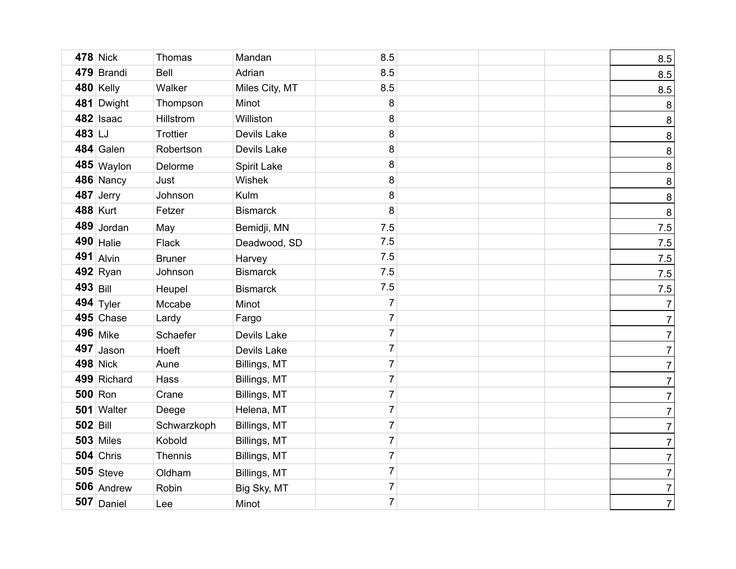|                 | <b>478 Nick</b>  | Thomas          | Mandan          | 8.5            |  | 8.5            |
|-----------------|------------------|-----------------|-----------------|----------------|--|----------------|
|                 | 479 Brandi       | Bell            | Adrian          | 8.5            |  | 8.5            |
|                 | $480$ Kelly      | Walker          | Miles City, MT  | 8.5            |  | 8.5            |
|                 | 481 Dwight       | Thompson        | Minot           | 8              |  | 8              |
|                 | 482 Isaac        | Hillstrom       | Williston       | 8              |  | $\bf 8$        |
| 483 LJ          |                  | <b>Trottier</b> | Devils Lake     | 8              |  | $\bf 8$        |
|                 | 484 Galen        | Robertson       | Devils Lake     | 8              |  | $\bf 8$        |
|                 | 485 Waylon       | Delorme         | Spirit Lake     | 8              |  | $\bf 8$        |
|                 | 486 Nancy        | Just            | Wishek          | 8              |  | $\bf 8$        |
|                 | $487$ Jerry      | Johnson         | Kulm            | 8              |  | 8              |
|                 | <b>488 Kurt</b>  | Fetzer          | <b>Bismarck</b> | 8              |  | 8              |
|                 | 489 Jordan       | May             | Bemidji, MN     | 7.5            |  | $7.5$          |
|                 | $490$ Halie      | <b>Flack</b>    | Deadwood, SD    | 7.5            |  | $7.5$          |
|                 | $491$ Alvin      | <b>Bruner</b>   | Harvey          | 7.5            |  | $7.5$          |
|                 | $492$ Ryan       | Johnson         | <b>Bismarck</b> | 7.5            |  | $7.5$          |
| 493 Bill        |                  | Heupel          | <b>Bismarck</b> | 7.5            |  | $7.5$          |
|                 | 494 $Tyler$      | Mccabe          | Minot           | $\overline{7}$ |  | $\overline{7}$ |
|                 | $495$ Chase      | Lardy           | Fargo           | $\overline{7}$ |  | $7\vert$       |
|                 | 496 Mike         | Schaefer        | Devils Lake     | $\overline{7}$ |  | $7\vert$       |
|                 | $497$ Jason      | Hoeft           | Devils Lake     | $\overline{7}$ |  | $7\vert$       |
|                 | <b>498 Nick</b>  | Aune            | Billings, MT    | $\overline{7}$ |  | $\overline{7}$ |
|                 | 499 Richard      | Hass            | Billings, MT    | $\overline{7}$ |  | $7\vert$       |
|                 | $500$ Ron        | Crane           | Billings, MT    | $\overline{7}$ |  | $\overline{7}$ |
|                 | 501 Walter       | Deege           | Helena, MT      | $\overline{7}$ |  | $7\vert$       |
| <b>502 Bill</b> |                  | Schwarzkoph     | Billings, MT    | $\overline{7}$ |  | $7\vert$       |
|                 | <b>503 Miles</b> | Kobold          | Billings, MT    | $\overline{7}$ |  | $7\vert$       |
|                 | $504$ Chris      | <b>Thennis</b>  | Billings, MT    | $\overline{7}$ |  | $7\vert$       |
|                 | $505$ Steve      | Oldham          | Billings, MT    | $\overline{7}$ |  | $7\vert$       |
|                 | 506 Andrew       | Robin           | Big Sky, MT     | $\overline{7}$ |  | $7\vert$       |
|                 | $507$ Daniel     | Lee             | Minot           | $\overline{7}$ |  | 7 <sup>1</sup> |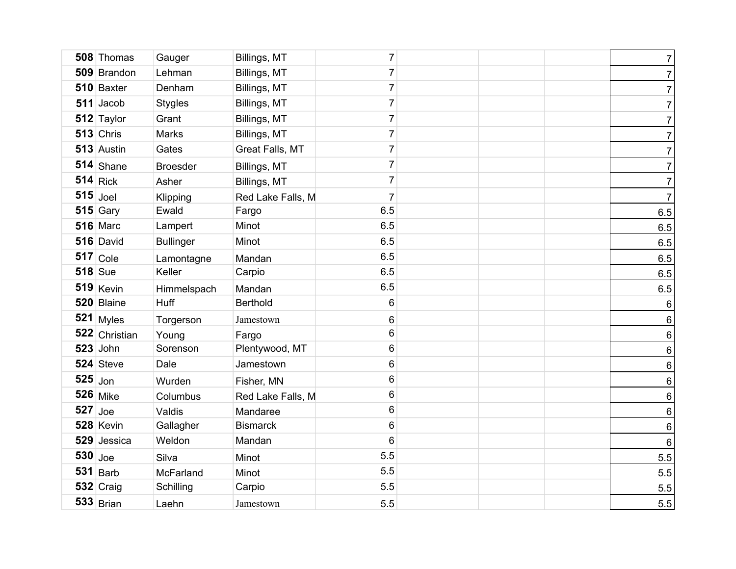|           | 508 Thomas      | Gauger           | Billings, MT      | $\overline{7}$ |  | $\overline{7}$ |
|-----------|-----------------|------------------|-------------------|----------------|--|----------------|
|           | 509 Brandon     | Lehman           | Billings, MT      | $\overline{7}$ |  | $\overline{7}$ |
|           | 510 Baxter      | Denham           | Billings, MT      | $\overline{7}$ |  | $\overline{7}$ |
|           | $511$ Jacob     | <b>Stygles</b>   | Billings, MT      | $\overline{7}$ |  | $\overline{7}$ |
|           | 512 Taylor      | Grant            | Billings, MT      | $\overline{7}$ |  | $\overline{7}$ |
|           | $513$ Chris     | Marks            | Billings, MT      | $\overline{7}$ |  | $\overline{7}$ |
|           | 513 Austin      | Gates            | Great Falls, MT   | $\overline{7}$ |  | $\overline{7}$ |
|           | $514$ Shane     | <b>Broesder</b>  | Billings, MT      | $\overline{7}$ |  | $\overline{7}$ |
|           | $514$ Rick      | Asher            | Billings, MT      | $\overline{7}$ |  | $\overline{7}$ |
|           | $515$ Joel      | Klipping         | Red Lake Falls, M | $\overline{7}$ |  | $\overline{7}$ |
|           | $515$ Gary      | Ewald            | Fargo             | 6.5            |  | $6.5\,$        |
|           | <b>516 Marc</b> | Lampert          | Minot             | 6.5            |  | 6.5            |
|           | 516 David       | <b>Bullinger</b> | Minot             | 6.5            |  | 6.5            |
|           | $517$ Cole      | Lamontagne       | Mandan            | 6.5            |  | 6.5            |
|           | $518$ Sue       | Keller           | Carpio            | 6.5            |  | 6.5            |
|           | $519$ Kevin     | Himmelspach      | Mandan            | 6.5            |  | 6.5            |
|           | 520 Blaine      | Huff             | <b>Berthold</b>   | 6              |  | $\,6\,$        |
|           | 521 Myles       | Torgerson        | Jamestown         | $\,6$          |  | $\,6\,$        |
|           | 522 Christian   | Young            | Fargo             | $\,6$          |  | $\,$ 6 $\,$    |
|           | $523$ John      | Sorenson         | Plentywood, MT    | 6              |  | $\,6\,$        |
|           | $524$ Steve     | Dale             | Jamestown         | $\,6$          |  | $\sqrt{6}$     |
| $525$ Jon |                 | Wurden           | Fisher, MN        | 6              |  | $\,$ 6 $\,$    |
|           | <b>526</b> Mike | Columbus         | Red Lake Falls, M | $\,6$          |  | $\,$ 6 $\,$    |
| $527$ Joe |                 | Valdis           | Mandaree          | 6              |  | $\,6\,$        |
|           | 528 Kevin       | Gallagher        | <b>Bismarck</b>   | $6\phantom{1}$ |  | $\,6\,$        |
|           | 529 Jessica     | Weldon           | Mandan            | $6\phantom{1}$ |  | $\,6\,$        |
| $530$ Joe |                 | Silva            | Minot             | 5.5            |  | 5.5            |
|           | $531$ Barb      | McFarland        | Minot             | 5.5            |  | 5.5            |
|           | $532$ Craig     | Schilling        | Carpio            | 5.5            |  | 5.5            |
|           | $533$ Brian     | Laehn            | Jamestown         | 5.5            |  | 5.5            |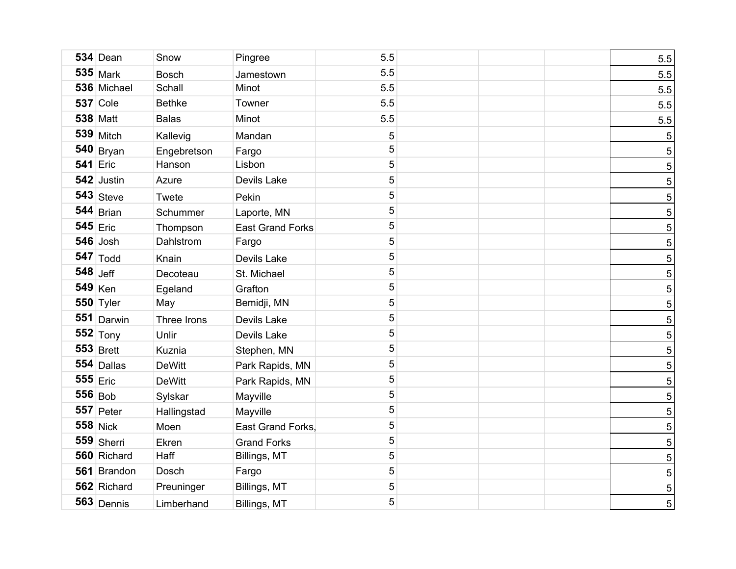| <b>534 Dean</b>    | Snow          | Pingree                 | 5.5         |  | 5.5 |
|--------------------|---------------|-------------------------|-------------|--|-----|
| $535$ Mark         | <b>Bosch</b>  | Jamestown               | 5.5         |  | 5.5 |
| 536 Michael        | Schall        | Minot                   | 5.5         |  | 5.5 |
| <b>537</b> Cole    | <b>Bethke</b> | Towner                  | 5.5         |  | 5.5 |
| <b>538 Matt</b>    | <b>Balas</b>  | Minot                   | 5.5         |  | 5.5 |
| $539$ Mitch        | Kallevig      | Mandan                  | $\sqrt{5}$  |  | 5   |
| $540$ Bryan        | Engebretson   | Fargo                   | 5           |  | 5   |
| <b>541 Eric</b>    | Hanson        | Lisbon                  | $\sqrt{5}$  |  | 5   |
| 542 Justin         | Azure         | Devils Lake             | $\sqrt{5}$  |  | 5   |
| $543$ Steve        | Twete         | Pekin                   | $\sqrt{5}$  |  | 5   |
| $544$ Brian        | Schummer      | Laporte, MN             | 5           |  | 5   |
| $545$ Eric         | Thompson      | <b>East Grand Forks</b> | $\sqrt{5}$  |  | 5   |
| $546$ Josh         | Dahlstrom     | Fargo                   | $\sqrt{5}$  |  | 5   |
| $547$ Todd         | Knain         | Devils Lake             | $\sqrt{5}$  |  | 5   |
| $548$ Jeff         | Decoteau      | St. Michael             | $\sqrt{5}$  |  | 5   |
| $549$ Ken          | Egeland       | Grafton                 | 5           |  | 5   |
| 550 Tyler          | May           | Bemidji, MN             | 5           |  | 5   |
| $551$ Darwin       | Three Irons   | Devils Lake             | $\mathbf 5$ |  | 5   |
| $552$ Tony         | Unlir         | Devils Lake             | $\sqrt{5}$  |  | 5   |
| $553$ Brett        | Kuznia        | Stephen, MN             | $\sqrt{5}$  |  | 5   |
| 554 Dallas         | <b>DeWitt</b> | Park Rapids, MN         | $\sqrt{5}$  |  | 5   |
| $555$ $\vert$ Eric | <b>DeWitt</b> | Park Rapids, MN         | $\sqrt{5}$  |  | 5   |
| $556 _{Bob}$       | Sylskar       | Mayville                | $\sqrt{5}$  |  | 5   |
| $557$ Peter        | Hallingstad   | Mayville                | $\sqrt{5}$  |  | 5   |
| $558$ Nick         | Moen          | East Grand Forks,       | $\sqrt{5}$  |  | 5   |
| $559$ Sherri       | Ekren         | <b>Grand Forks</b>      | $\sqrt{5}$  |  | 5   |
| 560 Richard        | Haff          | Billings, MT            | 5           |  | 5   |
| 561 Brandon        | Dosch         | Fargo                   | 5           |  | 5   |
| 562 Richard        | Preuninger    | Billings, MT            | $\mathbf 5$ |  | 5   |
| $563$ Dennis       | Limberhand    | Billings, MT            | 5           |  | 5   |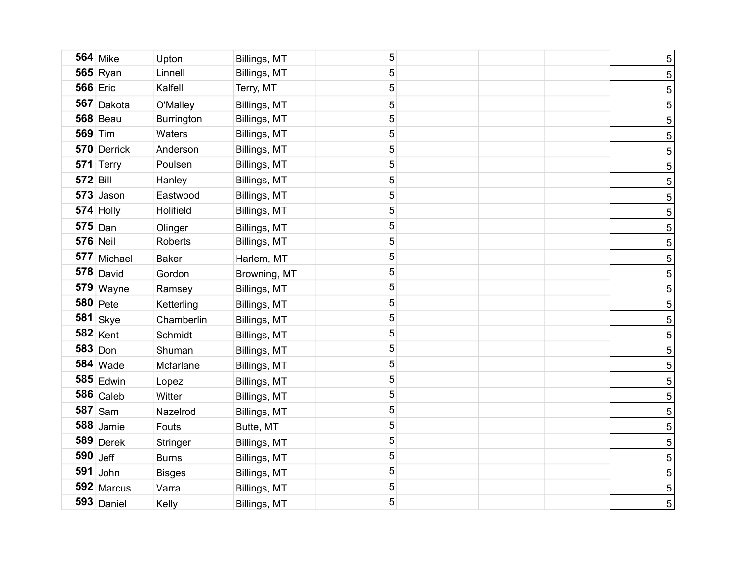|                 | <b>564 Mike</b> | Upton             | Billings, MT | 5          |  | $\overline{5}$  |
|-----------------|-----------------|-------------------|--------------|------------|--|-----------------|
|                 | $565$ Ryan      | Linnell           | Billings, MT | 5          |  | $\overline{5}$  |
|                 | <b>566 Eric</b> | Kalfell           | Terry, MT    | 5          |  | $\overline{5}$  |
|                 | 567 Dakota      | O'Malley          | Billings, MT | 5          |  | $\overline{5}$  |
|                 | <b>568 Beau</b> | <b>Burrington</b> | Billings, MT | 5          |  | $\overline{5}$  |
|                 | <b>569 Tim</b>  | Waters            | Billings, MT | 5          |  | 5               |
|                 | 570 Derrick     | Anderson          | Billings, MT | 5          |  | $\overline{5}$  |
|                 | 571 Terry       | Poulsen           | Billings, MT | $\sqrt{5}$ |  | 5               |
| <b>572 Bill</b> |                 | Hanley            | Billings, MT | 5          |  | $\overline{5}$  |
|                 | $573$ Jason     | Eastwood          | Billings, MT | $\sqrt{5}$ |  | 5 <sub>5</sub>  |
|                 | $574$ Holly     | Holifield         | Billings, MT | 5          |  | 5 <sub>5</sub>  |
|                 | $575$ Dan       | Olinger           | Billings, MT | 5          |  | 5 <sup>1</sup>  |
|                 | <b>576 Neil</b> | Roberts           | Billings, MT | 5          |  | 5 <sub>5</sub>  |
|                 | 577 Michael     | <b>Baker</b>      | Harlem, MT   | 5          |  | 5 <sub>5</sub>  |
|                 | $578$ David     | Gordon            | Browning, MT | 5          |  | 5 <sub>5</sub>  |
|                 | $579$ Wayne     | Ramsey            | Billings, MT | 5          |  | 5               |
|                 | $580$ Pete      | Ketterling        | Billings, MT | 5          |  | 5 <sub>5</sub>  |
|                 | $581$ Skye      | Chamberlin        | Billings, MT | 5          |  | 5               |
|                 | <b>582 Kent</b> | Schmidt           | Billings, MT | 5          |  | 5 <sub>5</sub>  |
|                 | $583$ Don       | Shuman            | Billings, MT | 5          |  | 5               |
|                 | <b>584 Wade</b> | Mcfarlane         | Billings, MT | 5          |  | 5               |
|                 | $585$ Edwin     | Lopez             | Billings, MT | 5          |  | 5               |
|                 | $586$ Caleb     | Witter            | Billings, MT | 5          |  | 5               |
|                 | $587$ Sam       | Nazelrod          | Billings, MT | 5          |  | 5               |
|                 | $588$ Jamie     | Fouts             | Butte, MT    | 5          |  | 5               |
|                 | $589$ Derek     | Stringer          | Billings, MT | 5          |  | 5               |
|                 | $590$ Jeff      | <b>Burns</b>      | Billings, MT | 5          |  | 5 <sub>5</sub>  |
|                 | $591$ John      | <b>Bisges</b>     | Billings, MT | 5          |  | 5 <sub>5</sub>  |
|                 | 592 Marcus      | Varra             | Billings, MT | 5          |  | $5\phantom{.0}$ |
|                 | $593$ Daniel    | Kelly             | Billings, MT | 5          |  | 5 <sup>1</sup>  |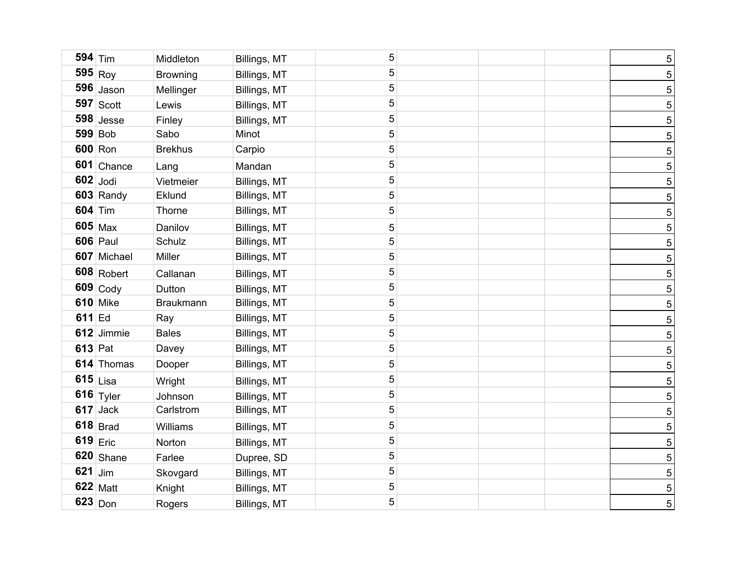| $594$ Tim      |                       | Middleton        | Billings, MT | 5           |  | 5 <sup>1</sup>  |
|----------------|-----------------------|------------------|--------------|-------------|--|-----------------|
|                | $595$ Roy             | <b>Browning</b>  | Billings, MT | 5           |  | 5               |
|                | $596$ Jason           | Mellinger        | Billings, MT | $\sqrt{5}$  |  | 5 <sub>5</sub>  |
|                | $597$ Scott           | Lewis            | Billings, MT | 5           |  | 5               |
|                | $598$ Jesse           | Finley           | Billings, MT | 5           |  | 5               |
|                | <b>599 Bob</b>        | Sabo             | Minot        | 5           |  | 5               |
|                | 600 Ron               | <b>Brekhus</b>   | Carpio       | $\sqrt{5}$  |  | 5               |
|                | 601 Chance            | Lang             | Mandan       | 5           |  | 5               |
|                | $602$ Jodi            | Vietmeier        | Billings, MT | 5           |  | 5               |
|                | 603 Randy             | Eklund           | Billings, MT | 5           |  | 5               |
| <b>604 Tim</b> |                       | Thorne           | Billings, MT | 5           |  | 5               |
|                | $605$ Max             | Danilov          | Billings, MT | 5           |  | 5               |
|                | <b>606</b> Paul       | Schulz           | Billings, MT | 5           |  | $5\phantom{.0}$ |
|                | 607 Michael           | Miller           | Billings, MT | 5           |  | $5\phantom{.0}$ |
|                | $608$ Robert          | Callanan         | Billings, MT | $\sqrt{5}$  |  | $\sqrt{5}$      |
|                | $609$ Cody            | Dutton           | Billings, MT | 5           |  | $\sqrt{5}$      |
|                | <b>610 Mike</b>       | <b>Braukmann</b> | Billings, MT | $\sqrt{5}$  |  | $\sqrt{5}$      |
| $611$ Ed       |                       | Ray              | Billings, MT | 5           |  | $\sqrt{5}$      |
|                | 612 Jimmie            | <b>Bales</b>     | Billings, MT | 5           |  | $\sqrt{5}$      |
| <b>613</b> Pat |                       | Davey            | Billings, MT | 5           |  | $\sqrt{5}$      |
|                | 614 Thomas            | Dooper           | Billings, MT | 5           |  | $\sqrt{5}$      |
|                | $615$ Lisa            | Wright           | Billings, MT | 5           |  | $\overline{5}$  |
|                | 616 $_{\text{Tyler}}$ | Johnson          | Billings, MT | $\sqrt{5}$  |  | $\overline{5}$  |
|                | $617$ Jack            | Carlstrom        | Billings, MT | 5           |  | $\overline{5}$  |
|                | $618$ Brad            | Williams         | Billings, MT | 5           |  | $\overline{5}$  |
|                | $619$ Eric            | Norton           | Billings, MT | 5           |  | $\overline{5}$  |
|                | 620 Shane             | Farlee           | Dupree, SD   | $\sqrt{5}$  |  | $\overline{5}$  |
| $621$ Jim      |                       | Skovgard         | Billings, MT | 5           |  | $\overline{5}$  |
|                | <b>622 Matt</b>       | Knight           | Billings, MT | $\mathbf 5$ |  | $\overline{5}$  |
|                | $623$ Don             | Rogers           | Billings, MT | 5           |  | 5 <sup>1</sup>  |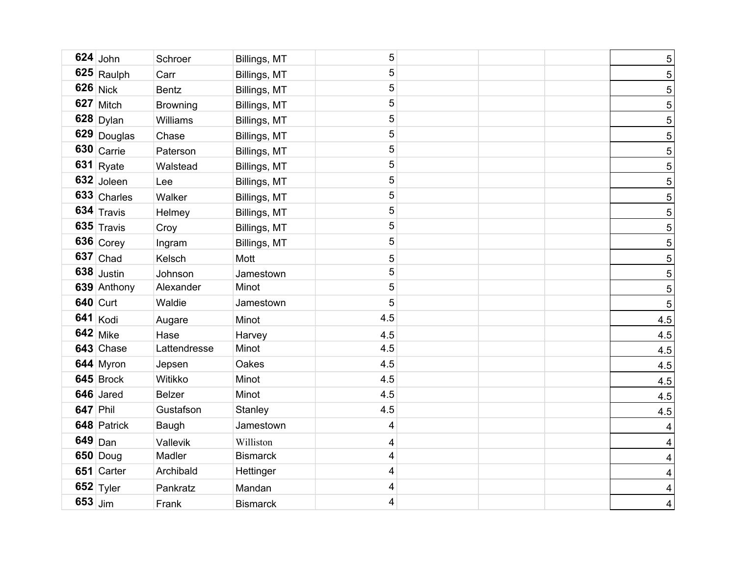|                 | $624$ John             | Schroer         | Billings, MT    | 5                       |  | $\overline{5}$ |
|-----------------|------------------------|-----------------|-----------------|-------------------------|--|----------------|
|                 | 625 Raulph             | Carr            | Billings, MT    | 5                       |  | 5              |
|                 | $626$ Nick             | <b>Bentz</b>    | Billings, MT    | $\overline{5}$          |  | $\overline{5}$ |
|                 | 627 Mitch              | <b>Browning</b> | Billings, MT    | 5                       |  | 5              |
|                 | $628$ Dylan            | Williams        | Billings, MT    | 5                       |  | 5              |
|                 | 629 Douglas            | Chase           | Billings, MT    | $\sqrt{5}$              |  | 5              |
|                 | $630$ Carrie           | Paterson        | Billings, MT    | $\sqrt{5}$              |  | 5              |
|                 | $631$ Ryate            | Walstead        | Billings, MT    | 5                       |  | 5              |
|                 | 632 Joleen             | Lee             | Billings, MT    | 5                       |  | 5              |
|                 | 633 Charles            | Walker          | Billings, MT    | 5                       |  | 5              |
|                 | $634$ Travis           | Helmey          | Billings, MT    | $\sqrt{5}$              |  | $\overline{5}$ |
|                 | $635$ Travis           | Croy            | Billings, MT    | 5                       |  | 5              |
|                 | $636$ Corey            | Ingram          | Billings, MT    | 5                       |  | 5              |
|                 | $637$ Chad             | Kelsch          | Mott            | 5                       |  | 5              |
|                 | $638$ Justin           | Johnson         | Jamestown       | 5                       |  | 5              |
|                 | 639 Anthony            | Alexander       | Minot           | $\sqrt{5}$              |  | 5              |
|                 | <b>640 Curt</b>        | Waldie          | Jamestown       | 5                       |  | 5              |
|                 | $641$ Kodi             | Augare          | Minot           | 4.5                     |  | 4.5            |
|                 | <b>642</b> Mike        | Hase            | Harvey          | 4.5                     |  | 4.5            |
|                 | 643 Chase              | Lattendresse    | Minot           | 4.5                     |  | 4.5            |
|                 | 644 Myron              | Jepsen          | Oakes           | 4.5                     |  | 4.5            |
|                 | $645$ Brock            | Witikko         | Minot           | 4.5                     |  | 4.5            |
|                 | 646 Jared              | <b>Belzer</b>   | Minot           | 4.5                     |  | 4.5            |
| <b>647 Phil</b> |                        | Gustafson       | Stanley         | 4.5                     |  | 4.5            |
|                 | 648 Patrick            | Baugh           | Jamestown       | 4                       |  | $\overline{4}$ |
|                 | $649$ Dan              | Vallevik        | Williston       | 4                       |  | $\overline{4}$ |
|                 | <b>650 Doug</b>        | Madler          | <b>Bismarck</b> | $\overline{\mathbf{4}}$ |  | $\overline{4}$ |
|                 | 651 Carter             | Archibald       | Hettinger       | 4                       |  | $\overline{4}$ |
|                 | 652 $ _{\text{Tyler}}$ | Pankratz        | Mandan          | 4                       |  | $\overline{4}$ |
| $653$ Jim       |                        | Frank           | <b>Bismarck</b> | 4                       |  | $\overline{4}$ |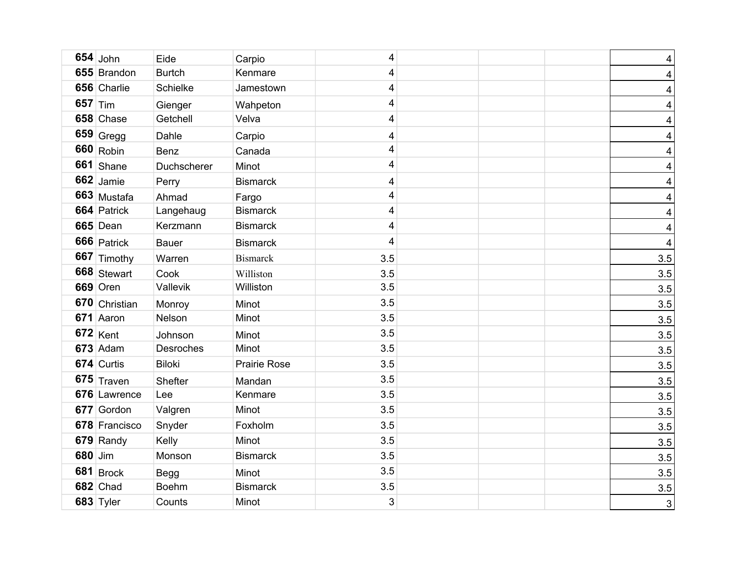|           | $654$ John      | Eide          | Carpio              | 4                       |  | $\overline{\mathbf{4}}$ |
|-----------|-----------------|---------------|---------------------|-------------------------|--|-------------------------|
|           | 655 Brandon     | <b>Burtch</b> | Kenmare             | $\overline{\mathbf{4}}$ |  | $\overline{\mathbf{4}}$ |
|           | 656 Charlie     | Schielke      | Jamestown           | 4                       |  | $\overline{\mathbf{4}}$ |
| $657$ Tim |                 | Gienger       | Wahpeton            | $\overline{\mathbf{4}}$ |  | $\overline{\mathbf{4}}$ |
|           | 658 Chase       | Getchell      | Velva               | $\overline{\mathbf{4}}$ |  | $\overline{\mathbf{4}}$ |
|           | $659$ Gregg     | Dahle         | Carpio              | 4                       |  | $\overline{\mathbf{4}}$ |
|           | $660$ Robin     | <b>Benz</b>   | Canada              | $\overline{\mathbf{4}}$ |  | $\overline{\mathbf{4}}$ |
|           | 661 Shane       | Duchscherer   | Minot               | 4                       |  | $\overline{\mathbf{4}}$ |
|           | $662$ Jamie     | Perry         | <b>Bismarck</b>     | $\overline{\mathbf{4}}$ |  | $\overline{\mathbf{4}}$ |
|           | 663 Mustafa     | Ahmad         | Fargo               | 4                       |  | $\overline{\mathbf{4}}$ |
|           | 664 Patrick     | Langehaug     | <b>Bismarck</b>     | $\overline{\mathbf{4}}$ |  | $\overline{\mathbf{4}}$ |
|           | 665 Dean        | Kerzmann      | <b>Bismarck</b>     | $\overline{\mathbf{4}}$ |  | $\overline{\mathbf{4}}$ |
|           | 666 Patrick     | <b>Bauer</b>  | <b>Bismarck</b>     | $\overline{\mathbf{4}}$ |  | $\overline{\mathbf{4}}$ |
|           | 667 Timothy     | Warren        | <b>Bismarck</b>     | 3.5                     |  | 3.5                     |
|           | 668 Stewart     | Cook          | Williston           | 3.5                     |  | 3.5                     |
|           | $669$ Oren      | Vallevik      | Williston           | 3.5                     |  | 3.5                     |
|           | 670 Christian   | Monroy        | Minot               | 3.5                     |  | 3.5                     |
|           | 671 Aaron       | Nelson        | Minot               | 3.5                     |  | 3.5                     |
|           | $672$ Kent      | Johnson       | Minot               | 3.5                     |  | 3.5                     |
|           | $673$ Adam      | Desroches     | Minot               | 3.5                     |  | 3.5                     |
|           | 674 Curtis      | <b>Biloki</b> | <b>Prairie Rose</b> | 3.5                     |  | 3.5                     |
|           | $675$ Traven    | Shefter       | Mandan              | 3.5                     |  | 3.5                     |
|           | 676 Lawrence    | Lee           | Kenmare             | 3.5                     |  | 3.5                     |
|           | 677 Gordon      | Valgren       | Minot               | 3.5                     |  | 3.5                     |
|           | 678 Francisco   | Snyder        | Foxholm             | 3.5                     |  | 3.5                     |
|           | 679 Randy       | Kelly         | Minot               | 3.5                     |  | 3.5                     |
| 680 Jim   |                 | Monson        | <b>Bismarck</b>     | 3.5                     |  | 3.5                     |
|           | $681$ Brock     | <b>Begg</b>   | Minot               | 3.5                     |  | 3.5                     |
|           | <b>682</b> Chad | <b>Boehm</b>  | <b>Bismarck</b>     | 3.5                     |  | 3.5                     |
|           | $683$ Tyler     | Counts        | Minot               | 3                       |  | $\mathfrak{S}$          |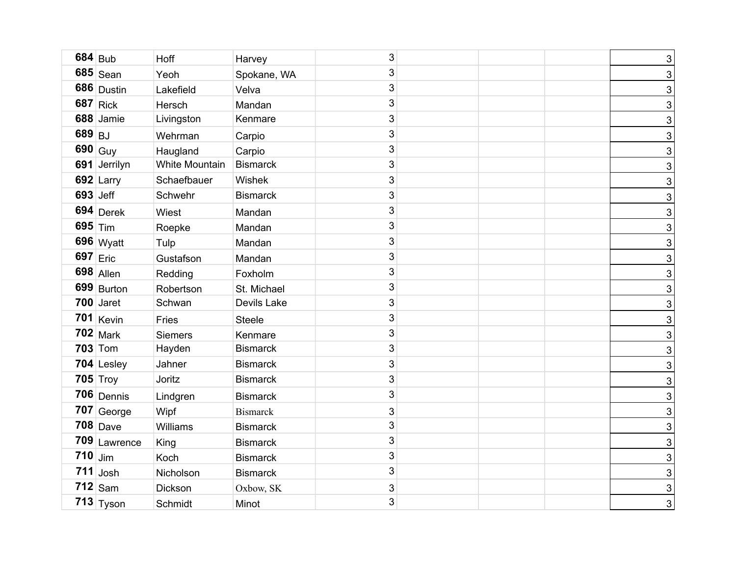|           | $684$ Bub             | Hoff           | Harvey          | 3 |  | $\mathbf{3}$   |
|-----------|-----------------------|----------------|-----------------|---|--|----------------|
|           | $685$ Sean            | Yeoh           | Spokane, WA     | 3 |  | $\mathbf{3}$   |
|           | $686$ Dustin          | Lakefield      | Velva           | 3 |  | $\mathbf{3}$   |
|           | $687$ Rick            | Hersch         | Mandan          | 3 |  | $\mathbf{3}$   |
|           | 688 Jamie             | Livingston     | Kenmare         | 3 |  | $\mathbf{3}$   |
| 689 BJ    |                       | Wehrman        | Carpio          | 3 |  | $\mathbf{3}$   |
|           | $690 \vert$ Guy       | Haugland       | Carpio          | 3 |  | $\mathbf{3}$   |
|           | 691 Jerrilyn          | White Mountain | Bismarck        | 3 |  | $\mathbf{3}$   |
|           | $692$ Larry           | Schaefbauer    | Wishek          | 3 |  | $\mathbf{3}$   |
|           | 693 Jeff              | Schwehr        | <b>Bismarck</b> | 3 |  | $\mathbf{3}$   |
|           | $694$ Derek           | Wiest          | Mandan          | 3 |  | $\mathbf{3}$   |
| $695$ Tim |                       | Roepke         | Mandan          | 3 |  | $\mathbf{3}$   |
|           | 696 Wyatt             | Tulp           | Mandan          | 3 |  | $\mathbf{3}$   |
|           | 697 $ _{\text{Eric}}$ | Gustafson      | Mandan          | 3 |  | $\mathbf{3}$   |
|           | $698$ Allen           | Redding        | Foxholm         | 3 |  | $\mathbf{3}$   |
|           | $699$ Burton          | Robertson      | St. Michael     | 3 |  | $\mathbf{3}$   |
|           | $700$ Jaret           | Schwan         | Devils Lake     | 3 |  | $\mathbf{3}$   |
|           | $701$ Kevin           | Fries          | <b>Steele</b>   | 3 |  | $\mathbf{3}$   |
|           | $702$ Mark            | <b>Siemers</b> | Kenmare         | 3 |  | $\mathbf{3}$   |
|           | <b>703</b> Tom        | Hayden         | <b>Bismarck</b> | 3 |  | $\mathbf{3}$   |
|           | 704 Lesley            | Jahner         | <b>Bismarck</b> | 3 |  | $\mathbf{3}$   |
|           | $705$ Troy            | Joritz         | <b>Bismarck</b> | 3 |  | $\mathbf{3}$   |
|           | $706$ Dennis          | Lindgren       | <b>Bismarck</b> | 3 |  | $\mathbf{3}$   |
|           | $707$ George          | Wipf           | <b>Bismarck</b> | 3 |  | $\mathbf{3}$   |
|           | $708$ Dave            | Williams       | <b>Bismarck</b> | 3 |  | $\mathbf{3}$   |
|           | 709 Lawrence          | King           | <b>Bismarck</b> | 3 |  | $\mathbf{3}$   |
| $710$ Jim |                       | Koch           | <b>Bismarck</b> | 3 |  | $\mathbf{3}$   |
|           | $711$ Josh            | Nicholson      | <b>Bismarck</b> | 3 |  | $\mathbf{3}$   |
|           | $712$ Sam             | Dickson        | Oxbow, SK       | 3 |  | $\mathbf{3}$   |
|           | $713$ Tyson           | Schmidt        | Minot           | 3 |  | $\overline{3}$ |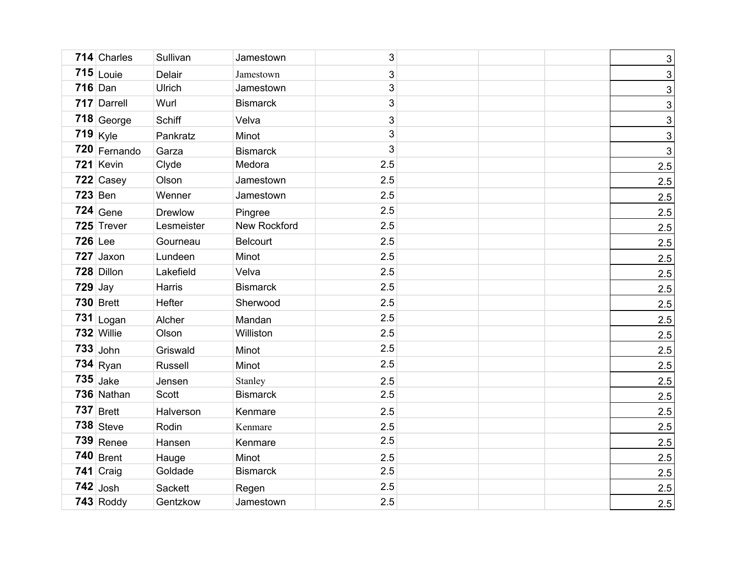|           | 714 Charles  | Sullivan      | Jamestown       | $\mathfrak{S}$ |  | $\ensuremath{\mathsf{3}}$ |
|-----------|--------------|---------------|-----------------|----------------|--|---------------------------|
|           | $715$ Louie  | Delair        | Jamestown       | 3              |  | 3                         |
|           | $716$ Dan    | <b>Ulrich</b> | Jamestown       | $\mathfrak{S}$ |  | $\ensuremath{\mathsf{3}}$ |
|           | 717 Darrell  | Wurl          | <b>Bismarck</b> | 3              |  | 3                         |
|           | $718$ George | Schiff        | Velva           | $\mathbf{3}$   |  | $\ensuremath{\mathsf{3}}$ |
|           | $719$ Kyle   | Pankratz      | Minot           | 3              |  | 3                         |
|           | 720 Fernando | Garza         | <b>Bismarck</b> | 3              |  | $\mathfrak{S}$            |
|           | 721 Kevin    | Clyde         | Medora          | 2.5            |  | 2.5                       |
|           | 722 Casey    | Olson         | Jamestown       | 2.5            |  | 2.5                       |
|           | $723$ Ben    | Wenner        | Jamestown       | 2.5            |  | 2.5                       |
|           | $724$ Gene   | Drewlow       | Pingree         | 2.5            |  | 2.5                       |
|           | 725 Trever   | Lesmeister    | New Rockford    | 2.5            |  | 2.5                       |
| 726 Lee   |              | Gourneau      | <b>Belcourt</b> | 2.5            |  | 2.5                       |
|           | 727 Jaxon    | Lundeen       | Minot           | 2.5            |  | 2.5                       |
|           | 728 Dillon   | Lakefield     | Velva           | 2.5            |  | 2.5                       |
| $729$ Jay |              | Harris        | <b>Bismarck</b> | 2.5            |  | 2.5                       |
|           | $730$ Brett  | Hefter        | Sherwood        | 2.5            |  | 2.5                       |
|           | $731$ Logan  | Alcher        | Mandan          | 2.5            |  | 2.5                       |
|           | 732 Willie   | Olson         | Williston       | 2.5            |  | 2.5                       |
|           | $733$ John   | Griswald      | Minot           | 2.5            |  | 2.5                       |
|           | $734$ Ryan   | Russell       | Minot           | 2.5            |  | 2.5                       |
|           | $735$ Jake   | Jensen        | Stanley         | 2.5            |  | 2.5                       |
|           | 736 Nathan   | Scott         | <b>Bismarck</b> | 2.5            |  | 2.5                       |
|           | $737$ Brett  | Halverson     | Kenmare         | 2.5            |  | 2.5                       |
|           | $738$ Steve  | Rodin         | Kenmare         | 2.5            |  | 2.5                       |
|           | $739$ Renee  | Hansen        | Kenmare         | 2.5            |  | 2.5                       |
|           | $740$ Brent  | Hauge         | Minot           | 2.5            |  | 2.5                       |
|           | $741$ Craig  | Goldade       | <b>Bismarck</b> | 2.5            |  | 2.5                       |
|           | $742$ Josh   | Sackett       | Regen           | 2.5            |  | 2.5                       |
|           | $743$ Roddy  | Gentzkow      | Jamestown       | 2.5            |  | 2.5                       |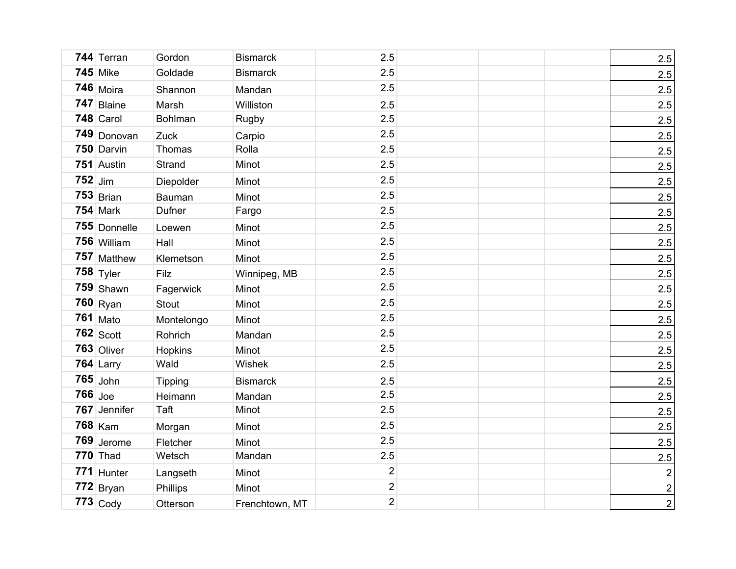|           | 744 Terran      | Gordon         | <b>Bismarck</b> | 2.5            |  | 2.5                     |
|-----------|-----------------|----------------|-----------------|----------------|--|-------------------------|
|           | <b>745 Mike</b> | Goldade        | <b>Bismarck</b> | 2.5            |  | 2.5                     |
|           | $746$ Moira     | Shannon        | Mandan          | 2.5            |  | 2.5                     |
|           | 747 Blaine      | Marsh          | Williston       | 2.5            |  | 2.5                     |
|           | 748 Carol       | Bohlman        | Rugby           | 2.5            |  | 2.5                     |
|           | 749 Donovan     | Zuck           | Carpio          | 2.5            |  | 2.5                     |
|           | 750 Darvin      | Thomas         | Rolla           | 2.5            |  | 2.5                     |
|           | 751 Austin      | Strand         | Minot           | 2.5            |  | 2.5                     |
| $752$ Jim |                 | Diepolder      | Minot           | 2.5            |  | 2.5                     |
|           | $753$ Brian     | Bauman         | Minot           | 2.5            |  | 2.5                     |
|           | <b>754 Mark</b> | Dufner         | Fargo           | 2.5            |  | 2.5                     |
|           | 755 Donnelle    | Loewen         | Minot           | 2.5            |  | 2.5                     |
|           | 756 William     | Hall           | Minot           | 2.5            |  | 2.5                     |
|           | 757 Matthew     | Klemetson      | Minot           | 2.5            |  | 2.5                     |
|           | $758$ Tyler     | Filz           | Winnipeg, MB    | 2.5            |  | 2.5                     |
|           | 759 Shawn       | Fagerwick      | Minot           | 2.5            |  | 2.5                     |
|           | $760$ Ryan      | Stout          | Minot           | 2.5            |  | 2.5                     |
|           | <b>761 Mato</b> | Montelongo     | Minot           | 2.5            |  | 2.5                     |
|           | $762$ Scott     | Rohrich        | Mandan          | 2.5            |  | 2.5                     |
|           | $763$ Oliver    | Hopkins        | Minot           | 2.5            |  | 2.5                     |
|           | $764$ Larry     | Wald           | Wishek          | 2.5            |  | 2.5                     |
|           | $765$ John      | <b>Tipping</b> | <b>Bismarck</b> | 2.5            |  | 2.5                     |
| $766$ Joe |                 | Heimann        | Mandan          | 2.5            |  | 2.5                     |
|           | 767 Jennifer    | Taft           | Minot           | 2.5            |  | 2.5                     |
|           | 768 Kam         | Morgan         | Minot           | 2.5            |  | 2.5                     |
|           | 769 Jerome      | Fletcher       | Minot           | 2.5            |  | 2.5                     |
|           | $770$ Thad      | Wetsch         | Mandan          | 2.5            |  | 2.5                     |
|           | 771 Hunter      | Langseth       | Minot           | $\overline{2}$ |  | $\overline{\mathbf{c}}$ |
|           | $772$ Bryan     | Phillips       | Minot           | $\overline{c}$ |  | $\overline{2}$          |
|           | $773$ Cody      | Otterson       | Frenchtown, MT  | $\overline{2}$ |  | $\overline{2}$          |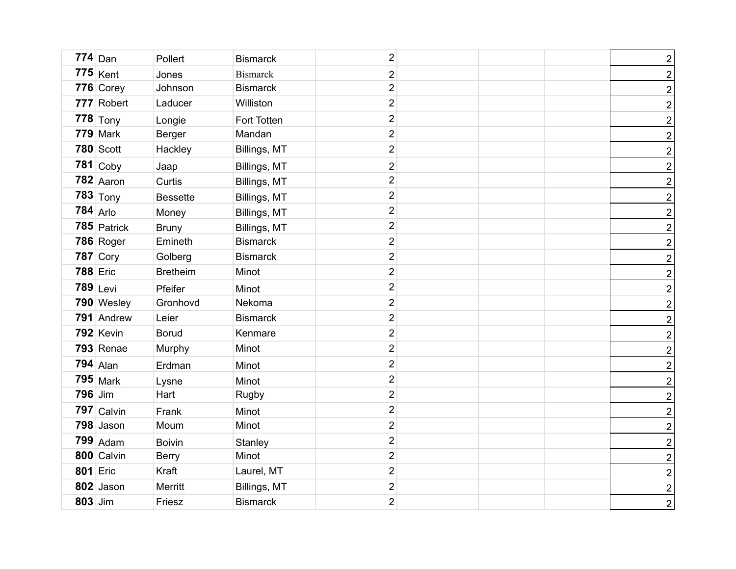|                | $774$ Dan        | Pollert         | <b>Bismarck</b> | $\overline{c}$          |  | $\overline{2}$          |
|----------------|------------------|-----------------|-----------------|-------------------------|--|-------------------------|
|                | $775$ Kent       | Jones           | <b>Bismarck</b> | $\overline{2}$          |  | $\overline{\mathbf{c}}$ |
|                | 776 Corey        | Johnson         | <b>Bismarck</b> | $\overline{2}$          |  | $\overline{2}$          |
|                | 777 Robert       | Laducer         | Williston       | $\overline{2}$          |  | $\overline{\mathbf{c}}$ |
|                | $778$ Tony       | Longie          | Fort Totten     | $\overline{2}$          |  | $\overline{2}$          |
|                | $779$ Mark       | Berger          | Mandan          | $\overline{2}$          |  | $\overline{2}$          |
|                | <b>780 Scott</b> | Hackley         | Billings, MT    | $\overline{2}$          |  | $\overline{2}$          |
|                | $781$ Coby       | Jaap            | Billings, MT    | $\overline{c}$          |  | $\overline{2}$          |
|                | $782$ Aaron      | Curtis          | Billings, MT    | $\overline{2}$          |  | $\overline{2}$          |
|                | $783$ Tony       | <b>Bessette</b> | Billings, MT    | $\mathbf 2$             |  | $\overline{2}$          |
|                | $784$ Arlo       | Money           | Billings, MT    | $\overline{2}$          |  | $\overline{2}$          |
|                | $785$ Patrick    | <b>Bruny</b>    | Billings, MT    | $\mathbf 2$             |  | $\overline{2}$          |
|                | 786 Roger        | Emineth         | <b>Bismarck</b> | $\mathbf 2$             |  | $\overline{2}$          |
|                | $787$ Cory       | Golberg         | <b>Bismarck</b> | $\mathbf 2$             |  | $\overline{2}$          |
|                | <b>788 Eric</b>  | <b>Bretheim</b> | Minot           | $\overline{2}$          |  | $\overline{2}$          |
|                | $789$ Levi       | Pfeifer         | Minot           | $\mathbf 2$             |  | $\overline{2}$          |
|                | 790 Wesley       | Gronhovd        | Nekoma          | $\overline{2}$          |  | $\overline{2}$          |
|                | 791 Andrew       | Leier           | <b>Bismarck</b> | $\boldsymbol{2}$        |  | $\overline{2}$          |
|                | 792 Kevin        | <b>Borud</b>    | Kenmare         | $\mathbf 2$             |  | $\overline{2}$          |
|                | $793$ Renae      | Murphy          | Minot           | $\boldsymbol{2}$        |  | $\overline{2}$          |
|                | $794$ Alan       | Erdman          | Minot           | $\overline{c}$          |  | $\overline{2}$          |
|                | $795$ Mark       | Lysne           | Minot           | $\overline{\mathbf{c}}$ |  | $\overline{2}$          |
| <b>796</b> Jim |                  | Hart            | Rugby           | $\overline{c}$          |  | $\overline{2}$          |
|                | $797$ Calvin     | Frank           | Minot           | $\overline{\mathbf{c}}$ |  | $\overline{2}$          |
|                | 798 Jason        | Moum            | Minot           | $\overline{2}$          |  | $\overline{2}$          |
|                | 799 Adam         | <b>Boivin</b>   | Stanley         | $\overline{c}$          |  | $\overline{2}$          |
|                | 800 Calvin       | <b>Berry</b>    | Minot           | $\overline{2}$          |  | $\overline{2}$          |
|                | <b>801 Eric</b>  | Kraft           | Laurel, MT      | $\overline{2}$          |  | $\overline{2}$          |
|                | 802 Jason        | Merritt         | Billings, MT    | $\overline{\mathbf{c}}$ |  | $\overline{2}$          |
| 803 Jim        |                  | Friesz          | <b>Bismarck</b> | $\overline{2}$          |  | $\overline{2}$          |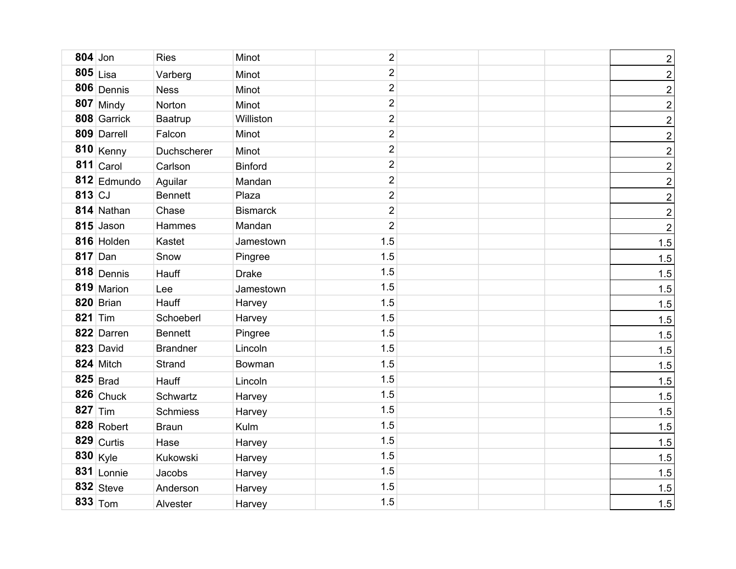| $804$ Jon |                  | <b>Ries</b>     | Minot           | $\overline{c}$ |  | $\overline{2}$          |
|-----------|------------------|-----------------|-----------------|----------------|--|-------------------------|
|           | $805$ Lisa       | Varberg         | Minot           | $\overline{2}$ |  | $\overline{\mathbf{c}}$ |
|           | 806 Dennis       | <b>Ness</b>     | Minot           | $\overline{2}$ |  | $\overline{2}$          |
|           | 807 Mindy        | Norton          | Minot           | $\overline{2}$ |  | $\overline{\mathbf{c}}$ |
|           | 808 Garrick      | Baatrup         | Williston       | $\overline{2}$ |  | $\overline{2}$          |
|           | 809 Darrell      | Falcon          | Minot           | $\overline{2}$ |  | $\overline{\mathbf{c}}$ |
|           | $810$ Kenny      | Duchscherer     | Minot           | $\overline{2}$ |  | $\overline{2}$          |
|           | $811$ Carol      | Carlson         | <b>Binford</b>  | $\overline{2}$ |  | $\overline{2}$          |
|           | 812 Edmundo      | Aguilar         | Mandan          | $\overline{2}$ |  | $\overline{2}$          |
| 813 CJ    |                  | <b>Bennett</b>  | Plaza           | $\overline{2}$ |  | $\overline{2}$          |
|           | 814 Nathan       | Chase           | <b>Bismarck</b> | $\overline{2}$ |  | $\overline{2}$          |
|           | 815 Jason        | Hammes          | Mandan          | $\overline{2}$ |  | $\boldsymbol{2}$        |
|           | 816 Holden       | Kastet          | Jamestown       | 1.5            |  | 1.5                     |
|           | $817$ Dan        | Snow            | Pingree         | 1.5            |  | 1.5                     |
|           | $818$ Dennis     | Hauff           | <b>Drake</b>    | 1.5            |  | 1.5                     |
|           | 819 Marion       | Lee             | Jamestown       | 1.5            |  | 1.5                     |
|           | 820 Brian        | Hauff           | Harvey          | 1.5            |  | 1.5                     |
| 821 Tim   |                  | Schoeberl       | Harvey          | 1.5            |  | 1.5                     |
|           | 822 Darren       | <b>Bennett</b>  | Pingree         | 1.5            |  | 1.5                     |
|           | 823 David        | <b>Brandner</b> | Lincoln         | 1.5            |  | 1.5                     |
|           | 824 Mitch        | <b>Strand</b>   | Bowman          | 1.5            |  | 1.5                     |
|           | $825$ Brad       | Hauff           | Lincoln         | 1.5            |  | 1.5                     |
|           | $826$ Chuck      | Schwartz        | Harvey          | 1.5            |  | 1.5                     |
| $827$ Tim |                  | <b>Schmiess</b> | Harvey          | 1.5            |  | 1.5                     |
|           | $828$ Robert     | <b>Braun</b>    | Kulm            | 1.5            |  | 1.5                     |
|           | $829$ Curtis     | Hase            | Harvey          | 1.5            |  | 1.5                     |
|           | $830 \vert$ Kyle | Kukowski        | Harvey          | 1.5            |  | 1.5                     |
|           | $831$ Lonnie     | Jacobs          | Harvey          | 1.5            |  | 1.5                     |
|           | $832$ Steve      | Anderson        | Harvey          | 1.5            |  | 1.5                     |
|           | 833 $\text{Tom}$ | Alvester        | Harvey          | 1.5            |  | 1.5                     |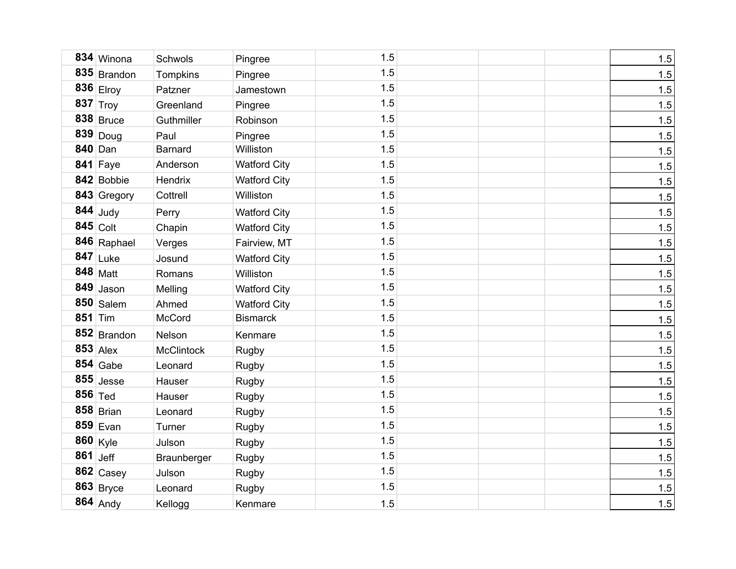|           | 834 Winona       | Schwols           | Pingree             | 1.5 | 1.5 |
|-----------|------------------|-------------------|---------------------|-----|-----|
|           | $835$ Brandon    | Tompkins          | Pingree             | 1.5 | 1.5 |
|           | $836$ Elroy      | Patzner           | Jamestown           | 1.5 | 1.5 |
|           | 837 $ T_{roy} $  | Greenland         | Pingree             | 1.5 | 1.5 |
|           | $838$ Bruce      | Guthmiller        | Robinson            | 1.5 | 1.5 |
|           | 839 Doug         | Paul              | Pingree             | 1.5 | 1.5 |
| 840 Dan   |                  | <b>Barnard</b>    | Williston           | 1.5 | 1.5 |
|           | 841 Faye         | Anderson          | <b>Watford City</b> | 1.5 | 1.5 |
|           | 842 Bobbie       | Hendrix           | <b>Watford City</b> | 1.5 | 1.5 |
|           | 843 Gregory      | Cottrell          | Williston           | 1.5 | 1.5 |
|           | $844$ Judy       | Perry             | <b>Watford City</b> | 1.5 | 1.5 |
|           | $845$ Colt       | Chapin            | <b>Watford City</b> | 1.5 | 1.5 |
|           | 846 Raphael      | Verges            | Fairview, MT        | 1.5 | 1.5 |
|           | $847$ Luke       | Josund            | <b>Watford City</b> | 1.5 | 1.5 |
|           | $848$ Matt       | Romans            | Williston           | 1.5 | 1.5 |
|           | $849$ Jason      | Melling           | <b>Watford City</b> | 1.5 | 1.5 |
|           | $850$ Salem      | Ahmed             | <b>Watford City</b> | 1.5 | 1.5 |
| 851       | Tim              | McCord            | <b>Bismarck</b>     | 1.5 | 1.5 |
|           | 852 Brandon      | Nelson            | Kenmare             | 1.5 | 1.5 |
|           | $853$ Alex       | <b>McClintock</b> | Rugby               | 1.5 | 1.5 |
|           | $854$ Gabe       | Leonard           | <b>Rugby</b>        | 1.5 | 1.5 |
|           | $855$ Jesse      | Hauser            | Rugby               | 1.5 | 1.5 |
| 856 $Ted$ |                  | Hauser            | <b>Rugby</b>        | 1.5 | 1.5 |
|           | $858$ Brian      | Leonard           | Rugby               | 1.5 | 1.5 |
|           | $859$ Evan       | Turner            | Rugby               | 1.5 | 1.5 |
|           | $860 \vert$ Kyle | Julson            | Rugby               | 1.5 | 1.5 |
| 861 Jeff  |                  | Braunberger       | Rugby               | 1.5 | 1.5 |
|           | $862$ Casey      | Julson            | Rugby               | 1.5 | 1.5 |
|           | $863$ Bryce      | Leonard           | Rugby               | 1.5 | 1.5 |
|           | 864 Andy         | Kellogg           | Kenmare             | 1.5 | 1.5 |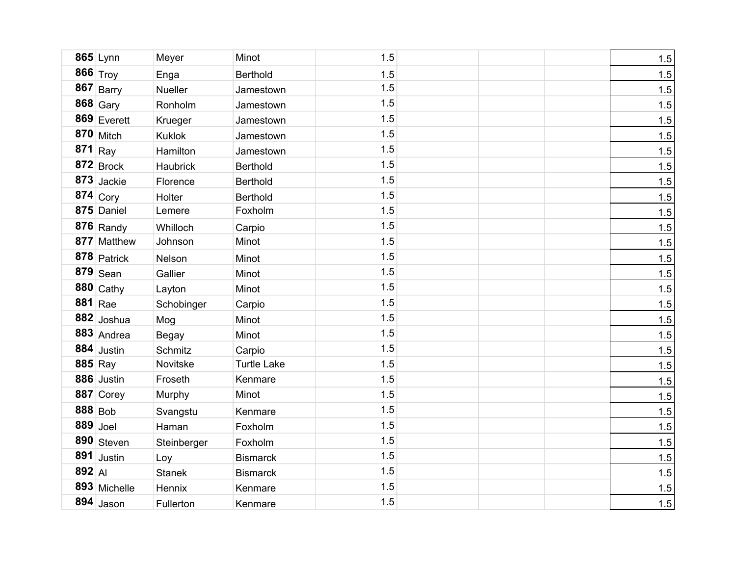|            | $865$ Lynn    | Meyer          | Minot              | 1.5 |  | 1.5 |
|------------|---------------|----------------|--------------------|-----|--|-----|
|            | 866 Troy      | Enga           | <b>Berthold</b>    | 1.5 |  | 1.5 |
| 867        | Barry         | <b>Nueller</b> | Jamestown          | 1.5 |  | 1.5 |
|            | $868$ Gary    | Ronholm        | Jamestown          | 1.5 |  | 1.5 |
|            | $869$ Everett | Krueger        | Jamestown          | 1.5 |  | 1.5 |
|            | $870$ Mitch   | Kuklok         | Jamestown          | 1.5 |  | 1.5 |
| 871        | Ray           | Hamilton       | Jamestown          | 1.5 |  | 1.5 |
|            | $872$ Brock   | Haubrick       | <b>Berthold</b>    | 1.5 |  | 1.5 |
|            | 873 Jackie    | Florence       | <b>Berthold</b>    | 1.5 |  | 1.5 |
|            | 874 $Cory$    | Holter         | <b>Berthold</b>    | 1.5 |  | 1.5 |
|            | 875 Daniel    | Lemere         | Foxholm            | 1.5 |  | 1.5 |
|            | $876$ Randy   | Whilloch       | Carpio             | 1.5 |  | 1.5 |
|            | 877 Matthew   | Johnson        | Minot              | 1.5 |  | 1.5 |
|            | 878 Patrick   | Nelson         | Minot              | 1.5 |  | 1.5 |
|            | $879$ Sean    | Gallier        | Minot              | 1.5 |  | 1.5 |
|            | $880$ Cathy   | Layton         | Minot              | 1.5 |  | 1.5 |
|            | $881$ Rae     | Schobinger     | Carpio             | 1.5 |  | 1.5 |
|            | $882$ Joshua  | Mog            | Minot              | 1.5 |  | 1.5 |
|            | 883 Andrea    | <b>Begay</b>   | Minot              | 1.5 |  | 1.5 |
|            | $884$ Justin  | <b>Schmitz</b> | Carpio             | 1.5 |  | 1.5 |
| 885 Ray    |               | Novitske       | <b>Turtle Lake</b> | 1.5 |  | 1.5 |
|            | 886 Justin    | Froseth        | Kenmare            | 1.5 |  | 1.5 |
|            | 887 Corey     | Murphy         | Minot              | 1.5 |  | 1.5 |
| $888$ Bob  |               | Svangstu       | Kenmare            | 1.5 |  | 1.5 |
| $889$ Joel |               | Haman          | Foxholm            | 1.5 |  | 1.5 |
|            | 890 Steven    | Steinberger    | Foxholm            | 1.5 |  | 1.5 |
|            | $891$ Justin  | Loy            | <b>Bismarck</b>    | 1.5 |  | 1.5 |
| $892$ Al   |               | <b>Stanek</b>  | <b>Bismarck</b>    | 1.5 |  | 1.5 |
|            | 893 Michelle  | Hennix         | Kenmare            | 1.5 |  | 1.5 |
|            | $894$ Jason   | Fullerton      | Kenmare            | 1.5 |  | 1.5 |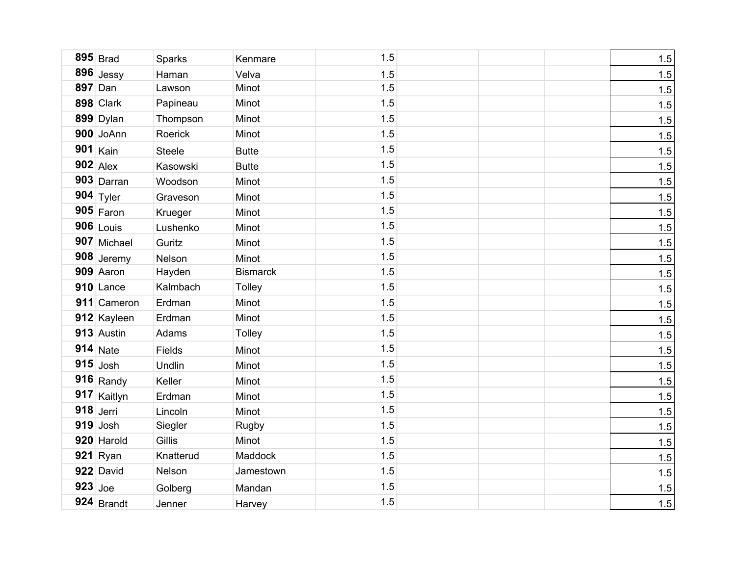|           | $895$ Brad   | Sparks        | Kenmare         | 1.5 |  | 1.5 |
|-----------|--------------|---------------|-----------------|-----|--|-----|
|           | $896$ Jessy  | Haman         | Velva           | 1.5 |  | 1.5 |
|           | 897 Dan      | Lawson        | Minot           | 1.5 |  | 1.5 |
|           | 898 Clark    | Papineau      | Minot           | 1.5 |  | 1.5 |
|           | 899 Dylan    | Thompson      | Minot           | 1.5 |  | 1.5 |
|           | 900 JoAnn    | Roerick       | Minot           | 1.5 |  | 1.5 |
| 901       | Kain         | <b>Steele</b> | <b>Butte</b>    | 1.5 |  | 1.5 |
|           | $902$ Alex   | Kasowski      | <b>Butte</b>    | 1.5 |  | 1.5 |
|           | $903$ Darran | Woodson       | Minot           | 1.5 |  | 1.5 |
|           | $904$ Tyler  | Graveson      | Minot           | 1.5 |  | 1.5 |
|           | $905$ Faron  | Krueger       | Minot           | 1.5 |  | 1.5 |
|           | $906$ Louis  | Lushenko      | Minot           | 1.5 |  | 1.5 |
|           | 907 Michael  | Guritz        | Minot           | 1.5 |  | 1.5 |
|           | 908 Jeremy   | Nelson        | Minot           | 1.5 |  | 1.5 |
|           | 909 Aaron    | Hayden        | <b>Bismarck</b> | 1.5 |  | 1.5 |
|           | 910 Lance    | Kalmbach      | Tolley          | 1.5 |  | 1.5 |
|           | 911 Cameron  | Erdman        | Minot           | 1.5 |  | 1.5 |
|           | 912 Kayleen  | Erdman        | Minot           | 1.5 |  | 1.5 |
|           | 913 Austin   | Adams         | Tolley          | 1.5 |  | 1.5 |
|           | $914$ Nate   | Fields        | Minot           | 1.5 |  | 1.5 |
|           | $915$ Josh   | Undlin        | Minot           | 1.5 |  | 1.5 |
|           | $916$ Randy  | Keller        | Minot           | 1.5 |  | 1.5 |
|           | 917 Kaitlyn  | Erdman        | Minot           | 1.5 |  | 1.5 |
|           | $918$ Jerri  | Lincoln       | Minot           | 1.5 |  | 1.5 |
|           | $919$ Josh   | Siegler       | Rugby           | 1.5 |  | 1.5 |
|           | 920 Harold   | Gillis        | Minot           | 1.5 |  | 1.5 |
|           | $921$ Ryan   | Knatterud     | Maddock         | 1.5 |  | 1.5 |
|           | 922 David    | Nelson        | Jamestown       | 1.5 |  | 1.5 |
| $923$ Joe |              | Golberg       | Mandan          | 1.5 |  | 1.5 |
|           | $924$ Brandt | Jenner        | Harvey          | 1.5 |  | 1.5 |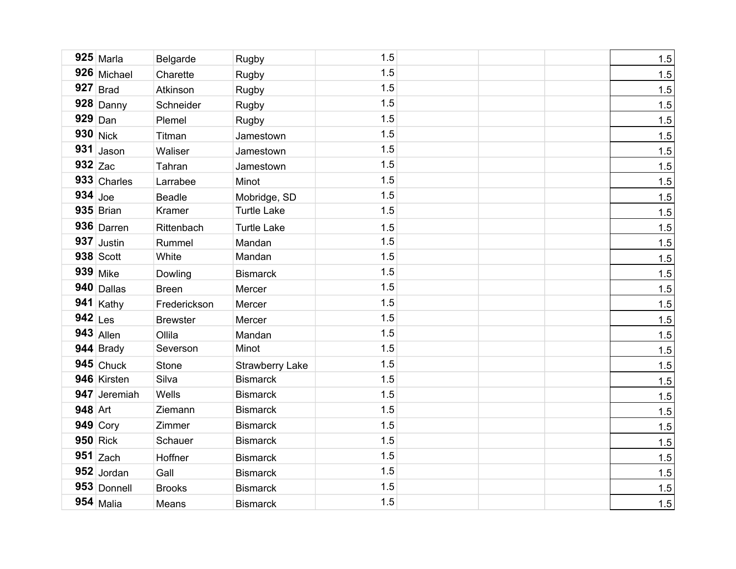|           | $925$ Marla      | Belgarde        | Rugby                  | 1.5 | 1.5 |
|-----------|------------------|-----------------|------------------------|-----|-----|
|           | 926 Michael      | Charette        | Rugby                  | 1.5 | 1.5 |
|           | $927$ Brad       | Atkinson        | Rugby                  | 1.5 | 1.5 |
|           | $928$ Danny      | Schneider       | Rugby                  | 1.5 | 1.5 |
|           | $929$ Dan        | Plemel          | Rugby                  | 1.5 | 1.5 |
|           | $930$ Nick       | Titman          | Jamestown              | 1.5 | 1.5 |
|           | $931$ Jason      | Waliser         | Jamestown              | 1.5 | 1.5 |
| $932$ Zac |                  | Tahran          | Jamestown              | 1.5 | 1.5 |
|           | 933 Charles      | Larrabee        | Minot                  | 1.5 | 1.5 |
| $934$ Joe |                  | <b>Beadle</b>   | Mobridge, SD           | 1.5 | 1.5 |
|           | $935$ Brian      | Kramer          | <b>Turtle Lake</b>     | 1.5 | 1.5 |
|           | 936 Darren       | Rittenbach      | <b>Turtle Lake</b>     | 1.5 | 1.5 |
|           | $937$ Justin     | Rummel          | Mandan                 | 1.5 | 1.5 |
|           | <b>938 Scott</b> | White           | Mandan                 | 1.5 | 1.5 |
|           | 939 Mike         | Dowling         | <b>Bismarck</b>        | 1.5 | 1.5 |
|           | 940 Dallas       | <b>Breen</b>    | Mercer                 | 1.5 | 1.5 |
|           | $941$ Kathy      | Frederickson    | Mercer                 | 1.5 | 1.5 |
| $942$ Les |                  | <b>Brewster</b> | Mercer                 | 1.5 | 1.5 |
|           | $943$ Allen      | Ollila          | Mandan                 | 1.5 | 1.5 |
|           | $944$ Brady      | Severson        | Minot                  | 1.5 | 1.5 |
|           | $945$ Chuck      | <b>Stone</b>    | <b>Strawberry Lake</b> | 1.5 | 1.5 |
|           | 946 Kirsten      | Silva           | <b>Bismarck</b>        | 1.5 | 1.5 |
|           | 947 Jeremiah     | Wells           | <b>Bismarck</b>        | 1.5 | 1.5 |
| 948 Art   |                  | Ziemann         | <b>Bismarck</b>        | 1.5 | 1.5 |
|           | $949$ Cory       | Zimmer          | <b>Bismarck</b>        | 1.5 | 1.5 |
|           | $950$ Rick       | Schauer         | <b>Bismarck</b>        | 1.5 | 1.5 |
|           | $951$ Zach       | Hoffner         | <b>Bismarck</b>        | 1.5 | 1.5 |
|           | 952 Jordan       | Gall            | <b>Bismarck</b>        | 1.5 | 1.5 |
|           | 953 Donnell      | <b>Brooks</b>   | <b>Bismarck</b>        | 1.5 | 1.5 |
|           | $954$ Malia      | Means           | <b>Bismarck</b>        | 1.5 | 1.5 |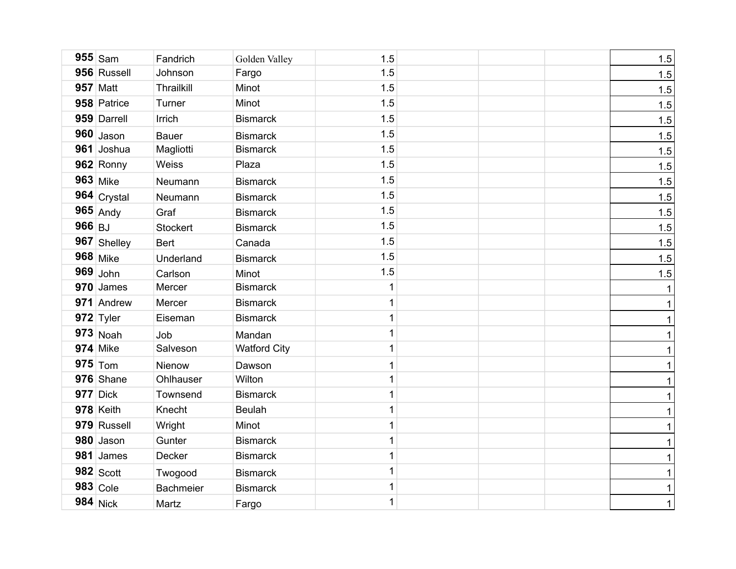|          | $955$ Sam       | Fandrich         | Golden Valley       | 1.5          |  | 1.5          |
|----------|-----------------|------------------|---------------------|--------------|--|--------------|
|          | 956 Russell     | Johnson          | Fargo               | 1.5          |  | 1.5          |
|          | <b>957 Matt</b> | Thrailkill       | Minot               | 1.5          |  | 1.5          |
|          | 958 Patrice     | Turner           | Minot               | 1.5          |  | $1.5$        |
|          | 959 Darrell     | Irrich           | <b>Bismarck</b>     | 1.5          |  | 1.5          |
|          | $960$ Jason     | <b>Bauer</b>     | <b>Bismarck</b>     | 1.5          |  | 1.5          |
|          | 961 Joshua      | Magliotti        | <b>Bismarck</b>     | 1.5          |  | 1.5          |
|          | 962 Ronny       | Weiss            | Plaza               | 1.5          |  | 1.5          |
|          | <b>963</b> Mike | Neumann          | <b>Bismarck</b>     | 1.5          |  | 1.5          |
|          | 964 Crystal     | Neumann          | <b>Bismarck</b>     | 1.5          |  | 1.5          |
|          | $965$ Andy      | Graf             | <b>Bismarck</b>     | 1.5          |  | 1.5          |
| $966$ BJ |                 | Stockert         | <b>Bismarck</b>     | 1.5          |  | 1.5          |
|          | 967 Shelley     | <b>Bert</b>      | Canada              | 1.5          |  | 1.5          |
|          | <b>968</b> Mike | Underland        | <b>Bismarck</b>     | 1.5          |  | 1.5          |
|          | $969$ John      | Carlson          | Minot               | 1.5          |  | 1.5          |
|          | $970$ James     | Mercer           | <b>Bismarck</b>     | 1            |  | 1            |
|          | 971 Andrew      | Mercer           | <b>Bismarck</b>     | $\mathbf 1$  |  | 1            |
|          | 972 Tyler       | Eiseman          | <b>Bismarck</b>     | 1            |  | 1            |
|          | $973$ Noah      | Job              | Mandan              | 1            |  | 1            |
|          | <b>974</b> Mike | Salveson         | <b>Watford City</b> | 1            |  | 1            |
|          | $975$ Tom       | Nienow           | Dawson              | $\mathbf{1}$ |  | 1            |
|          | 976 Shane       | Ohlhauser        | Wilton              | 1            |  | 1            |
|          | <b>977</b> Dick | Townsend         | <b>Bismarck</b>     | $\mathbf{1}$ |  | 1            |
|          | 978 Keith       | Knecht           | <b>Beulah</b>       | 1            |  | $\mathbf{1}$ |
|          | 979 Russell     | Wright           | Minot               | 1            |  | $\mathbf{1}$ |
|          | 980 Jason       | Gunter           | <b>Bismarck</b>     | 1            |  | $\mathbf{1}$ |
|          | 981 James       | Decker           | <b>Bismarck</b>     | $\mathbf{1}$ |  | 1            |
|          | $982$ Scott     | Twogood          | <b>Bismarck</b>     | 1            |  | $\mathbf{1}$ |
|          | $983$ Cole      | <b>Bachmeier</b> | <b>Bismarck</b>     | $\mathbf{1}$ |  | $\mathbf{1}$ |
|          | $984$ Nick      | Martz            | Fargo               | $\mathbf{1}$ |  | $\mathbf{1}$ |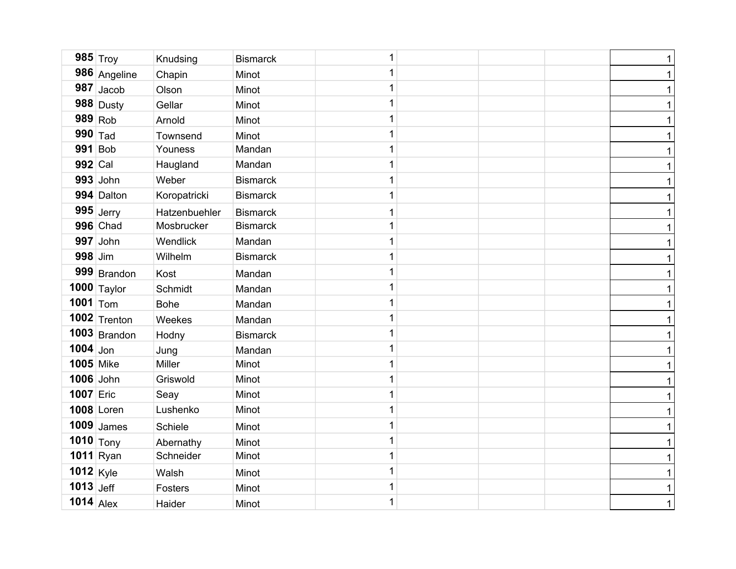|                  | 985 $_{Troy}$   | Knudsing      | <b>Bismarck</b> | 1 |  | $\mathbf{1}$ |
|------------------|-----------------|---------------|-----------------|---|--|--------------|
|                  | 986 Angeline    | Chapin        | Minot           | 1 |  | $\mathbf{1}$ |
|                  | $987$ Jacob     | Olson         | Minot           | 1 |  | $\mathbf{1}$ |
|                  | $988$ Dusty     | Gellar        | Minot           | 1 |  | $\mathbf{1}$ |
|                  | $989$ Rob       | Arnold        | Minot           | 1 |  | $\mathbf{1}$ |
| $990$ Tad        |                 | Townsend      | Minot           | 1 |  | $\mathbf{1}$ |
|                  | 991 Bob         | Youness       | Mandan          | 1 |  | $\mathbf{1}$ |
| 992 Cal          |                 | Haugland      | Mandan          | 1 |  | $\mathbf{1}$ |
|                  | $993$ John      | Weber         | <b>Bismarck</b> | 1 |  | $\mathbf{1}$ |
|                  | 994 Dalton      | Koropatricki  | <b>Bismarck</b> | 1 |  | $\mathbf{1}$ |
|                  | $995$ Jerry     | Hatzenbuehler | <b>Bismarck</b> | 1 |  | 1            |
|                  | <b>996</b> Chad | Mosbrucker    | <b>Bismarck</b> | 1 |  | $\mathbf{1}$ |
|                  | $997$ John      | Wendlick      | Mandan          | 1 |  | $\mathbf{1}$ |
| 998 Jim          |                 | Wilhelm       | <b>Bismarck</b> | 1 |  | $\mathbf 1$  |
|                  | 999 Brandon     | Kost          | Mandan          | 1 |  | 1            |
|                  | $1000$ Taylor   | Schmidt       | Mandan          | 1 |  | $\mathbf{1}$ |
| 1001 $ _{Tom}$   |                 | <b>Bohe</b>   | Mandan          | 1 |  | $\mathbf{1}$ |
|                  | $1002$ Trenton  | Weekes        | Mandan          | 1 |  | $\mathbf 1$  |
|                  | $1003$ Brandon  | Hodny         | <b>Bismarck</b> | 1 |  | 1            |
| $1004$ Jon       |                 | Jung          | Mandan          | 1 |  | $\mathbf{1}$ |
| <b>1005 Mike</b> |                 | Miller        | Minot           | 1 |  | $\mathbf{1}$ |
|                  | 1006 John       | Griswold      | Minot           | 1 |  | $\mathbf 1$  |
| 1007 Eric        |                 | Seay          | Minot           | 1 |  | $\mathbf{1}$ |
|                  | 1008 Loren      | Lushenko      | Minot           | 1 |  | $\mathbf{1}$ |
|                  | $1009$ James    | Schiele       | Minot           | 1 |  | $\mathbf{1}$ |
|                  | $1010$ Tony     | Abernathy     | Minot           | 1 |  | $\mathbf{1}$ |
|                  | $1011$ Ryan     | Schneider     | Minot           | 1 |  | $\mathbf 1$  |
| 1012 Kyle        |                 | Walsh         | Minot           | 1 |  | $\mathbf{1}$ |
| 1013 Jeff        |                 | Fosters       | Minot           | 1 |  | $\mathbf 1$  |
| $1014$ Alex      |                 | Haider        | Minot           | 1 |  | $\mathbf{1}$ |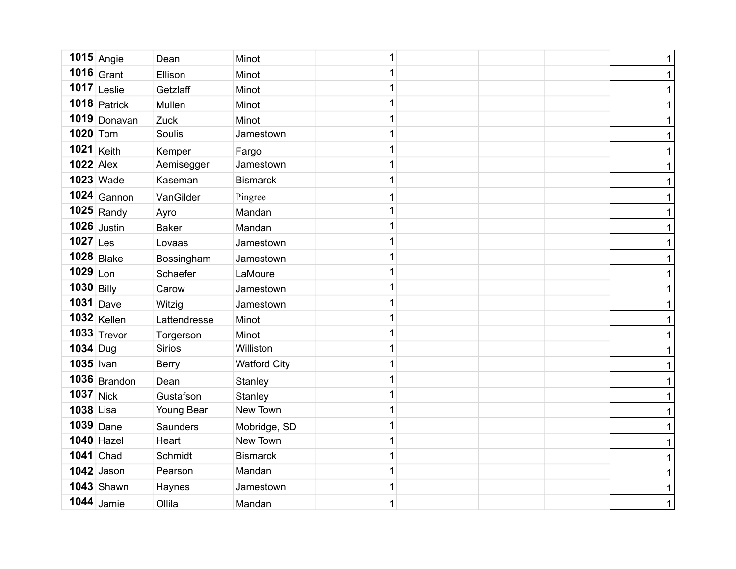| $1015$ Angie      | Dean          | Minot               | 1            |  | $\mathbf{1}$ |
|-------------------|---------------|---------------------|--------------|--|--------------|
| 1016 Grant        | Ellison       | Minot               | 1            |  | $\mathbf{1}$ |
| $1017$ Leslie     | Getzlaff      | Minot               | $\mathbf 1$  |  | $\mathbf{1}$ |
| $1018$ Patrick    | Mullen        | Minot               | $\mathbf 1$  |  | $\mathbf{1}$ |
| 1019 Donavan      | Zuck          | Minot               | $\mathbf{1}$ |  | $\mathbf{1}$ |
| 1020 Tom          | Soulis        | Jamestown           | 1            |  | $\mathbf{1}$ |
| 1021 Keith        | Kemper        | Fargo               | $\mathbf 1$  |  | $\mathbf{1}$ |
| $1022$ Alex       | Aemisegger    | Jamestown           | $\mathbf{1}$ |  | $\mathbf{1}$ |
| <b>1023 Wade</b>  | Kaseman       | <b>Bismarck</b>     | $\mathbf{1}$ |  | $\mathbf{1}$ |
| $1024$ Gannon     | VanGilder     | Pingree             | $\mathbf 1$  |  | $\mathbf{1}$ |
| $1025$ Randy      | Ayro          | Mandan              | $\mathbf{1}$ |  | $\mathbf{1}$ |
| $1026$ Justin     | <b>Baker</b>  | Mandan              | $\mathbf{1}$ |  | $\mathbf{1}$ |
| $1027$ Les        | Lovaas        | Jamestown           | $\mathbf 1$  |  | $\mathbf{1}$ |
| <b>1028</b> Blake | Bossingham    | Jamestown           | $\mathbf 1$  |  | $\mathbf{1}$ |
| $1029$ Lon        | Schaefer      | LaMoure             | $\mathbf{1}$ |  | $\mathbf 1$  |
| $1030$ Billy      | Carow         | Jamestown           | $\mathbf 1$  |  | $\mathbf{1}$ |
| $1031$ Dave       | Witzig        | Jamestown           | $\mathbf 1$  |  | $\mathbf{1}$ |
| $1032$ Kellen     | Lattendresse  | Minot               | $\mathbf 1$  |  | $\mathbf{1}$ |
| $1033$ Trevor     | Torgerson     | Minot               | $\mathbf 1$  |  | 1            |
| $1034$ Dug        | <b>Sirios</b> | Williston           | $\mathbf 1$  |  | $\mathbf{1}$ |
| 1035 Ivan         | <b>Berry</b>  | <b>Watford City</b> | $\mathbf 1$  |  | 1            |
| $1036$ Brandon    | Dean          | Stanley             | $\mathbf 1$  |  | $\mathbf 1$  |
| <b>1037</b> Nick  | Gustafson     | Stanley             | $\mathbf 1$  |  | 1            |
| 1038 Lisa         | Young Bear    | New Town            | $\mathbf 1$  |  | $\mathbf 1$  |
| $1039$ Dane       | Saunders      | Mobridge, SD        | $\mathbf{1}$ |  | 1            |
| $1040$ Hazel      | Heart         | New Town            | $\mathbf 1$  |  | $\mathbf{1}$ |
| <b>1041</b> Chad  | Schmidt       | <b>Bismarck</b>     | $\mathbf{1}$ |  | 1            |
| $1042$ Jason      | Pearson       | Mandan              | $\mathbf{1}$ |  | $\mathbf{1}$ |
| <b>1043</b> Shawn | Haynes        | Jamestown           | $\mathbf 1$  |  | 1            |
| $1044$ Jamie      | Ollila        | Mandan              | $\mathbf{1}$ |  | $\mathbf{1}$ |
|                   |               |                     |              |  |              |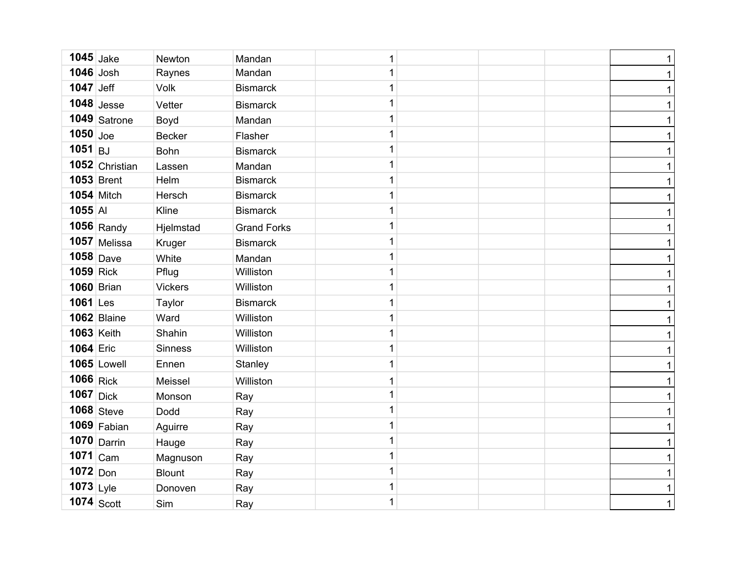| $1045$ Jake       |                   | Newton         | Mandan             | 1            |  | $\mathbf{1}$ |
|-------------------|-------------------|----------------|--------------------|--------------|--|--------------|
| $1046$ Josh       |                   | Raynes         | Mandan             | 1            |  | $\mathbf 1$  |
| $1047$ Jeff       |                   | <b>Volk</b>    | <b>Bismarck</b>    | $\mathbf 1$  |  | $\mathbf{1}$ |
|                   | $1048$ Jesse      | Vetter         | <b>Bismarck</b>    | $\mathbf 1$  |  | $\mathbf{1}$ |
|                   | 1049 Satrone      | Boyd           | Mandan             | 1            |  | $\mathbf{1}$ |
| $1050$ Joe        |                   | <b>Becker</b>  | Flasher            | 1            |  | $\mathbf{1}$ |
| $1051$ BJ         |                   | Bohn           | <b>Bismarck</b>    | $\mathbf 1$  |  | $\mathbf{1}$ |
|                   | 1052 Christian    | Lassen         | Mandan             | $\mathbf 1$  |  | $\mathbf{1}$ |
|                   | <b>1053</b> Brent | Helm           | <b>Bismarck</b>    | $\mathbf{1}$ |  | $\mathbf{1}$ |
|                   | $1054$ Mitch      | Hersch         | <b>Bismarck</b>    | $\mathbf 1$  |  | $\mathbf{1}$ |
| $1055$ AI         |                   | Kline          | <b>Bismarck</b>    | $\mathbf{1}$ |  | $\mathbf{1}$ |
|                   | $1056$ Randy      | Hjelmstad      | <b>Grand Forks</b> | $\mathbf{1}$ |  | $\mathbf{1}$ |
|                   | $1057$ Melissa    | Kruger         | <b>Bismarck</b>    | $\mathbf 1$  |  | $\mathbf{1}$ |
|                   | $1058$ Dave       | White          | Mandan             | $\mathbf 1$  |  | $\mathbf{1}$ |
| $1059$ Rick       |                   | Pflug          | Williston          | $\mathbf 1$  |  | $\mathbf 1$  |
|                   | <b>1060</b> Brian | <b>Vickers</b> | Williston          | $\mathbf 1$  |  | $\mathbf{1}$ |
| $1061$ Les        |                   | Taylor         | <b>Bismarck</b>    | $\mathbf 1$  |  | $\mathbf 1$  |
|                   | 1062 Blaine       | Ward           | Williston          | $\mathbf 1$  |  | $\mathbf{1}$ |
| <b>1063 Keith</b> |                   | Shahin         | Williston          | $\mathbf 1$  |  | 1            |
| 1064 Eric         |                   | <b>Sinness</b> | Williston          | $\mathbf 1$  |  | $\mathbf{1}$ |
|                   | 1065 Lowell       | Ennen          | Stanley            | $\mathbf 1$  |  | 1            |
| 1066 Rick         |                   | Meissel        | Williston          | 1            |  | $\mathbf 1$  |
| $1067$ Dick       |                   | Monson         | Ray                | $\mathbf 1$  |  | 1            |
|                   | $1068$ Steve      | Dodd           | Ray                | $\mathbf 1$  |  | 1            |
|                   | $1069$ Fabian     | Aguirre        | Ray                | $\mathbf{1}$ |  | 1            |
|                   | $1070$ Darrin     | Hauge          | Ray                | $\mathbf 1$  |  | 1            |
| $1071$ Cam        |                   | Magnuson       | Ray                | $\mathbf 1$  |  | 1            |
| $1072$ Don        |                   | <b>Blount</b>  | Ray                | $\mathbf{1}$ |  | $\mathbf{1}$ |
| $1073$ Lyle       |                   | Donoven        | Ray                | $\mathbf 1$  |  | $\mathbf{1}$ |
|                   | $1074$ Scott      | Sim            | Ray                | $\mathbf 1$  |  | $\mathbf{1}$ |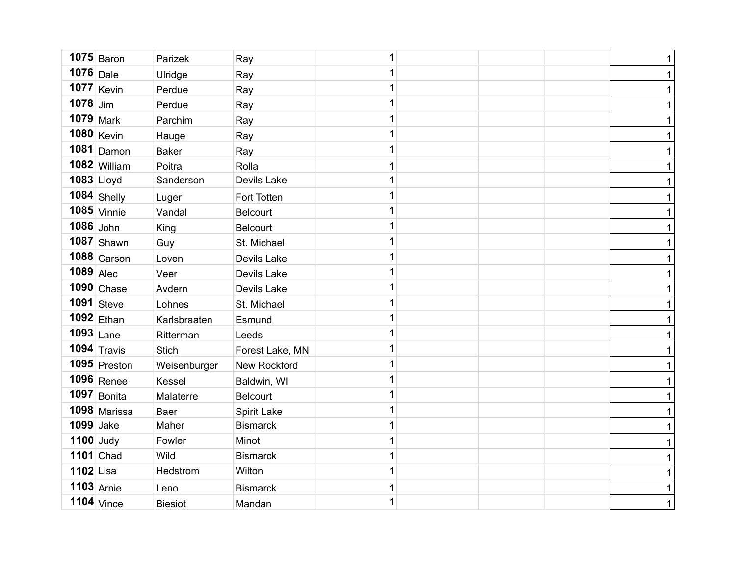|              | $1075$ Baron     | Parizek        | Ray                 | 1 |  | $\mathbf{1}$ |
|--------------|------------------|----------------|---------------------|---|--|--------------|
| $1076$ Dale  |                  | Ulridge        | Ray                 | 1 |  | $\mathbf{1}$ |
|              | $1077$ Kevin     | Perdue         | Ray                 | 1 |  | $\mathbf{1}$ |
| $1078$ Jim   |                  | Perdue         | Ray                 | 1 |  | $\mathbf{1}$ |
| $1079$ Mark  |                  | Parchim        | Ray                 | 1 |  | $\mathbf{1}$ |
|              | 1080 Kevin       | Hauge          | Ray                 | 1 |  | $\mathbf{1}$ |
|              | $1081$ Damon     | <b>Baker</b>   | Ray                 | 1 |  | $\mathbf{1}$ |
|              | 1082 William     | Poitra         | Rolla               | 1 |  | $\mathbf{1}$ |
| $1083$ Lloyd |                  | Sanderson      | Devils Lake         | 1 |  | $\mathbf{1}$ |
|              | 1084 Shelly      | Luger          | Fort Totten         | 1 |  | $\mathbf{1}$ |
|              | $1085$ Vinnie    | Vandal         | <b>Belcourt</b>     | 1 |  | $\mathbf{1}$ |
| $1086$ John  |                  | King           | <b>Belcourt</b>     | 1 |  | $\mathbf{1}$ |
|              | $1087$ Shawn     | Guy            | St. Michael         | 1 |  | $\mathbf{1}$ |
|              | $1088$ Carson    | Loven          | Devils Lake         | 1 |  | $\mathbf{1}$ |
| $1089$ Alec  |                  | Veer           | Devils Lake         | 1 |  | $\mathbf{1}$ |
|              | $1090$ Chase     | Avdern         | Devils Lake         | 1 |  | $\mathbf 1$  |
|              | $1091$ Steve     | Lohnes         | St. Michael         | 1 |  | $\mathbf{1}$ |
|              | $1092$ Ethan     | Karlsbraaten   | Esmund              | 1 |  | $\mathbf 1$  |
| $1093$ Lane  |                  | Ritterman      | Leeds               | 1 |  | $\mathbf 1$  |
|              | $1094$ Travis    | <b>Stich</b>   | Forest Lake, MN     | 1 |  | $\mathbf{1}$ |
|              | $1095$ Preston   | Weisenburger   | <b>New Rockford</b> | 1 |  | 1            |
|              | $1096$ Renee     | Kessel         | Baldwin, WI         | 1 |  | $\mathbf 1$  |
|              | $1097$ Bonita    | Malaterre      | <b>Belcourt</b>     | 1 |  | 1            |
|              | 1098 Marissa     | Baer           | Spirit Lake         | 1 |  | $\mathbf 1$  |
| 1099 Jake    |                  | Maher          | <b>Bismarck</b>     | 1 |  | $\mathbf{1}$ |
| $1100$ Judy  |                  | Fowler         | Minot               | 1 |  | $\mathbf 1$  |
|              | <b>1101</b> Chad | Wild           | <b>Bismarck</b>     | 1 |  | 1            |
| 1102 Lisa    |                  | Hedstrom       | Wilton              | 1 |  | $\mathbf 1$  |
| $1103$ Arnie |                  | Leno           | <b>Bismarck</b>     | 1 |  | $\mathbf 1$  |
|              | $1104$ Vince     | <b>Biesiot</b> | Mandan              | 1 |  | $\mathbf 1$  |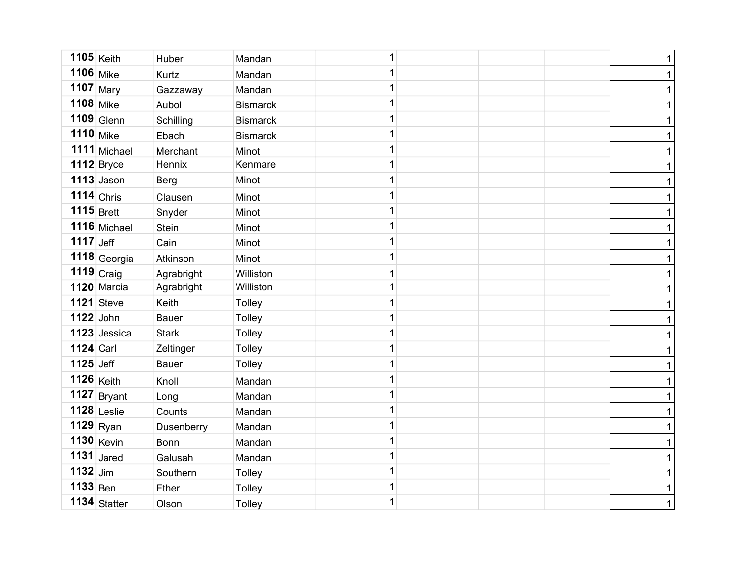| $1105$ Keith      |              | Huber        | Mandan          | 1            |  | 1            |
|-------------------|--------------|--------------|-----------------|--------------|--|--------------|
| 1106 Mike         |              | Kurtz        | Mandan          | 1            |  | $\mathbf{1}$ |
| 1107 Mary         |              | Gazzaway     | Mandan          | $\mathbf 1$  |  | 1            |
| <b>1108</b> Mike  |              | Aubol        | <b>Bismarck</b> | 1            |  | $\mathbf 1$  |
| $1109$ Glenn      |              | Schilling    | <b>Bismarck</b> | $\mathbf 1$  |  | 1            |
| <b>1110</b> Mike  |              | Ebach        | <b>Bismarck</b> | 1            |  | $\mathbf 1$  |
|                   | 1111 Michael | Merchant     | Minot           | $\mathbf 1$  |  | 1            |
| <b>1112</b> Bryce |              | Hennix       | Kenmare         | 1            |  | 1            |
| $1113$ Jason      |              | <b>Berg</b>  | Minot           | $\mathbf{1}$ |  | 1            |
| $1114$ Chris      |              | Clausen      | Minot           | 1            |  | 1            |
| $1115$ Brett      |              | Snyder       | Minot           | $\mathbf 1$  |  | 1            |
|                   | 1116 Michael | <b>Stein</b> | Minot           | $\mathbf 1$  |  | 1            |
| $1117$ Jeff       |              | Cain         | Minot           | $\mathbf{1}$ |  | 1            |
|                   | 1118 Georgia | Atkinson     | Minot           | 1            |  | 1            |
| $1119$ Craig      |              | Agrabright   | Williston       | $\mathbf{1}$ |  | 1            |
| 1120 Marcia       |              | Agrabright   | Williston       | 1            |  | 1            |
| <b>1121</b> Steve |              | Keith        | Tolley          | $\mathbf{1}$ |  | 1            |
| 1122 John         |              | <b>Bauer</b> | Tolley          | 1            |  | $\mathbf 1$  |
| 1123 Jessica      |              | <b>Stark</b> | Tolley          | $\mathbf 1$  |  | 1            |
| <b>1124 Carl</b>  |              | Zeltinger    | <b>Tolley</b>   | 1            |  | 1            |
| <b>1125</b> Jeff  |              | <b>Bauer</b> | Tolley          | $\mathbf{1}$ |  | 1            |
| $1126$ Keith      |              | Knoll        | Mandan          | 1            |  | $\mathbf 1$  |
| $1127$ Bryant     |              | Long         | Mandan          | $\mathbf{1}$ |  | 1            |
| $1128$ Leslie     |              | Counts       | Mandan          | $\mathbf{1}$ |  | $\mathbf 1$  |
| $1129$ Ryan       |              | Dusenberry   | Mandan          | $\mathbf{1}$ |  | 1            |
| $1130$ Kevin      |              | <b>Bonn</b>  | Mandan          | 1            |  | 1            |
| 1131 $Jared$      |              | Galusah      | Mandan          | $\mathbf{1}$ |  | 1            |
| $1132$ Jim        |              | Southern     | Tolley          | $\mathbf 1$  |  | 1            |
| $1133$ Ben        |              | Ether        | <b>Tolley</b>   | $\mathbf 1$  |  | 1            |
| 1134 Statter      |              | Olson        | <b>Tolley</b>   | $\mathbf 1$  |  | $\mathbf{1}$ |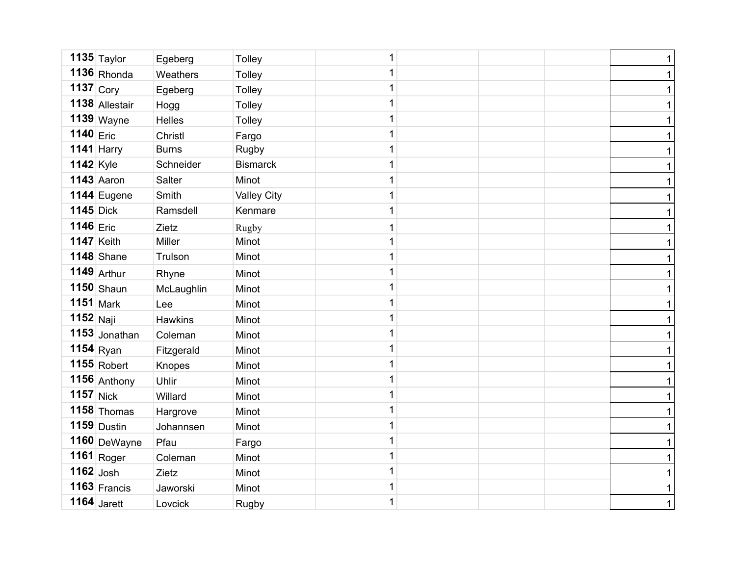|                  | $1135$ Taylor  | Egeberg       | Tolley             | 1            |  | $\mathbf{1}$ |
|------------------|----------------|---------------|--------------------|--------------|--|--------------|
|                  | $1136$ Rhonda  | Weathers      | Tolley             | 1            |  | $\mathbf 1$  |
| $1137$ Cory      |                | Egeberg       | Tolley             | 1            |  | $\mathbf{1}$ |
|                  | 1138 Allestair | Hogg          | <b>Tolley</b>      | 1            |  | $\mathbf 1$  |
|                  | $1139$ Wayne   | <b>Helles</b> | Tolley             | $\mathbf 1$  |  | $\mathbf 1$  |
| $1140$ Eric      |                | Christl       | Fargo              | 1            |  | $\mathbf{1}$ |
|                  | 1141 Harry     | <b>Burns</b>  | Rugby              | $\mathbf 1$  |  | $\mathbf 1$  |
| <b>1142</b> Kyle |                | Schneider     | <b>Bismarck</b>    | 1            |  | $\mathbf 1$  |
|                  | $1143$ Aaron   | Salter        | Minot              | $\mathbf 1$  |  | $\mathbf 1$  |
|                  | 1144 Eugene    | Smith         | <b>Valley City</b> | 1            |  | $\mathbf 1$  |
| <b>1145</b> Dick |                | Ramsdell      | Kenmare            | $\mathbf 1$  |  | 1            |
| 1146 Eric        |                | Zietz         | Rugby              | $\mathbf{1}$ |  | $\mathbf{1}$ |
| $1147$ Keith     |                | Miller        | Minot              | $\mathbf{1}$ |  | 1            |
|                  | $1148$ Shane   | Trulson       | Minot              | 1            |  | 1            |
|                  | $1149$ Arthur  | Rhyne         | Minot              | $\mathbf 1$  |  | 1            |
|                  | $1150$ Shaun   | McLaughlin    | Minot              | 1            |  | 1            |
| $1151$ Mark      |                | Lee           | Minot              | $\mathbf{1}$ |  | $\mathbf{1}$ |
| $1152$ Naji      |                | Hawkins       | Minot              | 1            |  | $\mathbf 1$  |
|                  | 1153 Jonathan  | Coleman       | Minot              | $\mathbf{1}$ |  | 1            |
|                  | $1154$ Ryan    | Fitzgerald    | Minot              | 1            |  | 1            |
|                  | $1155$ Robert  | Knopes        | Minot              | $\mathbf{1}$ |  | $\mathbf{1}$ |
|                  | 1156 Anthony   | Uhlir         | Minot              | 1            |  | $\mathbf 1$  |
| $1157$ Nick      |                | Willard       | Minot              | $\mathbf{1}$ |  | $\mathbf 1$  |
|                  | $1158$ Thomas  | Hargrove      | Minot              | 1            |  | 1            |
|                  | $1159$ Dustin  | Johannsen     | Minot              | $\mathbf{1}$ |  | $\mathbf 1$  |
|                  | 1160 DeWayne   | Pfau          | Fargo              | 1            |  | 1            |
|                  | $1161 $ Roger  | Coleman       | Minot              | $\mathbf{1}$ |  | 1            |
| $1162$ Josh      |                | Zietz         | Minot              | $\mathbf 1$  |  | 1            |
|                  | $1163$ Francis | Jaworski      | Minot              | $\mathbf 1$  |  | $\mathbf 1$  |
|                  | $1164$ Jarett  | Lovcick       | Rugby              | $\mathbf 1$  |  | $\mathbf 1$  |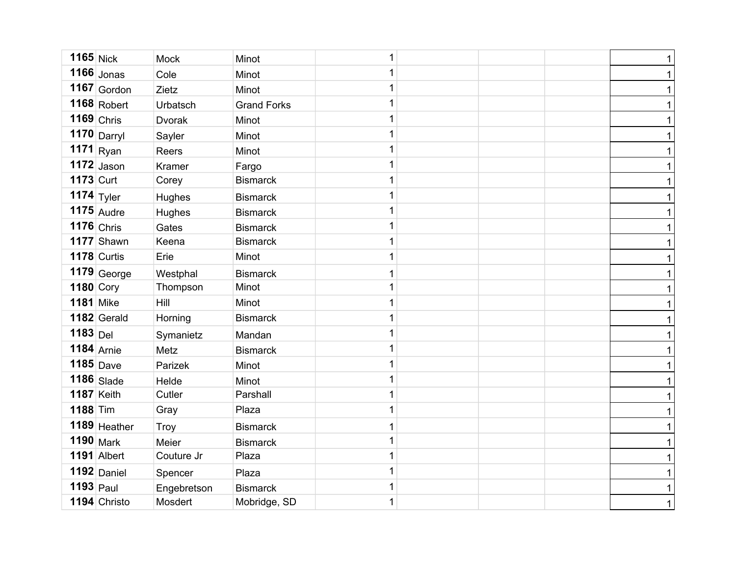| $1165$ Nick           | <b>Mock</b>                                   | Minot              | 1 |  | 1            |
|-----------------------|-----------------------------------------------|--------------------|---|--|--------------|
| $1166$ Jonas          | Cole                                          | Minot              | 1 |  | 1            |
| $1167$ Gordon         | Zietz                                         | Minot              | 1 |  | 1            |
| $1168$ Robert         | Urbatsch                                      | <b>Grand Forks</b> | 1 |  | $\mathbf 1$  |
| $1169$ Chris          | Dvorak                                        | Minot              | 1 |  | 1            |
|                       | Sayler                                        | Minot              | 1 |  | $\mathbf 1$  |
|                       | Reers                                         | Minot              | 1 |  | 1            |
| $1172$ Jason          | Kramer                                        | Fargo              | 1 |  | 1            |
| $1173$ Curt           | Corey                                         | <b>Bismarck</b>    | 1 |  | 1            |
| 1174 $\mathsf{Tyler}$ | Hughes                                        | <b>Bismarck</b>    | 1 |  | 1            |
| $1175$ Audre          | Hughes                                        | <b>Bismarck</b>    | 1 |  | 1            |
| $1176$ Chris          | Gates                                         | <b>Bismarck</b>    | 1 |  | 1            |
| 1177 Shawn            | Keena                                         | <b>Bismarck</b>    | 1 |  | 1            |
| 1178 Curtis           | Erie                                          | Minot              | 1 |  | 1            |
|                       | Westphal                                      | <b>Bismarck</b>    | 1 |  | 1            |
| 1180 Cory             | Thompson                                      | Minot              | 1 |  | 1            |
| <b>1181</b> Mike      | Hill                                          | Minot              | 1 |  | 1            |
| 1182 Gerald           | Horning                                       | <b>Bismarck</b>    | 1 |  | 1            |
| $1183$ Del            | Symanietz                                     | Mandan             | 1 |  | 1            |
| $1184$ Arnie          | Metz                                          | <b>Bismarck</b>    | 1 |  | 1            |
| $1185$ Dave           | Parizek                                       | Minot              | 1 |  | 1            |
| $1186$ Slade          | Helde                                         | Minot              | 1 |  | $\mathbf 1$  |
| $1187$ Keith          | Cutler                                        | Parshall           | 1 |  | 1            |
| $1188$ Tim            | Gray                                          | Plaza              | 1 |  | $\mathbf 1$  |
| 1189 Heather          | Troy                                          | <b>Bismarck</b>    | 1 |  | 1            |
| $1190$ Mark           | Meier                                         | <b>Bismarck</b>    | 1 |  | $\mathbf 1$  |
| 1191 Albert           | Couture Jr                                    | Plaza              | 1 |  | 1            |
| $1192$ Daniel         | Spencer                                       | Plaza              | 1 |  | 1            |
| $1193$ Paul           | Engebretson                                   | <b>Bismarck</b>    | 1 |  | 1            |
| 1194 Christo          | Mosdert                                       | Mobridge, SD       | 1 |  | $\mathbf{1}$ |
|                       | $1170$ Darryl<br>$1171$ Ryan<br>$1179$ George |                    |   |  |              |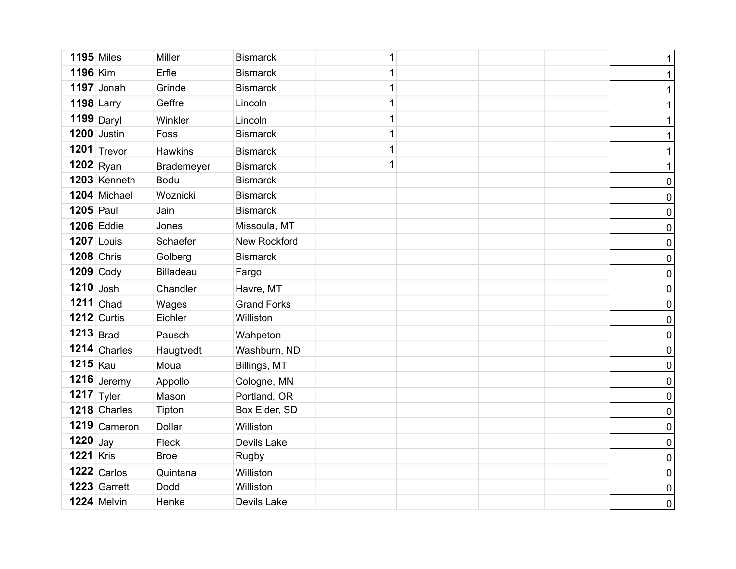| <b>1195</b> Miles |                   | Miller           | <b>Bismarck</b>    | 1 |  | $\mathbf{1}$ |
|-------------------|-------------------|------------------|--------------------|---|--|--------------|
| <b>1196 Kim</b>   |                   | Erfle            | <b>Bismarck</b>    | 1 |  | $\mathbf{1}$ |
|                   | $1197$ Jonah      | Grinde           | <b>Bismarck</b>    | 1 |  | $\mathbf{1}$ |
| $1198$ Larry      |                   | Geffre           | Lincoln            | 1 |  | $\mathbf{1}$ |
|                   | 1199 Daryl        | Winkler          | Lincoln            | 1 |  | $\mathbf{1}$ |
|                   | 1200 Justin       | Foss             | <b>Bismarck</b>    | 1 |  | $\mathbf{1}$ |
|                   | 1201 $ T$ revor   | Hawkins          | <b>Bismarck</b>    | 1 |  | $\mathbf{1}$ |
| $1202$ Ryan       |                   | Brademeyer       | <b>Bismarck</b>    | 1 |  | $\mathbf{1}$ |
|                   | 1203 Kenneth      | <b>Bodu</b>      | <b>Bismarck</b>    |   |  | $\pmb{0}$    |
|                   | 1204 Michael      | Woznicki         | <b>Bismarck</b>    |   |  | $\pmb{0}$    |
| <b>1205</b> Paul  |                   | Jain             | <b>Bismarck</b>    |   |  | $\pmb{0}$    |
|                   | <b>1206 Eddie</b> | Jones            | Missoula, MT       |   |  | $\pmb{0}$    |
|                   | <b>1207 Louis</b> | Schaefer         | New Rockford       |   |  | $\pmb{0}$    |
|                   | <b>1208 Chris</b> | Golberg          | <b>Bismarck</b>    |   |  | $\pmb{0}$    |
| <b>1209 Cody</b>  |                   | <b>Billadeau</b> | Fargo              |   |  | $\pmb{0}$    |
| $1210$ Josh       |                   | Chandler         | Havre, MT          |   |  | $\pmb{0}$    |
|                   | $1211$ Chad       | Wages            | <b>Grand Forks</b> |   |  | $\pmb{0}$    |
|                   | 1212 Curtis       | Eichler          | Williston          |   |  | $\pmb{0}$    |
| $1213$ Brad       |                   | Pausch           | Wahpeton           |   |  | $\pmb{0}$    |
|                   | 1214 Charles      | Haugtvedt        | Washburn, ND       |   |  | $\pmb{0}$    |
| $1215$ Kau        |                   | Moua             | Billings, MT       |   |  | $\pmb{0}$    |
|                   | $1216$ Jeremy     | Appollo          | Cologne, MN        |   |  | $\pmb{0}$    |
| 1217 $ Ty $ er    |                   | Mason            | Portland, OR       |   |  | $\pmb{0}$    |
|                   | 1218 Charles      | Tipton           | Box Elder, SD      |   |  | $\pmb{0}$    |
|                   | 1219 Cameron      | Dollar           | Williston          |   |  | $\pmb{0}$    |
| $1220$ Jay        |                   | Fleck            | Devils Lake        |   |  | $\pmb{0}$    |
| <b>1221 Kris</b>  |                   | <b>Broe</b>      | Rugby              |   |  | $\pmb{0}$    |
|                   | $1222$ Carlos     | Quintana         | Williston          |   |  | $\pmb{0}$    |
|                   | 1223 Garrett      | Dodd             | Williston          |   |  | $\pmb{0}$    |
|                   | 1224 Melvin       | Henke            | Devils Lake        |   |  | $\pmb{0}$    |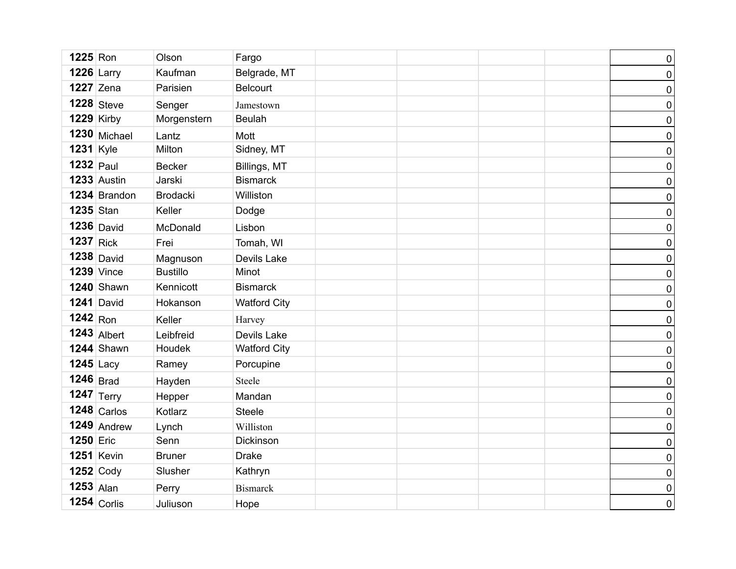| <b>1225</b> Ron  |                   | Olson           | Fargo               |  |  | $\pmb{0}$        |
|------------------|-------------------|-----------------|---------------------|--|--|------------------|
|                  | <b>1226 Larry</b> | Kaufman         | Belgrade, MT        |  |  | $\pmb{0}$        |
|                  | <b>1227</b> Zena  | Parisien        | <b>Belcourt</b>     |  |  | $\pmb{0}$        |
|                  | $1228$ Steve      | Senger          | Jamestown           |  |  | $\pmb{0}$        |
|                  | <b>1229 Kirby</b> | Morgenstern     | <b>Beulah</b>       |  |  | $\pmb{0}$        |
|                  | $1230$ Michael    | Lantz           | Mott                |  |  | $\pmb{0}$        |
| <b>1231</b> Kyle |                   | Milton          | Sidney, MT          |  |  | $\pmb{0}$        |
| $1232$ Paul      |                   | <b>Becker</b>   | Billings, MT        |  |  | $\pmb{0}$        |
|                  | 1233 Austin       | Jarski          | <b>Bismarck</b>     |  |  | $\pmb{0}$        |
|                  | 1234 Brandon      | Brodacki        | Williston           |  |  | $\pmb{0}$        |
| <b>1235</b> Stan |                   | Keller          | Dodge               |  |  | $\pmb{0}$        |
|                  | $1236$ David      | McDonald        | Lisbon              |  |  | $\pmb{0}$        |
| $1237$ Rick      |                   | Frei            | Tomah, WI           |  |  | $\pmb{0}$        |
|                  | $1238$ David      | Magnuson        | Devils Lake         |  |  | $\pmb{0}$        |
|                  | <b>1239 Vince</b> | <b>Bustillo</b> | Minot               |  |  | $\pmb{0}$        |
|                  | 1240 Shawn        | Kennicott       | <b>Bismarck</b>     |  |  | $\pmb{0}$        |
|                  | $1241$ David      | Hokanson        | <b>Watford City</b> |  |  | $\pmb{0}$        |
| $1242$ Ron       |                   | Keller          | Harvey              |  |  | $\pmb{0}$        |
|                  | $1243$ Albert     | Leibfreid       | Devils Lake         |  |  | $\pmb{0}$        |
|                  | 1244 Shawn        | Houdek          | <b>Watford City</b> |  |  | $\pmb{0}$        |
| $1245$ Lacy      |                   | Ramey           | Porcupine           |  |  | $\pmb{0}$        |
| $1246$ Brad      |                   | Hayden          | Steele              |  |  | $\pmb{0}$        |
|                  | 1247 $ Terry $    | Hepper          | Mandan              |  |  | $\pmb{0}$        |
|                  | $1248$ Carlos     | Kotlarz         | <b>Steele</b>       |  |  | $\pmb{0}$        |
|                  | $1249$ Andrew     | Lynch           | Williston           |  |  | $\pmb{0}$        |
| <b>1250 Eric</b> |                   | Senn            | Dickinson           |  |  | $\boldsymbol{0}$ |
|                  | <b>1251 Kevin</b> | <b>Bruner</b>   | <b>Drake</b>        |  |  | $\pmb{0}$        |
|                  | $1252$ Cody       | Slusher         | Kathryn             |  |  | $\pmb{0}$        |
| $1253$ Alan      |                   | Perry           | <b>Bismarck</b>     |  |  | $\pmb{0}$        |
|                  | $1254$ Corlis     | Juliuson        | Hope                |  |  | $\overline{0}$   |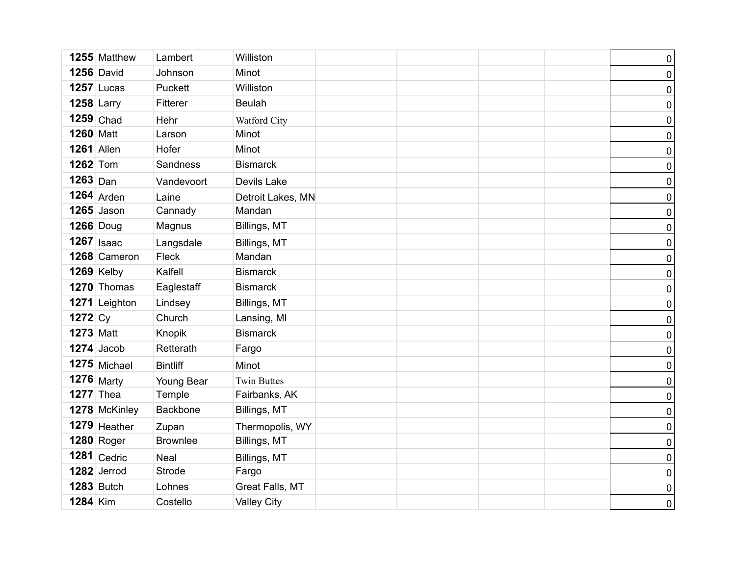|                   | 1255 Matthew      | Lambert         | Williston          |  | $\pmb{0}$        |
|-------------------|-------------------|-----------------|--------------------|--|------------------|
|                   | <b>1256</b> David | Johnson         | Minot              |  | $\pmb{0}$        |
|                   | $1257$ Lucas      | Puckett         | Williston          |  | $\pmb{0}$        |
| $1258$ Larry      |                   | Fitterer        | <b>Beulah</b>      |  | $\pmb{0}$        |
|                   | $1259$ Chad       | Hehr            | Watford City       |  | $\pmb{0}$        |
| <b>1260 Matt</b>  |                   | Larson          | Minot              |  | $\pmb{0}$        |
| <b>1261</b> Allen |                   | Hofer           | Minot              |  | $\pmb{0}$        |
| <b>1262</b> Tom   |                   | Sandness        | <b>Bismarck</b>    |  | $\pmb{0}$        |
| $1263$ Dan        |                   | Vandevoort      | Devils Lake        |  | $\pmb{0}$        |
|                   | $1264$ Arden      | Laine           | Detroit Lakes, MN  |  | $\pmb{0}$        |
|                   | $1265$ Jason      | Cannady         | Mandan             |  | $\pmb{0}$        |
|                   | <b>1266</b> Doug  | Magnus          | Billings, MT       |  | $\pmb{0}$        |
|                   | $1267$ Isaac      | Langsdale       | Billings, MT       |  | $\pmb{0}$        |
|                   | 1268 Cameron      | Fleck           | Mandan             |  | $\pmb{0}$        |
|                   | <b>1269 Kelby</b> | Kalfell         | <b>Bismarck</b>    |  | $\pmb{0}$        |
|                   | 1270 Thomas       | Eaglestaff      | <b>Bismarck</b>    |  | $\pmb{0}$        |
|                   | 1271 Leighton     | Lindsey         | Billings, MT       |  | $\pmb{0}$        |
| 1272 $C_V$        |                   | Church          | Lansing, MI        |  | $\pmb{0}$        |
| <b>1273 Matt</b>  |                   | Knopik          | <b>Bismarck</b>    |  | $\pmb{0}$        |
|                   | $1274$ Jacob      | Retterath       | Fargo              |  | $\pmb{0}$        |
|                   | $1275$ Michael    | <b>Bintliff</b> | Minot              |  | $\pmb{0}$        |
|                   | <b>1276</b> Marty | Young Bear      | <b>Twin Buttes</b> |  | $\pmb{0}$        |
| $1277$ Thea       |                   | Temple          | Fairbanks, AK      |  | $\pmb{0}$        |
|                   | 1278 McKinley     | Backbone        | Billings, MT       |  | $\boldsymbol{0}$ |
|                   | 1279 Heather      | Zupan           | Thermopolis, WY    |  | $\pmb{0}$        |
|                   | <b>1280 Roger</b> | <b>Brownlee</b> | Billings, MT       |  | $\boldsymbol{0}$ |
|                   | $1281$ Cedric     | Neal            | Billings, MT       |  | $\pmb{0}$        |
|                   | $1282$ Jerrod     | <b>Strode</b>   | Fargo              |  | $\pmb{0}$        |
|                   | <b>1283</b> Butch | Lohnes          | Great Falls, MT    |  | $\pmb{0}$        |
| <b>1284 Kim</b>   |                   | Costello        | <b>Valley City</b> |  | $\overline{0}$   |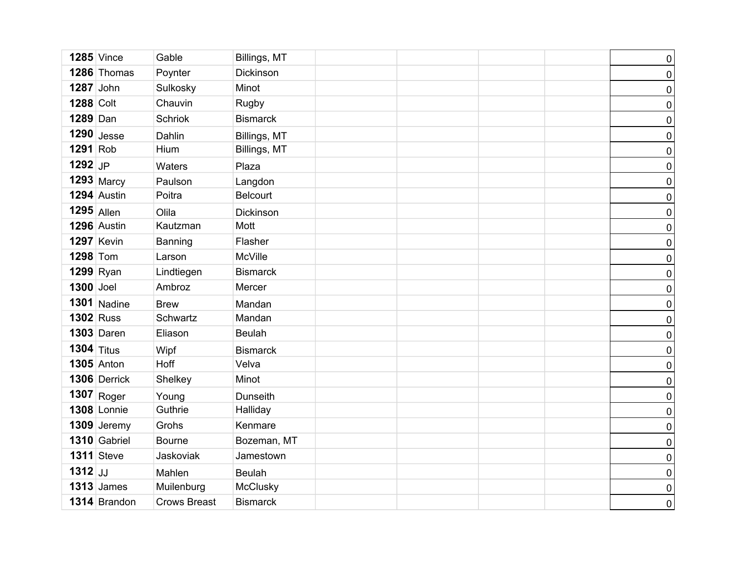|                  | <b>1285</b> Vince  | Gable               | Billings, MT    |  | $\pmb{0}$        |
|------------------|--------------------|---------------------|-----------------|--|------------------|
|                  | 1286 Thomas        | Poynter             | Dickinson       |  | $\pmb{0}$        |
| 1287 John        |                    | Sulkosky            | Minot           |  | $\pmb{0}$        |
| <b>1288 Colt</b> |                    | Chauvin             | Rugby           |  | $\pmb{0}$        |
| 1289 Dan         |                    | <b>Schriok</b>      | <b>Bismarck</b> |  | $\pmb{0}$        |
|                  | $1290$ Jesse       | Dahlin              | Billings, MT    |  | $\pmb{0}$        |
| 1291 Rob         |                    | Hium                | Billings, MT    |  | $\pmb{0}$        |
| 1292 JP          |                    | Waters              | Plaza           |  | $\pmb{0}$        |
|                  | 1293 Marcy         | Paulson             | Langdon         |  | $\pmb{0}$        |
|                  | 1294 Austin        | Poitra              | Belcourt        |  | $\pmb{0}$        |
| $1295$ Allen     |                    | Olila               | Dickinson       |  | $\pmb{0}$        |
|                  | 1296 Austin        | Kautzman            | Mott            |  | $\pmb{0}$        |
|                  | <b>1297 Kevin</b>  | Banning             | Flasher         |  | $\pmb{0}$        |
| <b>1298 Tom</b>  |                    | Larson              | McVille         |  | $\pmb{0}$        |
|                  | $1299$ Ryan        | Lindtiegen          | <b>Bismarck</b> |  | $\pmb{0}$        |
| 1300 Joel        |                    | Ambroz              | Mercer          |  | $\pmb{0}$        |
|                  | $1301$ Nadine      | <b>Brew</b>         | Mandan          |  | $\pmb{0}$        |
| <b>1302 Russ</b> |                    | Schwartz            | Mandan          |  | $\pmb{0}$        |
|                  | <b>1303 Daren</b>  | Eliason             | <b>Beulah</b>   |  | $\pmb{0}$        |
| 1304 Titus       |                    | Wipf                | <b>Bismarck</b> |  | $\boldsymbol{0}$ |
|                  | <b>1305</b> Anton  | Hoff                | Velva           |  | $\pmb{0}$        |
|                  | 1306 Derrick       | Shelkey             | Minot           |  | $\pmb{0}$        |
|                  | $1307$ Roger       | Young               | Dunseith        |  | $\pmb{0}$        |
|                  | <b>1308 Lonnie</b> | Guthrie             | Halliday        |  | $\pmb{0}$        |
|                  | 1309 Jeremy        | Grohs               | Kenmare         |  | $\pmb{0}$        |
|                  | 1310 Gabriel       | <b>Bourne</b>       | Bozeman, MT     |  | $\pmb{0}$        |
|                  | <b>1311</b> Steve  | Jaskoviak           | Jamestown       |  | $\pmb{0}$        |
| $1312$ JJ        |                    | Mahlen              | <b>Beulah</b>   |  | $\pmb{0}$        |
|                  | $1313$ James       | Muilenburg          | McClusky        |  | $\pmb{0}$        |
|                  | 1314 Brandon       | <b>Crows Breast</b> | <b>Bismarck</b> |  | $\overline{0}$   |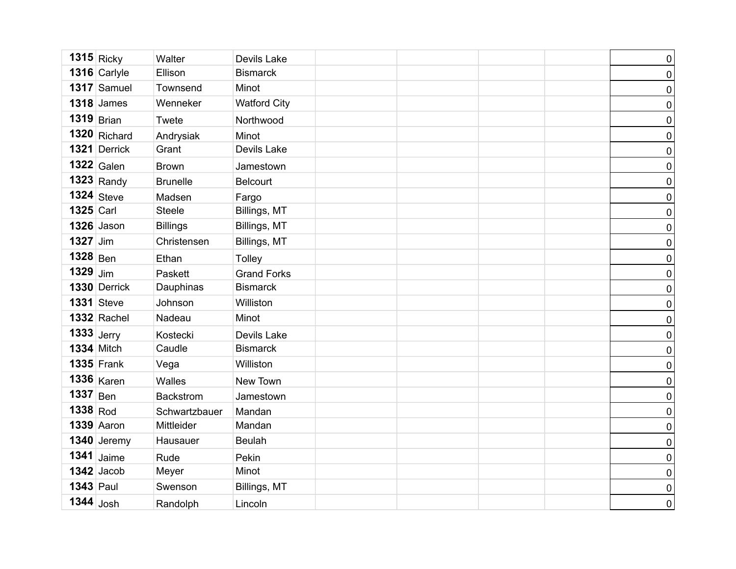|                  | $1315$ Ricky       | Walter           | Devils Lake         |  | $\pmb{0}$      |
|------------------|--------------------|------------------|---------------------|--|----------------|
|                  | 1316 Carlyle       | Ellison          | <b>Bismarck</b>     |  | 0              |
|                  | 1317 Samuel        | Townsend         | Minot               |  | $\pmb{0}$      |
|                  | $1318$ James       | Wenneker         | <b>Watford City</b> |  | 0              |
| $1319$ Brian     |                    | Twete            | Northwood           |  | $\pmb{0}$      |
|                  | $1320$ Richard     | Andrysiak        | Minot               |  | $\pmb{0}$      |
|                  | 1321 Derrick       | Grant            | Devils Lake         |  | 0              |
|                  | $1322$ Galen       | <b>Brown</b>     | Jamestown           |  | 0              |
|                  | $1323$ Randy       | <b>Brunelle</b>  | <b>Belcourt</b>     |  | $\pmb{0}$      |
|                  | $1324$ Steve       | Madsen           | Fargo               |  | 0              |
| <b>1325 Carl</b> |                    | <b>Steele</b>    | Billings, MT        |  | $\pmb{0}$      |
|                  | <b>1326</b> Jason  | <b>Billings</b>  | Billings, MT        |  | 0              |
| 1327 Jim         |                    | Christensen      | Billings, MT        |  | $\pmb{0}$      |
| $1328$ Ben       |                    | Ethan            | Tolley              |  | 0              |
| $1329$ Jim       |                    | Paskett          | <b>Grand Forks</b>  |  | $\pmb{0}$      |
|                  | 1330 Derrick       | Dauphinas        | <b>Bismarck</b>     |  | 0              |
|                  | <b>1331</b> Steve  | Johnson          | Williston           |  | 0              |
|                  | <b>1332 Rachel</b> | Nadeau           | Minot               |  | $\pmb{0}$      |
| $1333$ Jerry     |                    | Kostecki         | Devils Lake         |  | 0              |
|                  | <b>1334</b> Mitch  | Caudle           | <b>Bismarck</b>     |  | 0              |
|                  | <b>1335 Frank</b>  | Vega             | Williston           |  | 0              |
|                  | $1336$ Karen       | Walles           | New Town            |  | $\pmb{0}$      |
| $1337$ Ben       |                    | <b>Backstrom</b> | Jamestown           |  | 0              |
| 1338 Rod         |                    | Schwartzbauer    | Mandan              |  | 0              |
|                  | 1339 Aaron         | Mittleider       | Mandan              |  | 0              |
|                  | $1340$ Jeremy      | Hausauer         | <b>Beulah</b>       |  | 0              |
|                  | 1341 $J$ aime      | Rude             | Pekin               |  | 0              |
|                  | $1342$ Jacob       | Meyer            | Minot               |  | 0              |
| <b>1343 Paul</b> |                    | Swenson          | Billings, MT        |  | 0              |
| $1344$ Josh      |                    | Randolph         | Lincoln             |  | $\overline{0}$ |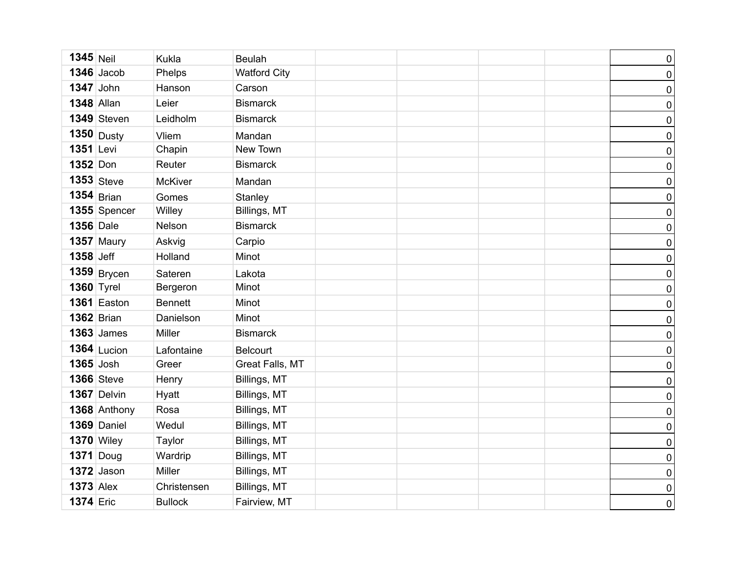| $1345$ Neil      |                   | <b>Kukla</b>   | <b>Beulah</b>       |  | $\pmb{0}$        |
|------------------|-------------------|----------------|---------------------|--|------------------|
|                  | $1346$ Jacob      | Phelps         | <b>Watford City</b> |  | $\pmb{0}$        |
| $1347$ John      |                   | Hanson         | Carson              |  | $\pmb{0}$        |
|                  | <b>1348 Allan</b> | Leier          | <b>Bismarck</b>     |  | $\pmb{0}$        |
|                  | 1349 Steven       | Leidholm       | <b>Bismarck</b>     |  | $\pmb{0}$        |
|                  | $1350$ Dusty      | Vliem          | Mandan              |  | $\pmb{0}$        |
| 1351 Levi        |                   | Chapin         | New Town            |  | $\pmb{0}$        |
| 1352 Don         |                   | Reuter         | <b>Bismarck</b>     |  | $\pmb{0}$        |
|                  | $1353$ Steve      | <b>McKiver</b> | Mandan              |  | $\pmb{0}$        |
|                  | $1354$ Brian      | Gomes          | Stanley             |  | $\pmb{0}$        |
|                  | 1355 Spencer      | Willey         | Billings, MT        |  | $\pmb{0}$        |
| <b>1356</b> Dale |                   | Nelson         | <b>Bismarck</b>     |  | $\pmb{0}$        |
|                  | $1357$ Maury      | Askvig         | Carpio              |  | $\pmb{0}$        |
| 1358 Jeff        |                   | Holland        | Minot               |  | $\pmb{0}$        |
|                  | $1359$ Brycen     | Sateren        | Lakota              |  | $\pmb{0}$        |
|                  | <b>1360 Tyrel</b> | Bergeron       | Minot               |  | $\pmb{0}$        |
|                  | 1361 Easton       | <b>Bennett</b> | Minot               |  | $\pmb{0}$        |
|                  | <b>1362</b> Brian | Danielson      | Minot               |  | $\pmb{0}$        |
|                  | <b>1363 James</b> | Miller         | <b>Bismarck</b>     |  | $\pmb{0}$        |
|                  | $1364$ Lucion     | Lafontaine     | <b>Belcourt</b>     |  | $\pmb{0}$        |
| 1365 Josh        |                   | Greer          | Great Falls, MT     |  | $\pmb{0}$        |
|                  | <b>1366</b> Steve | Henry          | Billings, MT        |  | $\pmb{0}$        |
|                  | 1367 Delvin       | Hyatt          | Billings, MT        |  | $\pmb{0}$        |
|                  | 1368 Anthony      | Rosa           | Billings, MT        |  | $\boldsymbol{0}$ |
|                  | 1369 Daniel       | Wedul          | Billings, MT        |  | $\pmb{0}$        |
|                  | $1370$ Wiley      | Taylor         | Billings, MT        |  | $\boldsymbol{0}$ |
|                  | $1371$ Doug       | Wardrip        | Billings, MT        |  | $\pmb{0}$        |
|                  | $1372$ Jason      | Miller         | Billings, MT        |  | $\pmb{0}$        |
| <b>1373</b> Alex |                   | Christensen    | Billings, MT        |  | $\pmb{0}$        |
| <b>1374 Eric</b> |                   | <b>Bullock</b> | Fairview, MT        |  | $\overline{0}$   |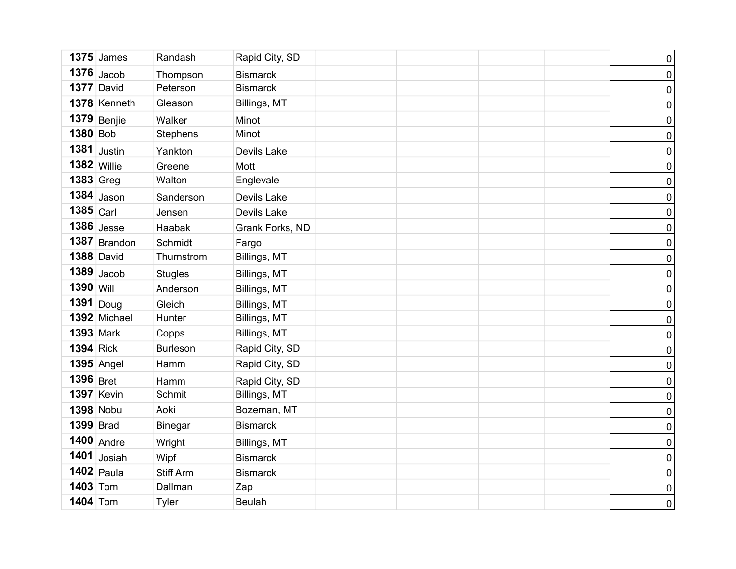|                  | $1375$ James      | Randash          | Rapid City, SD  |  | $\pmb{0}$      |
|------------------|-------------------|------------------|-----------------|--|----------------|
|                  | $1376$ Jacob      | Thompson         | <b>Bismarck</b> |  | $\pmb{0}$      |
|                  | 1377 David        | Peterson         | <b>Bismarck</b> |  | $\pmb{0}$      |
|                  | 1378 Kenneth      | Gleason          | Billings, MT    |  | $\pmb{0}$      |
|                  | $1379$ Benjie     | Walker           | Minot           |  | $\pmb{0}$      |
| 1380 Bob         |                   | <b>Stephens</b>  | Minot           |  | $\pmb{0}$      |
|                  | $1381$ Justin     | Yankton          | Devils Lake     |  | $\pmb{0}$      |
| $1382$ Willie    |                   | Greene           | Mott            |  | $\pmb{0}$      |
| <b>1383 Greg</b> |                   | Walton           | Englevale       |  | $\pmb{0}$      |
|                  | $1384$ Jason      | Sanderson        | Devils Lake     |  | $\pmb{0}$      |
| $1385$ Carl      |                   | Jensen           | Devils Lake     |  | $\pmb{0}$      |
|                  | $1386$ Jesse      | Haabak           | Grank Forks, ND |  | $\pmb{0}$      |
|                  | 1387 Brandon      | Schmidt          | Fargo           |  | $\pmb{0}$      |
|                  | <b>1388 David</b> | Thurnstrom       | Billings, MT    |  | $\pmb{0}$      |
|                  | $1389$ Jacob      | <b>Stugles</b>   | Billings, MT    |  | $\pmb{0}$      |
| 1390 Will        |                   | Anderson         | Billings, MT    |  | $\pmb{0}$      |
| $1391$ Doug      |                   | Gleich           | Billings, MT    |  | $\pmb{0}$      |
|                  | 1392 Michael      | Hunter           | Billings, MT    |  | $\pmb{0}$      |
| <b>1393 Mark</b> |                   | Copps            | Billings, MT    |  | $\pmb{0}$      |
| $1394$ Rick      |                   | <b>Burleson</b>  | Rapid City, SD  |  | $\pmb{0}$      |
|                  | <b>1395 Angel</b> | Hamm             | Rapid City, SD  |  | $\pmb{0}$      |
| 1396 Bret        |                   | Hamm             | Rapid City, SD  |  | $\pmb{0}$      |
|                  | <b>1397 Kevin</b> | Schmit           | Billings, MT    |  | $\pmb{0}$      |
| 1398 Nobu        |                   | Aoki             | Bozeman, MT     |  | $\pmb{0}$      |
| <b>1399</b> Brad |                   | <b>Binegar</b>   | <b>Bismarck</b> |  | $\pmb{0}$      |
|                  | $1400$ Andre      | Wright           | Billings, MT    |  | $\pmb{0}$      |
|                  | $1401$ Josiah     | Wipf             | <b>Bismarck</b> |  | $\pmb{0}$      |
|                  | $1402$ Paula      | <b>Stiff Arm</b> | <b>Bismarck</b> |  | $\overline{0}$ |
| <b>1403 Tom</b>  |                   | Dallman          | Zap             |  | $\pmb{0}$      |
| <b>1404 Tom</b>  |                   | Tyler            | <b>Beulah</b>   |  | $\overline{0}$ |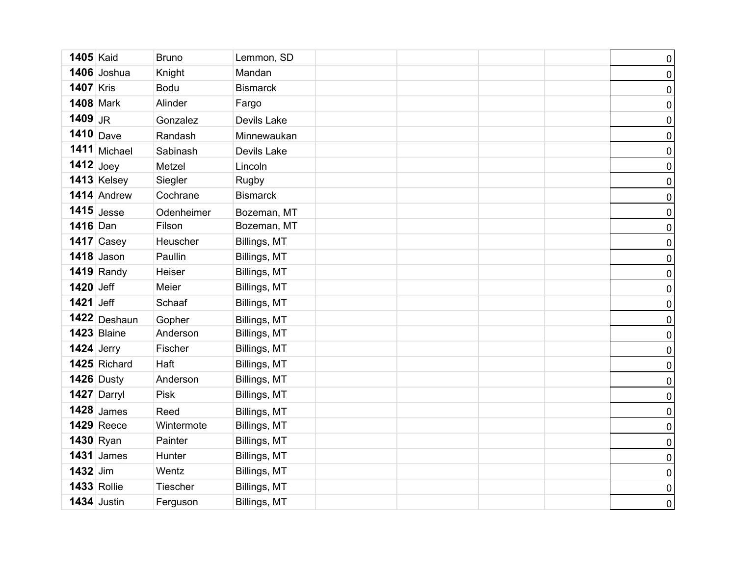| <b>1405 Kaid</b> |                    | <b>Bruno</b> | Lemmon, SD      |  | $\pmb{0}$      |
|------------------|--------------------|--------------|-----------------|--|----------------|
|                  | 1406 Joshua        | Knight       | Mandan          |  | $\pmb{0}$      |
| <b>1407 Kris</b> |                    | <b>Bodu</b>  | <b>Bismarck</b> |  | $\pmb{0}$      |
| <b>1408 Mark</b> |                    | Alinder      | Fargo           |  | $\pmb{0}$      |
| 1409 JR          |                    | Gonzalez     | Devils Lake     |  | $\pmb{0}$      |
| 1410 Dave        |                    | Randash      | Minnewaukan     |  | $\pmb{0}$      |
|                  | 1411 Michael       | Sabinash     | Devils Lake     |  | $\pmb{0}$      |
| $1412$ Joey      |                    | Metzel       | Lincoln         |  | $\pmb{0}$      |
|                  | 1413 Kelsey        | Siegler      | Rugby           |  | $\pmb{0}$      |
|                  | 1414 Andrew        | Cochrane     | <b>Bismarck</b> |  | $\pmb{0}$      |
|                  | $1415$ Jesse       | Odenheimer   | Bozeman, MT     |  | $\pmb{0}$      |
| 1416 Dan         |                    | Filson       | Bozeman, MT     |  | $\pmb{0}$      |
|                  | $1417$ Casey       | Heuscher     | Billings, MT    |  | $\pmb{0}$      |
|                  | $1418$ Jason       | Paullin      | Billings, MT    |  | $\pmb{0}$      |
|                  | $1419$ Randy       | Heiser       | Billings, MT    |  | $\pmb{0}$      |
| 1420 Jeff        |                    | Meier        | Billings, MT    |  | $\pmb{0}$      |
| <b>1421</b> Jeff |                    | Schaaf       | Billings, MT    |  | $\overline{0}$ |
|                  | 1422 Deshaun       | Gopher       | Billings, MT    |  | $\pmb{0}$      |
|                  | 1423 Blaine        | Anderson     | Billings, MT    |  | $\pmb{0}$      |
| $1424$ Jerry     |                    | Fischer      | Billings, MT    |  | $\pmb{0}$      |
|                  | 1425 Richard       | Haft         | Billings, MT    |  | $\overline{0}$ |
|                  | $1426$ Dusty       | Anderson     | Billings, MT    |  | $\pmb{0}$      |
|                  | 1427 Darryl        | <b>Pisk</b>  | Billings, MT    |  | $\pmb{0}$      |
|                  | $1428$ James       | Reed         | Billings, MT    |  | $\overline{0}$ |
|                  | <b>1429 Reece</b>  | Wintermote   | Billings, MT    |  | $\pmb{0}$      |
| 1430 Ryan        |                    | Painter      | Billings, MT    |  | $\overline{0}$ |
|                  | $1431$ James       | Hunter       | Billings, MT    |  | $\pmb{0}$      |
| 1432 Jim         |                    | Wentz        | Billings, MT    |  | $\overline{0}$ |
|                  | <b>1433 Rollie</b> | Tiescher     | Billings, MT    |  | $\pmb{0}$      |
|                  | 1434 Justin        | Ferguson     | Billings, MT    |  | $\mathbf 0$    |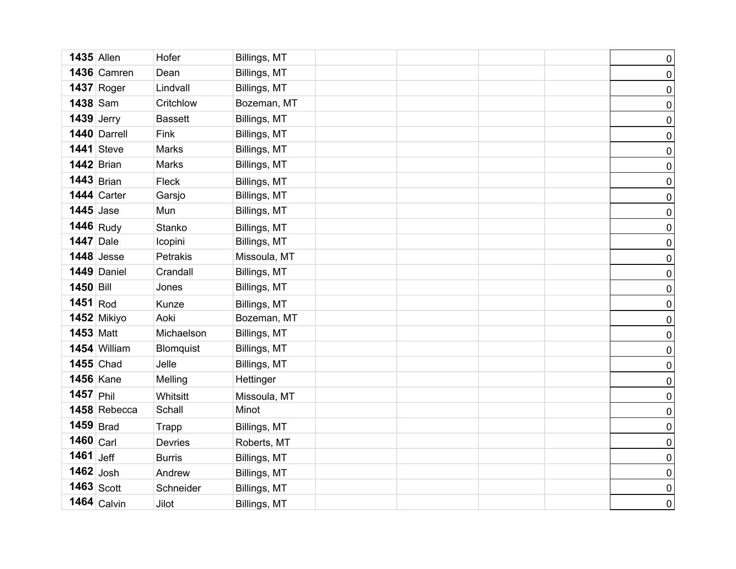| <b>1435 Allen</b> |                   | Hofer          | Billings, MT |  | $\pmb{0}$           |
|-------------------|-------------------|----------------|--------------|--|---------------------|
|                   | 1436 Camren       | Dean           | Billings, MT |  | $\pmb{0}$           |
|                   | <b>1437 Roger</b> | Lindvall       | Billings, MT |  | $\pmb{0}$           |
| 1438 Sam          |                   | Critchlow      | Bozeman, MT  |  | $\pmb{0}$           |
| $1439$ Jerry      |                   | <b>Bassett</b> | Billings, MT |  | $\pmb{0}$           |
|                   | 1440 Darrell      | Fink           | Billings, MT |  | $\pmb{0}$           |
|                   | <b>1441</b> Steve | <b>Marks</b>   | Billings, MT |  | $\pmb{0}$           |
| <b>1442</b> Brian |                   | <b>Marks</b>   | Billings, MT |  | $\pmb{0}$           |
|                   | $1443$ Brian      | Fleck          | Billings, MT |  | $\pmb{0}$           |
|                   | 1444 Carter       | Garsjo         | Billings, MT |  | $\pmb{0}$           |
| <b>1445</b> Jase  |                   | Mun            | Billings, MT |  | $\pmb{0}$           |
|                   | 1446 Rudy         | Stanko         | Billings, MT |  | $\pmb{0}$           |
| <b>1447</b> Dale  |                   | Icopini        | Billings, MT |  | $\pmb{0}$           |
|                   | $1448$ Jesse      | Petrakis       | Missoula, MT |  | $\pmb{0}$           |
|                   | 1449 Daniel       | Crandall       | Billings, MT |  | $\pmb{0}$           |
| 1450 Bill         |                   | Jones          | Billings, MT |  | $\overline{0}$      |
| $1451$ Rod        |                   | Kunze          | Billings, MT |  | $\pmb{0}$           |
|                   | 1452 Mikiyo       | Aoki           | Bozeman, MT  |  | $\pmb{0}$           |
| <b>1453 Matt</b>  |                   | Michaelson     | Billings, MT |  | $\pmb{0}$           |
|                   | 1454 William      | Blomquist      | Billings, MT |  | $\pmb{0}$           |
| <b>1455</b> Chad  |                   | Jelle          | Billings, MT |  | $\pmb{0}$           |
| <b>1456 Kane</b>  |                   | Melling        | Hettinger    |  | $\pmb{0}$           |
| $1457$ Phil       |                   | Whitsitt       | Missoula, MT |  | $\pmb{0}$           |
|                   | 1458 Rebecca      | Schall         | Minot        |  | $\pmb{0}$           |
| $1459$ Brad       |                   | Trapp          | Billings, MT |  | $\pmb{0}$           |
| $1460$ Carl       |                   | <b>Devries</b> | Roberts, MT  |  | $\pmb{0}$           |
| 1461 $\vert$ Jeff |                   | <b>Burris</b>  | Billings, MT |  | $\pmb{0}$           |
| $1462$ Josh       |                   | Andrew         | Billings, MT |  | $\mathsf{O}\xspace$ |
|                   | $1463$ Scott      | Schneider      | Billings, MT |  | $\pmb{0}$           |
|                   | $1464$ Calvin     | Jilot          | Billings, MT |  | $\mathbf 0$         |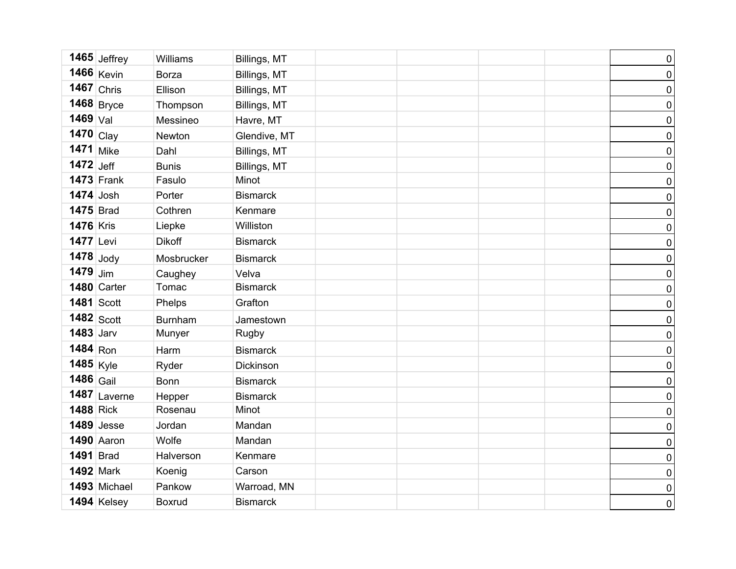|                   | 1465 Jeffrey      | Williams       | Billings, MT    |  | $\pmb{0}$           |
|-------------------|-------------------|----------------|-----------------|--|---------------------|
|                   | 1466 Kevin        | <b>Borza</b>   | Billings, MT    |  | $\mathsf{O}\xspace$ |
|                   | $1467$ Chris      | Ellison        | Billings, MT    |  | $\mathsf{O}\xspace$ |
|                   | $1468$ Bryce      | Thompson       | Billings, MT    |  | $\pmb{0}$           |
| $1469$ Val        |                   | Messineo       | Havre, MT       |  | $\mathsf{O}\xspace$ |
| 1470 Clay         |                   | Newton         | Glendive, MT    |  | $\mathsf{O}\xspace$ |
| $1471$ Mike       |                   | Dahl           | Billings, MT    |  | $\pmb{0}$           |
| $1472$ Jeff       |                   | <b>Bunis</b>   | Billings, MT    |  | $\pmb{0}$           |
|                   | <b>1473 Frank</b> | Fasulo         | Minot           |  | $\mathsf{O}\xspace$ |
| $1474$ Josh       |                   | Porter         | <b>Bismarck</b> |  | $\pmb{0}$           |
| <b>1475</b> Brad  |                   | Cothren        | Kenmare         |  | $\pmb{0}$           |
| <b>1476 Kris</b>  |                   | Liepke         | Williston       |  | $\pmb{0}$           |
| <b>1477</b> Levi  |                   | <b>Dikoff</b>  | <b>Bismarck</b> |  | $\mathsf{O}\xspace$ |
| $1478$ Jody       |                   | Mosbrucker     | <b>Bismarck</b> |  | $\pmb{0}$           |
| $1479$ Jim        |                   | Caughey        | Velva           |  | $\pmb{0}$           |
|                   | 1480 Carter       | Tomac          | <b>Bismarck</b> |  | $\overline{0}$      |
| <b>1481 Scott</b> |                   | Phelps         | Grafton         |  | $\mathsf{O}\xspace$ |
|                   | $1482$ Scott      | <b>Burnham</b> | Jamestown       |  | $\pmb{0}$           |
| <b>1483</b> Jarv  |                   | Munyer         | Rugby           |  | $\pmb{0}$           |
| $1484$ Ron        |                   | Harm           | <b>Bismarck</b> |  | $\pmb{0}$           |
| 1485 Kyle         |                   | Ryder          | Dickinson       |  | $\mathsf{O}\xspace$ |
| $1486$ Gail       |                   | Bonn           | <b>Bismarck</b> |  | $\pmb{0}$           |
|                   | $1487$ Laverne    | Hepper         | <b>Bismarck</b> |  | $\pmb{0}$           |
| <b>1488 Rick</b>  |                   | Rosenau        | Minot           |  | $\overline{0}$      |
|                   | $1489$ Jesse      | Jordan         | Mandan          |  | $\mathsf{O}\xspace$ |
|                   | 1490 Aaron        | Wolfe          | Mandan          |  | $\pmb{0}$           |
| <b>1491</b> Brad  |                   | Halverson      | Kenmare         |  | $\pmb{0}$           |
| <b>1492 Mark</b>  |                   | Koenig         | Carson          |  | $\pmb{0}$           |
|                   | 1493 Michael      | Pankow         | Warroad, MN     |  | $\pmb{0}$           |
|                   | 1494 Kelsey       | <b>Boxrud</b>  | <b>Bismarck</b> |  | $\pmb{0}$           |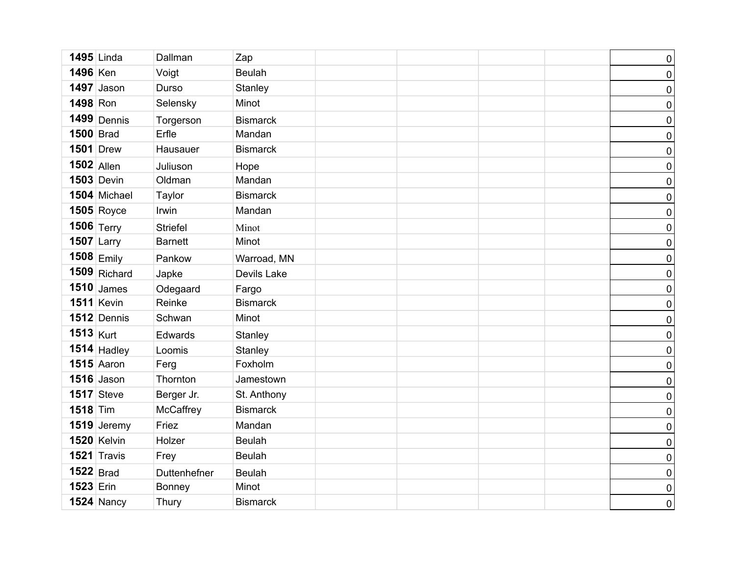|                  | <b>1495</b> Linda | Dallman         | Zap             |  | $\pmb{0}$           |
|------------------|-------------------|-----------------|-----------------|--|---------------------|
| 1496 Ken         |                   | Voigt           | <b>Beulah</b>   |  | $\pmb{0}$           |
|                  | $1497$ Jason      | Durso           | Stanley         |  | $\pmb{0}$           |
| 1498 Ron         |                   | Selensky        | Minot           |  | $\pmb{0}$           |
|                  | $1499$ Dennis     | Torgerson       | <b>Bismarck</b> |  | $\pmb{0}$           |
| <b>1500 Brad</b> |                   | Erfle           | Mandan          |  | $\pmb{0}$           |
|                  | <b>1501</b> Drew  | Hausauer        | <b>Bismarck</b> |  | $\pmb{0}$           |
| $1502$ Allen     |                   | Juliuson        | Hope            |  | $\pmb{0}$           |
|                  | $1503$ Devin      | Oldman          | Mandan          |  | $\pmb{0}$           |
|                  | 1504 Michael      | Taylor          | <b>Bismarck</b> |  | $\pmb{0}$           |
|                  | <b>1505 Royce</b> | Irwin           | Mandan          |  | $\pmb{0}$           |
|                  | 1506 $Terry$      | <b>Striefel</b> | Minot           |  | $\pmb{0}$           |
| $1507$ Larry     |                   | <b>Barnett</b>  | Minot           |  | $\pmb{0}$           |
|                  | $1508$ Emily      | Pankow          | Warroad, MN     |  | $\pmb{0}$           |
|                  | 1509 Richard      | Japke           | Devils Lake     |  | $\pmb{0}$           |
|                  | $1510$ James      | Odegaard        | Fargo           |  | $\boldsymbol{0}$    |
|                  | <b>1511 Kevin</b> | Reinke          | <b>Bismarck</b> |  | $\pmb{0}$           |
|                  | 1512 Dennis       | Schwan          | Minot           |  | $\boldsymbol{0}$    |
| $1513$ Kurt      |                   | Edwards         | Stanley         |  | $\pmb{0}$           |
|                  | $1514$ Hadley     | Loomis          | Stanley         |  | $\boldsymbol{0}$    |
|                  | <b>1515</b> Aaron | Ferg            | Foxholm         |  | $\pmb{0}$           |
|                  | $1516$ Jason      | Thornton        | Jamestown       |  | $\pmb{0}$           |
|                  | $1517$ Steve      | Berger Jr.      | St. Anthony     |  | $\pmb{0}$           |
| $1518$ Tim       |                   | McCaffrey       | <b>Bismarck</b> |  | $\pmb{0}$           |
|                  | $1519$ Jeremy     | Friez           | Mandan          |  | $\mathsf{O}\xspace$ |
|                  | 1520 Kelvin       | Holzer          | <b>Beulah</b>   |  | $\pmb{0}$           |
|                  | 1521 Travis       | Frey            | <b>Beulah</b>   |  | $\pmb{0}$           |
| $1522$ Brad      |                   | Duttenhefner    | <b>Beulah</b>   |  | $\pmb{0}$           |
| 1523 Erin        |                   | <b>Bonney</b>   | Minot           |  | $\pmb{0}$           |
|                  | <b>1524 Nancy</b> | Thury           | <b>Bismarck</b> |  | $\overline{0}$      |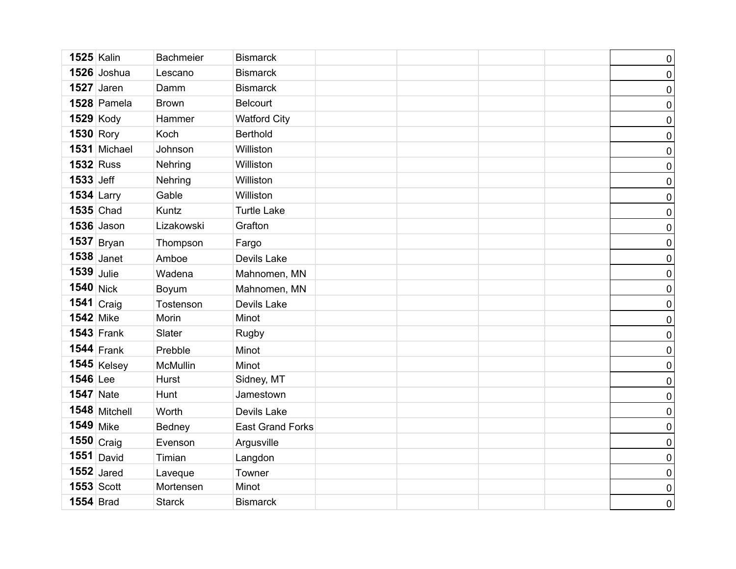| <b>1525 Kalin</b> |                | <b>Bachmeier</b> | <b>Bismarck</b>         |  | $\pmb{0}$      |
|-------------------|----------------|------------------|-------------------------|--|----------------|
|                   | 1526 Joshua    | Lescano          | <b>Bismarck</b>         |  | 0              |
|                   | $1527$ Jaren   | Damm             | <b>Bismarck</b>         |  | 0              |
|                   | 1528 Pamela    | <b>Brown</b>     | <b>Belcourt</b>         |  | 0              |
| <b>1529 Kody</b>  |                | Hammer           | <b>Watford City</b>     |  | 0              |
| <b>1530 Rory</b>  |                | Koch             | <b>Berthold</b>         |  | $\pmb{0}$      |
|                   | 1531 Michael   | Johnson          | Williston               |  | 0              |
| <b>1532 Russ</b>  |                | Nehring          | Williston               |  | 0              |
| 1533 Jeff         |                | Nehring          | Williston               |  | $\pmb{0}$      |
| <b>1534 Larry</b> |                | Gable            | Williston               |  | 0              |
| <b>1535</b> Chad  |                | Kuntz            | <b>Turtle Lake</b>      |  | $\pmb{0}$      |
|                   | 1536 Jason     | Lizakowski       | Grafton                 |  | 0              |
|                   | $1537$ Bryan   | Thompson         | Fargo                   |  | $\pmb{0}$      |
|                   | $1538$ Janet   | Amboe            | Devils Lake             |  | 0              |
| $1539$ Julie      |                | Wadena           | Mahnomen, MN            |  | $\pmb{0}$      |
| 1540 Nick         |                | Boyum            | Mahnomen, MN            |  | 0              |
|                   | 1541 $craiq$   | Tostenson        | Devils Lake             |  | 0              |
| <b>1542</b> Mike  |                | Morin            | Minot                   |  | 0              |
|                   | $1543$ Frank   | Slater           | Rugby                   |  | $\pmb{0}$      |
|                   | 1544 $ $ Frank | Prebble          | Minot                   |  | 0              |
|                   | $1545$ Kelsey  | <b>McMullin</b>  | Minot                   |  | 0              |
| 1546 Lee          |                | Hurst            | Sidney, MT              |  | 0              |
| <b>1547</b> Nate  |                | Hunt             | Jamestown               |  | 0              |
|                   | 1548 Mitchell  | Worth            | Devils Lake             |  | 0              |
| $1549$ Mike       |                | Bedney           | <b>East Grand Forks</b> |  | 0              |
|                   | $1550$ Craig   | Evenson          | Argusville              |  | 0              |
|                   | $1551$ David   | Timian           | Langdon                 |  | 0              |
|                   | $1552$ Jared   | Laveque          | Towner                  |  | 0              |
| <b>1553 Scott</b> |                | Mortensen        | Minot                   |  | 0              |
| <b>1554 Brad</b>  |                | <b>Starck</b>    | <b>Bismarck</b>         |  | $\overline{0}$ |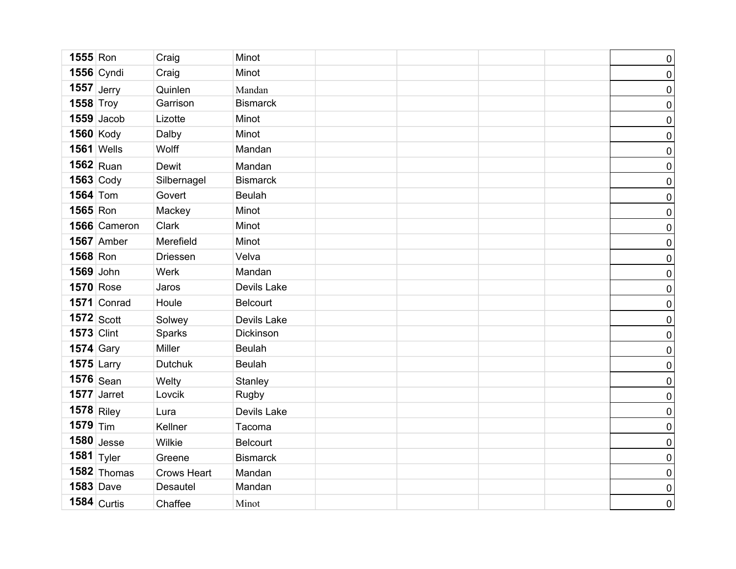| <b>1555 Ron</b>  |                   | Craig              | Minot           |  | $\pmb{0}$           |
|------------------|-------------------|--------------------|-----------------|--|---------------------|
|                  | <b>1556</b> Cyndi | Craig              | Minot           |  | $\pmb{0}$           |
| $1557$ Jerry     |                   | Quinlen            | Mandan          |  | $\pmb{0}$           |
| $1558$ Troy      |                   | Garrison           | <b>Bismarck</b> |  | $\pmb{0}$           |
|                  | $1559$ Jacob      | Lizotte            | Minot           |  | $\pmb{0}$           |
| <b>1560 Kody</b> |                   | Dalby              | Minot           |  | $\pmb{0}$           |
|                  | <b>1561 Wells</b> | Wolff              | Mandan          |  | $\pmb{0}$           |
|                  | $1562$ Ruan       | Dewit              | Mandan          |  | $\boldsymbol{0}$    |
|                  | $1563$ Cody       | Silbernagel        | <b>Bismarck</b> |  | $\pmb{0}$           |
| <b>1564 Tom</b>  |                   | Govert             | <b>Beulah</b>   |  | $\pmb{0}$           |
| 1565 Ron         |                   | Mackey             | Minot           |  | $\pmb{0}$           |
|                  | 1566 Cameron      | Clark              | Minot           |  | $\pmb{0}$           |
|                  | <b>1567</b> Amber | Merefield          | Minot           |  | $\mathsf{O}\xspace$ |
| 1568 Ron         |                   | Driessen           | Velva           |  | $\overline{0}$      |
| 1569 John        |                   | Werk               | Mandan          |  | $\pmb{0}$           |
|                  | <b>1570</b> Rose  | Jaros              | Devils Lake     |  | $\pmb{0}$           |
|                  | 1571 Conrad       | Houle              | <b>Belcourt</b> |  | $\mathsf{O}\xspace$ |
| $1572$ Scott     |                   | Solwey             | Devils Lake     |  | $\mathbf 0$         |
| $1573$ Clint     |                   | Sparks             | Dickinson       |  | $\overline{0}$      |
| <b>1574</b> Gary |                   | Miller             | <b>Beulah</b>   |  | $\pmb{0}$           |
| $1575$ Larry     |                   | <b>Dutchuk</b>     | <b>Beulah</b>   |  | $\pmb{0}$           |
|                  | $1576$ Sean       | Welty              | Stanley         |  | $\pmb{0}$           |
|                  | $1577$ Jarret     | Lovcik             | Rugby           |  | $\pmb{0}$           |
| $1578$ Riley     |                   | Lura               | Devils Lake     |  | $\pmb{0}$           |
| $1579$ Tim       |                   | Kellner            | Tacoma          |  | $\pmb{0}$           |
|                  | $1580$ Jesse      | Wilkie             | <b>Belcourt</b> |  | $\pmb{0}$           |
| 1581 $ $ Tyler   |                   | Greene             | <b>Bismarck</b> |  | $\mathsf{O}\xspace$ |
|                  | 1582 Thomas       | <b>Crows Heart</b> | Mandan          |  | $\mathsf{O}\xspace$ |
| <b>1583 Dave</b> |                   | Desautel           | Mandan          |  | $\pmb{0}$           |
|                  | $1584$ Curtis     | Chaffee            | Minot           |  | $\overline{0}$      |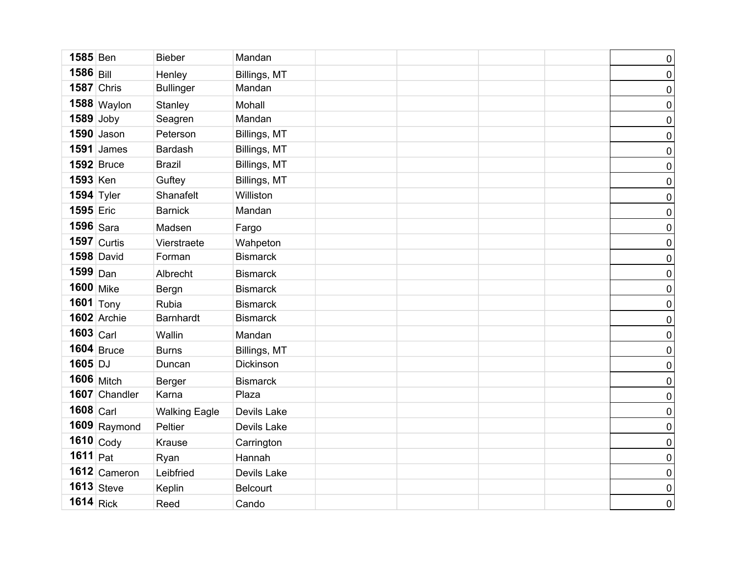| 1585 Ben          |                   | <b>Bieber</b>        | Mandan          |  |  | $\pmb{0}$           |
|-------------------|-------------------|----------------------|-----------------|--|--|---------------------|
| 1586 Bill         |                   | Henley               | Billings, MT    |  |  | $\pmb{0}$           |
|                   | <b>1587 Chris</b> | <b>Bullinger</b>     | Mandan          |  |  | $\pmb{0}$           |
|                   | $1588$ Waylon     | Stanley              | Mohall          |  |  | $\pmb{0}$           |
| $1589$ Joby       |                   | Seagren              | Mandan          |  |  | $\mathsf{O}\xspace$ |
|                   | $1590$ Jason      | Peterson             | Billings, MT    |  |  | $\pmb{0}$           |
|                   | $1591$ James      | Bardash              | Billings, MT    |  |  | $\mathsf{O}\xspace$ |
|                   | <b>1592</b> Bruce | <b>Brazil</b>        | Billings, MT    |  |  | $\pmb{0}$           |
| <b>1593 Ken</b>   |                   | Guftey               | Billings, MT    |  |  | $\pmb{0}$           |
| <b>1594 Tyler</b> |                   | Shanafelt            | Williston       |  |  | $\pmb{0}$           |
| 1595 Eric         |                   | <b>Barnick</b>       | Mandan          |  |  | $\pmb{0}$           |
| $1596$ Sara       |                   | Madsen               | Fargo           |  |  | $\pmb{0}$           |
|                   | $1597$ Curtis     | Vierstraete          | Wahpeton        |  |  | $\pmb{0}$           |
|                   | <b>1598 David</b> | Forman               | <b>Bismarck</b> |  |  | $\pmb{0}$           |
| $1599$ Dan        |                   | Albrecht             | <b>Bismarck</b> |  |  | $\pmb{0}$           |
| <b>1600</b> Mike  |                   | Bergn                | <b>Bismarck</b> |  |  | $\pmb{0}$           |
|                   | 1601 $\sqrt{7}$   | Rubia                | <b>Bismarck</b> |  |  | $\pmb{0}$           |
|                   | 1602 Archie       | <b>Barnhardt</b>     | <b>Bismarck</b> |  |  | $\pmb{0}$           |
| $1603$ Carl       |                   | Wallin               | Mandan          |  |  | $\pmb{0}$           |
|                   | $1604$ Bruce      | <b>Burns</b>         | Billings, MT    |  |  | $\pmb{0}$           |
| 1605 DJ           |                   | Duncan               | Dickinson       |  |  | $\pmb{0}$           |
|                   | <b>1606</b> Mitch | Berger               | <b>Bismarck</b> |  |  | $\pmb{0}$           |
|                   | 1607 Chandler     | Karna                | Plaza           |  |  | $\pmb{0}$           |
| $1608$ Carl       |                   | <b>Walking Eagle</b> | Devils Lake     |  |  | $\pmb{0}$           |
|                   | $1609$ Raymond    | Peltier              | Devils Lake     |  |  | $\pmb{0}$           |
|                   | 1610 Cody         | <b>Krause</b>        | Carrington      |  |  | $\pmb{0}$           |
| 1611 $Pat$        |                   | Ryan                 | Hannah          |  |  | $\pmb{0}$           |
|                   | 1612 Cameron      | Leibfried            | Devils Lake     |  |  | $\pmb{0}$           |
|                   | $1613$ Steve      | Keplin               | Belcourt        |  |  | $\pmb{0}$           |
| $1614$ Rick       |                   | Reed                 | Cando           |  |  | $\overline{0}$      |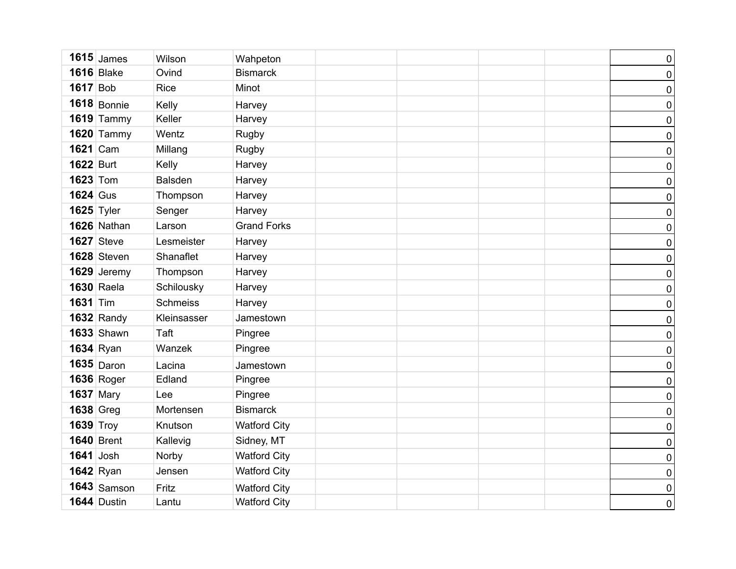|                  | $1615$ James      | Wilson          | Wahpeton            |  | $\pmb{0}$           |
|------------------|-------------------|-----------------|---------------------|--|---------------------|
|                  | <b>1616</b> Blake | Ovind           | <b>Bismarck</b>     |  | $\pmb{0}$           |
| <b>1617</b> Bob  |                   | Rice            | Minot               |  | $\pmb{0}$           |
|                  | $1618$ Bonnie     | Kelly           | Harvey              |  | $\pmb{0}$           |
|                  | $1619$ Tammy      | Keller          | Harvey              |  | $\pmb{0}$           |
|                  | <b>1620 Tammy</b> | Wentz           | Rugby               |  | $\pmb{0}$           |
| <b>1621</b> Cam  |                   | Millang         | Rugby               |  | $\pmb{0}$           |
| <b>1622 Burt</b> |                   | Kelly           | Harvey              |  | $\pmb{0}$           |
| <b>1623 Tom</b>  |                   | <b>Balsden</b>  | Harvey              |  | $\pmb{0}$           |
| <b>1624</b> Gus  |                   | Thompson        | Harvey              |  | $\pmb{0}$           |
| $1625$ Tyler     |                   | Senger          | Harvey              |  | $\pmb{0}$           |
|                  | 1626 Nathan       | Larson          | <b>Grand Forks</b>  |  | $\pmb{0}$           |
|                  | <b>1627</b> Steve | Lesmeister      | Harvey              |  | $\pmb{0}$           |
|                  | 1628 Steven       | Shanaflet       | Harvey              |  | $\pmb{0}$           |
|                  | 1629 Jeremy       | Thompson        | Harvey              |  | $\pmb{0}$           |
|                  | <b>1630 Raela</b> | Schilousky      | Harvey              |  | $\pmb{0}$           |
| <b>1631 Tim</b>  |                   | <b>Schmeiss</b> | Harvey              |  | $\pmb{0}$           |
|                  | $1632$ Randy      | Kleinsasser     | Jamestown           |  | $\pmb{0}$           |
|                  | <b>1633 Shawn</b> | Taft            | Pingree             |  | $\pmb{0}$           |
|                  | $1634$ Ryan       | Wanzek          | Pingree             |  | $\pmb{0}$           |
|                  | $1635$ Daron      | Lacina          | Jamestown           |  | $\pmb{0}$           |
|                  | <b>1636 Roger</b> | Edland          | Pingree             |  | $\pmb{0}$           |
| <b>1637 Mary</b> |                   | Lee             | Pingree             |  | $\pmb{0}$           |
| <b>1638 Greg</b> |                   | Mortensen       | <b>Bismarck</b>     |  | $\pmb{0}$           |
| $1639$ Troy      |                   | Knutson         | <b>Watford City</b> |  | $\mathsf{O}\xspace$ |
|                  | <b>1640</b> Brent | Kallevig        | Sidney, MT          |  | $\pmb{0}$           |
| $1641$ Josh      |                   | Norby           | <b>Watford City</b> |  | $\pmb{0}$           |
|                  | $1642$ Ryan       | Jensen          | <b>Watford City</b> |  | $\pmb{0}$           |
|                  | $1643$ Samson     | Fritz           | <b>Watford City</b> |  | $\pmb{0}$           |
|                  | 1644 Dustin       | Lantu           | <b>Watford City</b> |  | $\pmb{0}$           |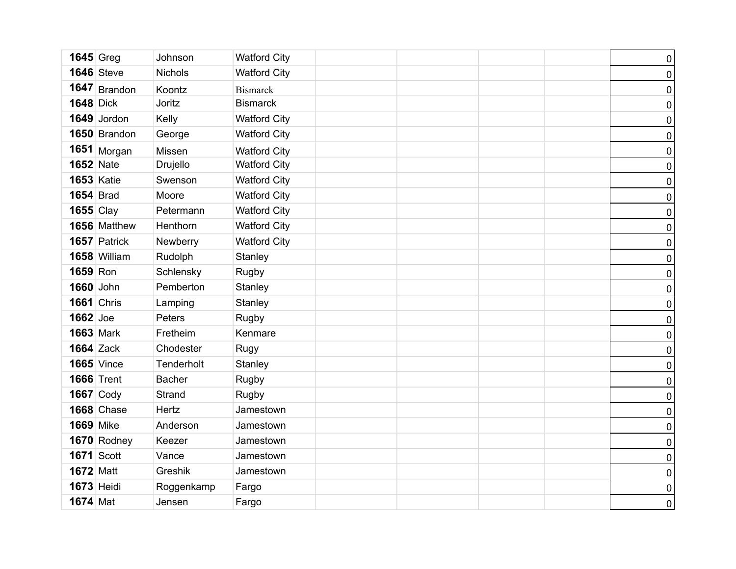| $1645$ Greg       |                   | Johnson        | <b>Watford City</b> |  | $\pmb{0}$      |
|-------------------|-------------------|----------------|---------------------|--|----------------|
|                   | <b>1646</b> Steve | <b>Nichols</b> | <b>Watford City</b> |  | $\pmb{0}$      |
|                   | $1647$ Brandon    | Koontz         | <b>Bismarck</b>     |  | $\pmb{0}$      |
| <b>1648 Dick</b>  |                   | Joritz         | <b>Bismarck</b>     |  | $\pmb{0}$      |
|                   | 1649 Jordon       | Kelly          | <b>Watford City</b> |  | $\pmb{0}$      |
|                   | 1650 Brandon      | George         | <b>Watford City</b> |  | $\pmb{0}$      |
|                   | $1651$ Morgan     | Missen         | <b>Watford City</b> |  | $\pmb{0}$      |
| <b>1652 Nate</b>  |                   | Drujello       | <b>Watford City</b> |  | $\pmb{0}$      |
| <b>1653 Katie</b> |                   | Swenson        | <b>Watford City</b> |  | $\pmb{0}$      |
| <b>1654 Brad</b>  |                   | Moore          | <b>Watford City</b> |  | $\pmb{0}$      |
| $1655$ Clay       |                   | Petermann      | <b>Watford City</b> |  | $\pmb{0}$      |
|                   | 1656 Matthew      | Henthorn       | <b>Watford City</b> |  | $\pmb{0}$      |
|                   | 1657 Patrick      | Newberry       | <b>Watford City</b> |  | $\pmb{0}$      |
|                   | 1658 William      | Rudolph        | Stanley             |  | $\pmb{0}$      |
| 1659 Ron          |                   | Schlensky      | Rugby               |  | $\pmb{0}$      |
| 1660 John         |                   | Pemberton      | Stanley             |  | $\pmb{0}$      |
| <b>1661</b> Chris |                   | Lamping        | Stanley             |  | $\pmb{0}$      |
| 1662 Joe          |                   | Peters         | Rugby               |  | $\pmb{0}$      |
| <b>1663 Mark</b>  |                   | Fretheim       | Kenmare             |  | $\pmb{0}$      |
| <b>1664 Zack</b>  |                   | Chodester      | Rugy                |  | $\pmb{0}$      |
|                   | <b>1665</b> Vince | Tenderholt     | Stanley             |  | $\pmb{0}$      |
|                   | <b>1666 Trent</b> | <b>Bacher</b>  | Rugby               |  | $\pmb{0}$      |
| $1667$ Cody       |                   | Strand         | Rugby               |  | $\pmb{0}$      |
|                   | <b>1668 Chase</b> | Hertz          | Jamestown           |  | $\pmb{0}$      |
| <b>1669 Mike</b>  |                   | Anderson       | Jamestown           |  | $\pmb{0}$      |
|                   | 1670 Rodney       | Keezer         | Jamestown           |  | $\pmb{0}$      |
| <b>1671 Scott</b> |                   | Vance          | Jamestown           |  | $\pmb{0}$      |
| <b>1672 Matt</b>  |                   | Greshik        | Jamestown           |  | $\pmb{0}$      |
| <b>1673 Heidi</b> |                   | Roggenkamp     | Fargo               |  | $\pmb{0}$      |
| <b>1674 Mat</b>   |                   | Jensen         | Fargo               |  | $\overline{0}$ |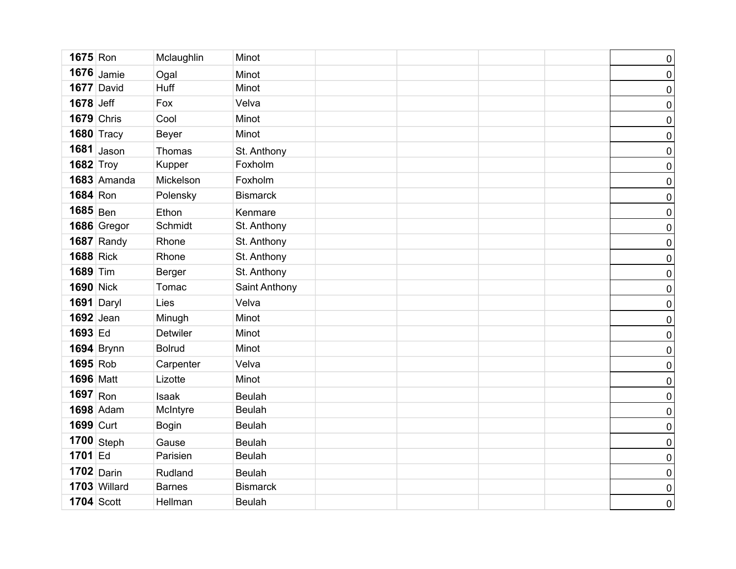| 1675 Ron          |                   | Mclaughlin      | Minot           |  |  | $\pmb{0}$        |
|-------------------|-------------------|-----------------|-----------------|--|--|------------------|
|                   | $1676$ Jamie      | Ogal            | Minot           |  |  | $\pmb{0}$        |
|                   | 1677 David        | <b>Huff</b>     | Minot           |  |  | $\pmb{0}$        |
| 1678 Jeff         |                   | Fox             | Velva           |  |  | $\pmb{0}$        |
| <b>1679 Chris</b> |                   | Cool            | Minot           |  |  | $\pmb{0}$        |
|                   | <b>1680 Tracy</b> | <b>Beyer</b>    | Minot           |  |  | $\pmb{0}$        |
|                   | $1681$ Jason      | Thomas          | St. Anthony     |  |  | $\pmb{0}$        |
| <b>1682 Troy</b>  |                   | Kupper          | Foxholm         |  |  | $\pmb{0}$        |
|                   | 1683 Amanda       | Mickelson       | Foxholm         |  |  | $\pmb{0}$        |
| 1684 Ron          |                   | Polensky        | <b>Bismarck</b> |  |  | $\pmb{0}$        |
| $1685$ Ben        |                   | Ethon           | Kenmare         |  |  | $\pmb{0}$        |
|                   | 1686 Gregor       | Schmidt         | St. Anthony     |  |  | $\pmb{0}$        |
|                   | $1687$ Randy      | Rhone           | St. Anthony     |  |  | $\pmb{0}$        |
| <b>1688 Rick</b>  |                   | Rhone           | St. Anthony     |  |  | $\pmb{0}$        |
| 1689 Tim          |                   | <b>Berger</b>   | St. Anthony     |  |  | $\pmb{0}$        |
| <b>1690 Nick</b>  |                   | Tomac           | Saint Anthony   |  |  | $\pmb{0}$        |
| 1691 Daryl        |                   | Lies            | Velva           |  |  | $\pmb{0}$        |
| <b>1692</b> Jean  |                   | Minugh          | Minot           |  |  | $\pmb{0}$        |
| 1693 Ed           |                   | <b>Detwiler</b> | Minot           |  |  | $\pmb{0}$        |
|                   | <b>1694</b> Brynn | <b>Bolrud</b>   | Minot           |  |  | $\boldsymbol{0}$ |
| 1695 Rob          |                   | Carpenter       | Velva           |  |  | $\pmb{0}$        |
| <b>1696</b> Matt  |                   | Lizotte         | Minot           |  |  | $\pmb{0}$        |
| $1697$ Ron        |                   | <b>Isaak</b>    | <b>Beulah</b>   |  |  | $\pmb{0}$        |
|                   | <b>1698</b> Adam  | McIntyre        | <b>Beulah</b>   |  |  | $\pmb{0}$        |
| 1699 Curt         |                   | <b>Bogin</b>    | <b>Beulah</b>   |  |  | $\pmb{0}$        |
|                   | $1700$ Steph      | Gause           | <b>Beulah</b>   |  |  | $\pmb{0}$        |
| 1701 Ed           |                   | Parisien        | <b>Beulah</b>   |  |  | $\pmb{0}$        |
|                   | $1702$ Darin      | Rudland         | <b>Beulah</b>   |  |  | $\pmb{0}$        |
|                   | 1703 Willard      | <b>Barnes</b>   | <b>Bismarck</b> |  |  | $\pmb{0}$        |
| <b>1704 Scott</b> |                   | Hellman         | <b>Beulah</b>   |  |  | $\pmb{0}$        |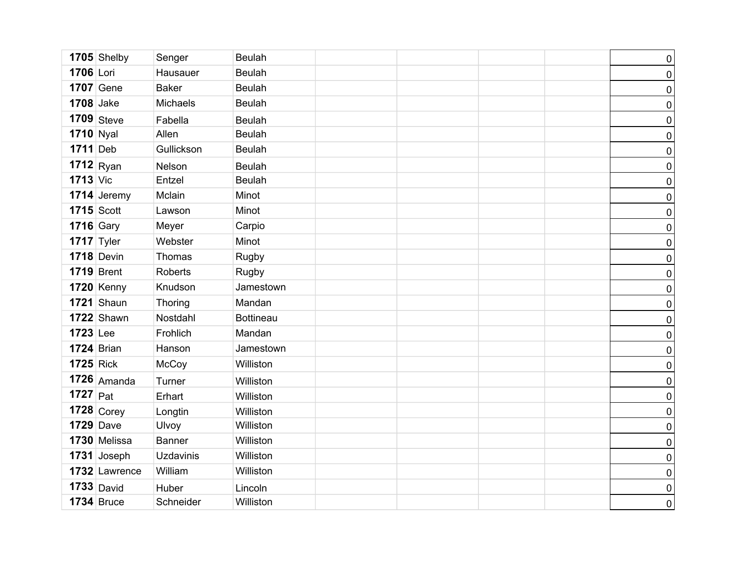|                  | 1705 Shelby       | Senger           | <b>Beulah</b>    |  | $\pmb{0}$        |
|------------------|-------------------|------------------|------------------|--|------------------|
| 1706 Lori        |                   | Hausauer         | <b>Beulah</b>    |  | $\pmb{0}$        |
|                  | <b>1707</b> Gene  | <b>Baker</b>     | <b>Beulah</b>    |  | $\pmb{0}$        |
| <b>1708</b> Jake |                   | Michaels         | <b>Beulah</b>    |  | $\pmb{0}$        |
|                  | $1709$ Steve      | Fabella          | <b>Beulah</b>    |  | $\pmb{0}$        |
| <b>1710</b> Nyal |                   | Allen            | <b>Beulah</b>    |  | $\pmb{0}$        |
| $1711$ Deb       |                   | Gullickson       | <b>Beulah</b>    |  | $\pmb{0}$        |
|                  | $1712$ Ryan       | Nelson           | <b>Beulah</b>    |  | $\pmb{0}$        |
| $1713$ Vic       |                   | Entzel           | <b>Beulah</b>    |  | $\pmb{0}$        |
|                  | 1714 Jeremy       | Mclain           | Minot            |  | $\pmb{0}$        |
| $1715$ Scott     |                   | Lawson           | Minot            |  | $\pmb{0}$        |
| $1716$ Gary      |                   | Meyer            | Carpio           |  | $\pmb{0}$        |
| 1717 Tyler       |                   | Webster          | Minot            |  | $\pmb{0}$        |
|                  | <b>1718</b> Devin | Thomas           | Rugby            |  | $\pmb{0}$        |
|                  | <b>1719</b> Brent | Roberts          | Rugby            |  | $\pmb{0}$        |
|                  | <b>1720 Kenny</b> | Knudson          | Jamestown        |  | $\pmb{0}$        |
|                  | $1721$ Shaun      | Thoring          | Mandan           |  | $\pmb{0}$        |
|                  | <b>1722</b> Shawn | Nostdahl         | <b>Bottineau</b> |  | $\pmb{0}$        |
| <b>1723</b> Lee  |                   | Frohlich         | Mandan           |  | $\pmb{0}$        |
| $1724$ Brian     |                   | Hanson           | Jamestown        |  | $\pmb{0}$        |
| <b>1725 Rick</b> |                   | McCoy            | Williston        |  | $\pmb{0}$        |
|                  | $1726$ Amanda     | Turner           | Williston        |  | $\pmb{0}$        |
| $1727$ Pat       |                   | Erhart           | Williston        |  | $\pmb{0}$        |
|                  | $1728$ Corey      | Longtin          | Williston        |  | $\pmb{0}$        |
| <b>1729</b> Dave |                   | Ulvoy            | Williston        |  | $\pmb{0}$        |
|                  | 1730 Melissa      | <b>Banner</b>    | Williston        |  | $\boldsymbol{0}$ |
|                  | $1731$ Joseph     | <b>Uzdavinis</b> | Williston        |  | $\pmb{0}$        |
|                  | 1732 Lawrence     | William          | Williston        |  | $\pmb{0}$        |
|                  | $1733$ David      | Huber            | Lincoln          |  | $\pmb{0}$        |
|                  | <b>1734 Bruce</b> | Schneider        | Williston        |  | $\overline{0}$   |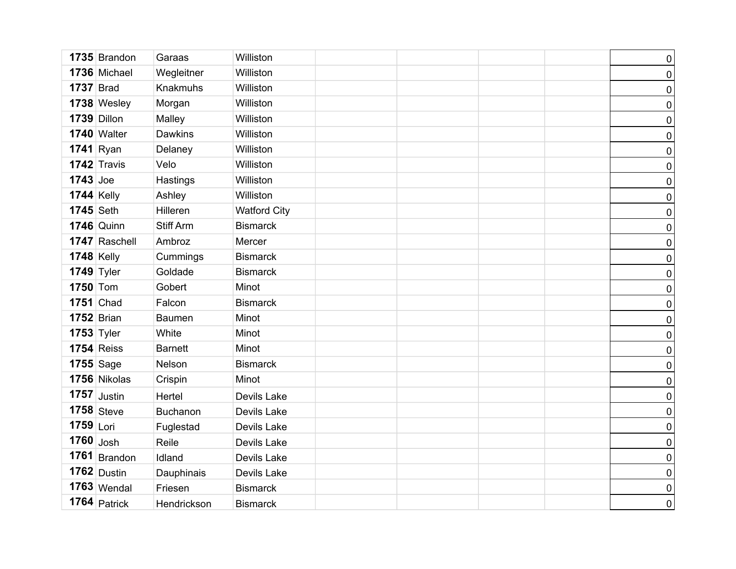|                  | 1735 Brandon      | Garaas           | Williston           |  |  | $\pmb{0}$        |
|------------------|-------------------|------------------|---------------------|--|--|------------------|
|                  | 1736 Michael      | Wegleitner       | Williston           |  |  | $\pmb{0}$        |
| <b>1737 Brad</b> |                   | Knakmuhs         | Williston           |  |  | $\pmb{0}$        |
|                  | 1738 Wesley       | Morgan           | Williston           |  |  | $\pmb{0}$        |
|                  | 1739 Dillon       | Malley           | Williston           |  |  | $\pmb{0}$        |
|                  | 1740 Walter       | <b>Dawkins</b>   | Williston           |  |  | $\pmb{0}$        |
|                  | $1741$ Ryan       | Delaney          | Williston           |  |  | $\pmb{0}$        |
|                  | 1742 Travis       | Velo             | Williston           |  |  | $\pmb{0}$        |
| $1743$ Joe       |                   | Hastings         | Williston           |  |  | $\pmb{0}$        |
| $1744$ Kelly     |                   | Ashley           | Williston           |  |  | $\pmb{0}$        |
| <b>1745</b> Seth |                   | Hilleren         | <b>Watford City</b> |  |  | $\pmb{0}$        |
|                  | <b>1746</b> Quinn | <b>Stiff Arm</b> | <b>Bismarck</b>     |  |  | $\pmb{0}$        |
|                  | 1747 Raschell     | Ambroz           | Mercer              |  |  | $\pmb{0}$        |
| $1748$ Kelly     |                   | Cummings         | <b>Bismarck</b>     |  |  | $\pmb{0}$        |
|                  | $1749$ Tyler      | Goldade          | <b>Bismarck</b>     |  |  | $\pmb{0}$        |
| <b>1750 Tom</b>  |                   | Gobert           | Minot               |  |  | $\pmb{0}$        |
|                  | <b>1751</b> Chad  | Falcon           | <b>Bismarck</b>     |  |  | $\pmb{0}$        |
|                  | $1752$ Brian      | <b>Baumen</b>    | Minot               |  |  | $\pmb{0}$        |
|                  | $1753$ Tyler      | White            | Minot               |  |  | $\pmb{0}$        |
|                  | <b>1754 Reiss</b> | <b>Barnett</b>   | Minot               |  |  | $\pmb{0}$        |
|                  | <b>1755</b> Sage  | Nelson           | <b>Bismarck</b>     |  |  | $\pmb{0}$        |
|                  | 1756 Nikolas      | Crispin          | Minot               |  |  | $\pmb{0}$        |
|                  | $1757$ Justin     | Hertel           | Devils Lake         |  |  | $\pmb{0}$        |
|                  | $1758$ Steve      | Buchanon         | Devils Lake         |  |  | $\pmb{0}$        |
| $1759$ Lori      |                   | Fuglestad        | Devils Lake         |  |  | $\pmb{0}$        |
| $1760$ Josh      |                   | Reile            | Devils Lake         |  |  | $\boldsymbol{0}$ |
|                  | $1761$ Brandon    | Idland           | Devils Lake         |  |  | $\pmb{0}$        |
|                  | $1762$ Dustin     | Dauphinais       | Devils Lake         |  |  | $\pmb{0}$        |
|                  | $1763$ Wendal     | Friesen          | <b>Bismarck</b>     |  |  | $\pmb{0}$        |
|                  | $1764$ Patrick    | Hendrickson      | <b>Bismarck</b>     |  |  | $\overline{0}$   |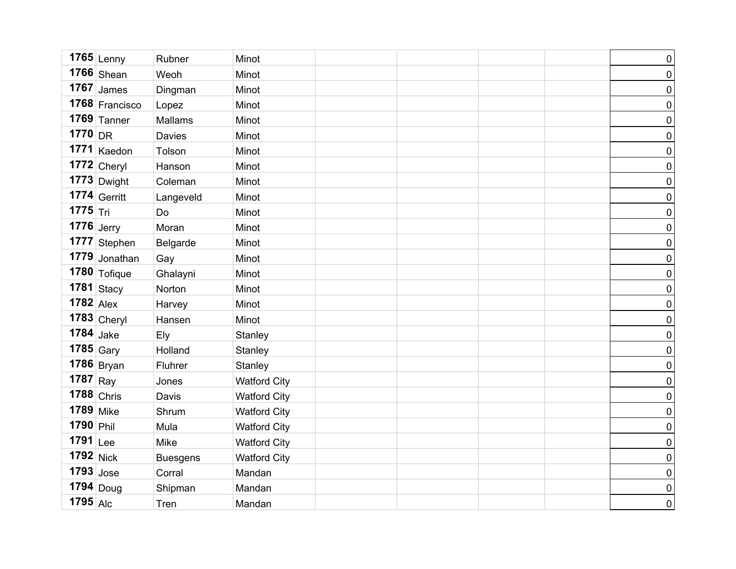|                  | $1765$ Lenny       | Rubner          | Minot               |  | $\pmb{0}$           |
|------------------|--------------------|-----------------|---------------------|--|---------------------|
|                  | $1766$ Shean       | Weoh            | Minot               |  | $\pmb{0}$           |
|                  | $1767$ James       | Dingman         | Minot               |  | $\pmb{0}$           |
|                  | 1768 Francisco     | Lopez           | Minot               |  | $\pmb{0}$           |
|                  | $1769$ Tanner      | Mallams         | Minot               |  | $\pmb{0}$           |
| $1770$ DR        |                    | Davies          | Minot               |  | $\pmb{0}$           |
|                  | 1771 Kaedon        | Tolson          | Minot               |  | $\pmb{0}$           |
|                  | $1772$ Cheryl      | Hanson          | Minot               |  | $\pmb{0}$           |
|                  | $1773$ Dwight      | Coleman         | Minot               |  | $\pmb{0}$           |
|                  | 1774 Gerritt       | Langeveld       | Minot               |  | $\pmb{0}$           |
| $1775$ Tri       |                    | Do              | Minot               |  | $\mathsf{O}\xspace$ |
| $1776$ Jerry     |                    | Moran           | Minot               |  | $\pmb{0}$           |
|                  | 1777 Stephen       | Belgarde        | Minot               |  | $\mathsf{O}\xspace$ |
|                  | 1779 Jonathan      | Gay             | Minot               |  | $\overline{0}$      |
|                  | $1780$ Tofique     | Ghalayni        | Minot               |  | $\mathsf{O}\xspace$ |
|                  | 1781 $\vert$ Stacy | Norton          | Minot               |  | $\mathbf 0$         |
| $1782$ Alex      |                    | Harvey          | Minot               |  | $\mathsf{O}\xspace$ |
|                  | $1783$ Cheryl      | Hansen          | Minot               |  | $\overline{0}$      |
| $1784$ Jake      |                    | Ely             | Stanley             |  | $\pmb{0}$           |
| $1785$ Gary      |                    | Holland         | Stanley             |  | $\pmb{0}$           |
|                  | $1786$ Bryan       | Fluhrer         | Stanley             |  | $\pmb{0}$           |
| $1787$ Ray       |                    | Jones           | <b>Watford City</b> |  | $\pmb{0}$           |
| $1788$ Chris     |                    | Davis           | <b>Watford City</b> |  | $\pmb{0}$           |
| <b>1789</b> Mike |                    | Shrum           | <b>Watford City</b> |  | $\pmb{0}$           |
| 1790 Phil        |                    | Mula            | <b>Watford City</b> |  | $\pmb{0}$           |
| 1791 Lee         |                    | Mike            | <b>Watford City</b> |  | $\pmb{0}$           |
| $1792$ Nick      |                    | <b>Buesgens</b> | <b>Watford City</b> |  | $\pmb{0}$           |
| $1793$ Jose      |                    | Corral          | Mandan              |  | $\mathsf{O}\xspace$ |
|                  | $1794$ Doug        | Shipman         | Mandan              |  | $\pmb{0}$           |
| $1795$ Alc       |                    | Tren            | Mandan              |  | $\overline{0}$      |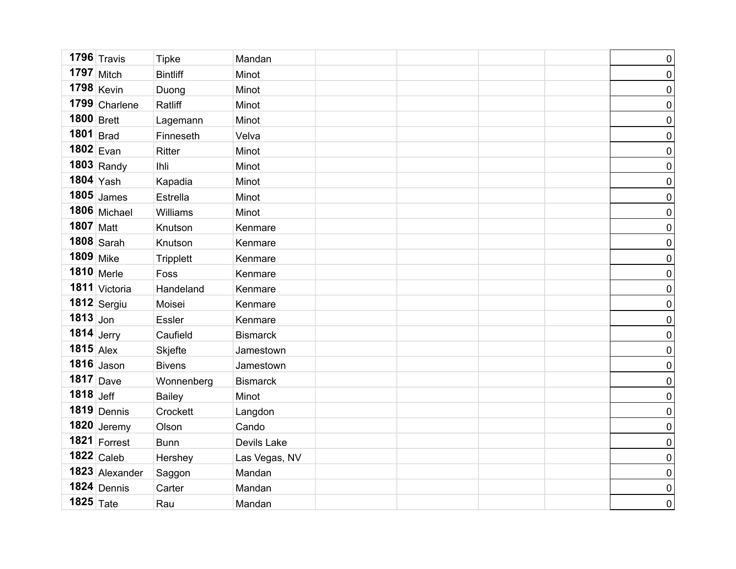|              | 1796 $\sqrt{T}$ ravis | <b>Tipke</b>     | Mandan          |  | $\pmb{0}$           |
|--------------|-----------------------|------------------|-----------------|--|---------------------|
|              | $1797$ Mitch          | <b>Bintliff</b>  | Minot           |  | $\pmb{0}$           |
|              | $1798$ Kevin          | Duong            | Minot           |  | $\pmb{0}$           |
|              | $1799$ Charlene       | Ratliff          | Minot           |  | $\pmb{0}$           |
| 1800 Brett   |                       | Lagemann         | Minot           |  | $\pmb{0}$           |
| $1801$ Brad  |                       | Finneseth        | Velva           |  | $\pmb{0}$           |
| $1802$ Evan  |                       | Ritter           | Minot           |  | $\pmb{0}$           |
|              | $1803$ Randy          | <b>Ihli</b>      | Minot           |  | $\pmb{0}$           |
| $1804$ Yash  |                       | Kapadia          | Minot           |  | $\pmb{0}$           |
|              | $1805$ James          | Estrella         | Minot           |  | $\mathsf{O}\xspace$ |
|              | 1806 Michael          | Williams         | Minot           |  | $\pmb{0}$           |
| 1807 Matt    |                       | Knutson          | Kenmare         |  | $\mathsf{O}\xspace$ |
|              | $1808$ Sarah          | Knutson          | Kenmare         |  | $\pmb{0}$           |
| 1809 Mike    |                       | <b>Tripplett</b> | Kenmare         |  | $\mathsf{O}\xspace$ |
|              | 1810 Merle            | Foss             | Kenmare         |  | $\pmb{0}$           |
|              | 1811 Victoria         | Handeland        | Kenmare         |  | $\pmb{0}$           |
|              | $1812$ Sergiu         | Moisei           | Kenmare         |  | $\mathsf{O}\xspace$ |
| $1813$ Jon   |                       | <b>Essler</b>    | Kenmare         |  | $\pmb{0}$           |
| $1814$ Jerry |                       | Caufield         | <b>Bismarck</b> |  | $\pmb{0}$           |
| $1815$ Alex  |                       | Skjefte          | Jamestown       |  | $\pmb{0}$           |
|              | $1816$ Jason          | <b>Bivens</b>    | Jamestown       |  | $\pmb{0}$           |
|              | $1817$ Dave           | Wonnenberg       | <b>Bismarck</b> |  | $\pmb{0}$           |
| $1818$ Jeff  |                       | <b>Bailey</b>    | Minot           |  | $\pmb{0}$           |
|              | 1819 Dennis           | Crockett         | Langdon         |  | $\pmb{0}$           |
|              | $1820$ Jeremy         | Olson            | Cando           |  | $\pmb{0}$           |
|              | 1821 $ Forrest $      | <b>Bunn</b>      | Devils Lake     |  | $\pmb{0}$           |
|              | $1822$ Caleb          | Hershey          | Las Vegas, NV   |  | $\pmb{0}$           |
|              | 1823 Alexander        | Saggon           | Mandan          |  | $\pmb{0}$           |
|              | $1824$ Dennis         | Carter           | Mandan          |  | $\pmb{0}$           |
| 1825 Tate    |                       | Rau              | Mandan          |  | $\mathbf 0$         |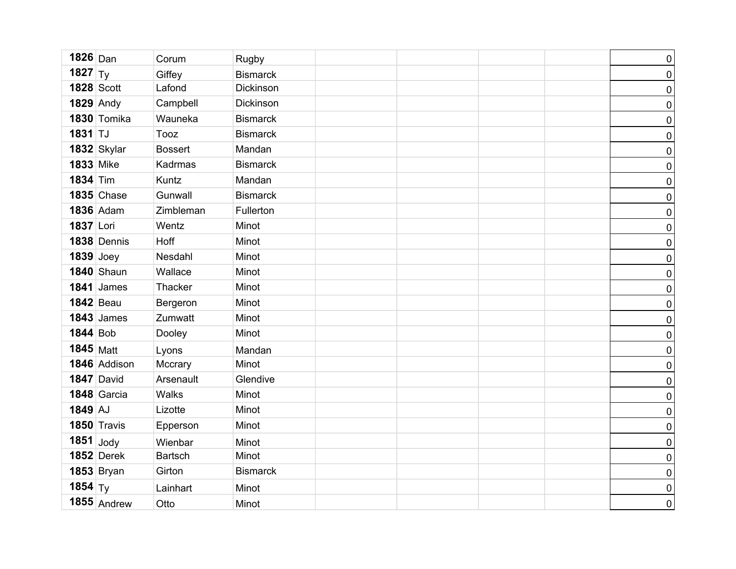| $1826$ Dan         |                   | Corum          | Rugby           |  | $\pmb{0}$        |
|--------------------|-------------------|----------------|-----------------|--|------------------|
| 1827 $ T_y $       |                   | Giffey         | <b>Bismarck</b> |  | $\pmb{0}$        |
|                    | <b>1828 Scott</b> | Lafond         | Dickinson       |  | $\pmb{0}$        |
|                    | <b>1829</b> Andy  | Campbell       | Dickinson       |  | $\pmb{0}$        |
|                    | 1830 Tomika       | Wauneka        | <b>Bismarck</b> |  | $\pmb{0}$        |
| 1831 TJ            |                   | Tooz           | <b>Bismarck</b> |  | $\pmb{0}$        |
|                    | 1832 Skylar       | <b>Bossert</b> | Mandan          |  | $\pmb{0}$        |
| <b>1833 Mike</b>   |                   | Kadrmas        | <b>Bismarck</b> |  | $\pmb{0}$        |
| <b>1834 Tim</b>    |                   | Kuntz          | Mandan          |  | $\pmb{0}$        |
|                    | <b>1835 Chase</b> | Gunwall        | <b>Bismarck</b> |  | $\pmb{0}$        |
|                    | <b>1836</b> Adam  | Zimbleman      | Fullerton       |  | $\pmb{0}$        |
| 1837 Lori          |                   | Wentz          | Minot           |  | $\pmb{0}$        |
|                    | 1838 Dennis       | Hoff           | Minot           |  | $\pmb{0}$        |
| $1839$ Joey        |                   | Nesdahl        | Minot           |  | $\pmb{0}$        |
|                    | <b>1840</b> Shaun | Wallace        | Minot           |  | $\pmb{0}$        |
|                    | $1841$ James      | Thacker        | Minot           |  | $\pmb{0}$        |
|                    | <b>1842</b> Beau  | Bergeron       | Minot           |  | $\pmb{0}$        |
|                    | $1843$ James      | Zumwatt        | Minot           |  | $\pmb{0}$        |
| <b>1844</b> Bob    |                   | Dooley         | Minot           |  | $\pmb{0}$        |
| 1845 Matt          |                   | Lyons          | Mandan          |  | $\boldsymbol{0}$ |
|                    | 1846 Addison      | Mccrary        | Minot           |  | $\pmb{0}$        |
|                    | 1847 David        | Arsenault      | Glendive        |  | $\pmb{0}$        |
|                    | 1848 Garcia       | Walks          | Minot           |  | $\pmb{0}$        |
| $1849$ AJ          |                   | Lizotte        | Minot           |  | $\pmb{0}$        |
|                    | 1850 Travis       | Epperson       | Minot           |  | $\pmb{0}$        |
| $1851$ Jody        |                   | Wienbar        | Minot           |  | $\pmb{0}$        |
|                    | <b>1852 Derek</b> | <b>Bartsch</b> | Minot           |  | $\pmb{0}$        |
|                    | <b>1853 Bryan</b> | Girton         | <b>Bismarck</b> |  | $\pmb{0}$        |
| 1854 $\mathsf{Ty}$ |                   | Lainhart       | Minot           |  | $\pmb{0}$        |
|                    | $1855$ Andrew     | Otto           | Minot           |  | $\overline{0}$   |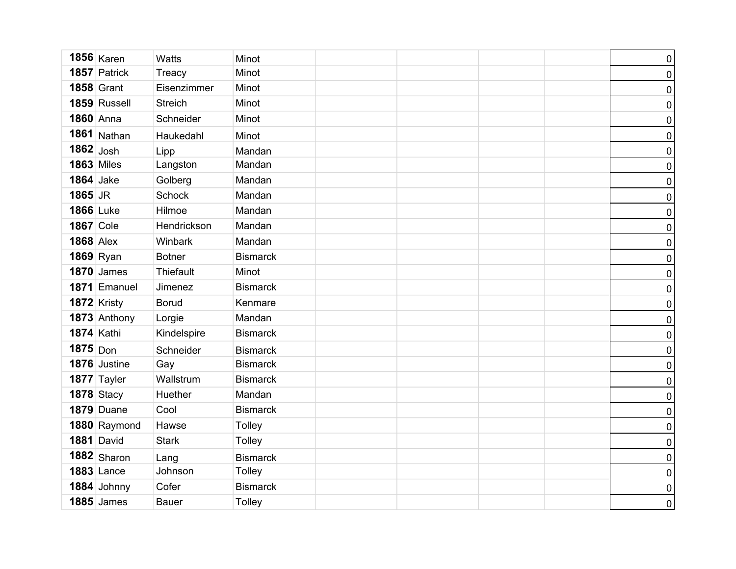|                   | $1856$ Karen      | Watts          | Minot           |  | $\pmb{0}$        |
|-------------------|-------------------|----------------|-----------------|--|------------------|
|                   | 1857 Patrick      | Treacy         | Minot           |  | $\pmb{0}$        |
|                   | <b>1858 Grant</b> | Eisenzimmer    | Minot           |  | $\pmb{0}$        |
|                   | 1859 Russell      | <b>Streich</b> | Minot           |  | $\pmb{0}$        |
| 1860 Anna         |                   | Schneider      | Minot           |  | $\pmb{0}$        |
|                   | $1861$ Nathan     | Haukedahl      | Minot           |  | $\pmb{0}$        |
| $1862$ Josh       |                   | Lipp           | Mandan          |  | $\pmb{0}$        |
| <b>1863</b> Miles |                   | Langston       | Mandan          |  | $\pmb{0}$        |
| <b>1864</b> Jake  |                   | Golberg        | Mandan          |  | $\pmb{0}$        |
| $1865$ JR         |                   | <b>Schock</b>  | Mandan          |  | $\pmb{0}$        |
| <b>1866</b> Luke  |                   | Hilmoe         | Mandan          |  | $\pmb{0}$        |
| <b>1867</b> Cole  |                   | Hendrickson    | Mandan          |  | $\pmb{0}$        |
| <b>1868</b> Alex  |                   | Winbark        | Mandan          |  | $\pmb{0}$        |
| 1869 Ryan         |                   | <b>Botner</b>  | <b>Bismarck</b> |  | $\pmb{0}$        |
|                   | <b>1870</b> James | Thiefault      | Minot           |  | $\pmb{0}$        |
|                   | 1871 Emanuel      | Jimenez        | <b>Bismarck</b> |  | $\pmb{0}$        |
|                   | 1872 Kristy       | <b>Borud</b>   | Kenmare         |  | $\pmb{0}$        |
|                   | 1873 Anthony      | Lorgie         | Mandan          |  | $\pmb{0}$        |
| <b>1874 Kathi</b> |                   | Kindelspire    | <b>Bismarck</b> |  | $\pmb{0}$        |
| $1875$ Don        |                   | Schneider      | <b>Bismarck</b> |  | $\pmb{0}$        |
|                   | 1876 Justine      | Gay            | <b>Bismarck</b> |  | $\pmb{0}$        |
|                   | 1877 Tayler       | Wallstrum      | <b>Bismarck</b> |  | $\pmb{0}$        |
|                   | <b>1878 Stacy</b> | Huether        | Mandan          |  | $\pmb{0}$        |
|                   | 1879 Duane        | Cool           | <b>Bismarck</b> |  | $\boldsymbol{0}$ |
|                   | 1880 Raymond      | Hawse          | Tolley          |  | $\pmb{0}$        |
|                   | <b>1881 David</b> | <b>Stark</b>   | Tolley          |  | $\pmb{0}$        |
|                   | $1882$ Sharon     | Lang           | <b>Bismarck</b> |  | $\pmb{0}$        |
|                   | $1883$ Lance      | Johnson        | Tolley          |  | $\pmb{0}$        |
|                   | 1884 Johnny       | Cofer          | <b>Bismarck</b> |  | $\pmb{0}$        |
|                   | $1885$ James      | <b>Bauer</b>   | Tolley          |  | $\overline{0}$   |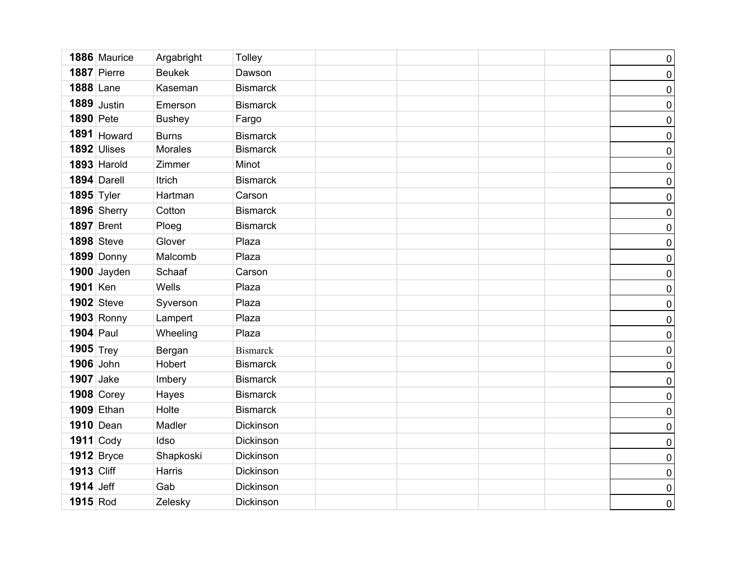|                  | 1886 Maurice      | Argabright     | Tolley          |  | $\pmb{0}$      |
|------------------|-------------------|----------------|-----------------|--|----------------|
|                  | 1887 Pierre       | <b>Beukek</b>  | Dawson          |  | $\pmb{0}$      |
| <b>1888 Lane</b> |                   | Kaseman        | <b>Bismarck</b> |  | $\pmb{0}$      |
|                  | $1889$ Justin     | Emerson        | <b>Bismarck</b> |  | $\pmb{0}$      |
| <b>1890</b> Pete |                   | <b>Bushey</b>  | Fargo           |  | $\pmb{0}$      |
|                  | 1891 Howard       | <b>Burns</b>   | <b>Bismarck</b> |  | $\pmb{0}$      |
|                  | 1892 Ulises       | <b>Morales</b> | <b>Bismarck</b> |  | $\pmb{0}$      |
|                  | 1893 Harold       | Zimmer         | Minot           |  | $\pmb{0}$      |
|                  | 1894 Darell       | <b>Itrich</b>  | <b>Bismarck</b> |  | $\pmb{0}$      |
| 1895 Tyler       |                   | Hartman        | Carson          |  | $\pmb{0}$      |
|                  | 1896 Sherry       | Cotton         | <b>Bismarck</b> |  | $\pmb{0}$      |
|                  | <b>1897</b> Brent | Ploeg          | <b>Bismarck</b> |  | $\pmb{0}$      |
|                  | <b>1898</b> Steve | Glover         | Plaza           |  | $\pmb{0}$      |
|                  | 1899 Donny        | Malcomb        | Plaza           |  | $\pmb{0}$      |
|                  | $1900$ Jayden     | Schaaf         | Carson          |  | $\pmb{0}$      |
| 1901 Ken         |                   | Wells          | Plaza           |  | $\pmb{0}$      |
|                  | <b>1902</b> Steve | Syverson       | Plaza           |  | $\pmb{0}$      |
|                  | 1903 Ronny        | Lampert        | Plaza           |  | $\pmb{0}$      |
| <b>1904</b> Paul |                   | Wheeling       | Plaza           |  | $\pmb{0}$      |
| 1905 $_{Trey}$   |                   | Bergan         | <b>Bismarck</b> |  | $\pmb{0}$      |
| 1906 John        |                   | Hobert         | <b>Bismarck</b> |  | $\pmb{0}$      |
| <b>1907</b> Jake |                   | Imbery         | <b>Bismarck</b> |  | $\pmb{0}$      |
|                  | <b>1908 Corey</b> | Hayes          | <b>Bismarck</b> |  | $\pmb{0}$      |
|                  | <b>1909</b> Ethan | Holte          | <b>Bismarck</b> |  | $\pmb{0}$      |
|                  | <b>1910</b> Dean  | Madler         | Dickinson       |  | $\pmb{0}$      |
|                  | $1911$ Cody       | Idso           | Dickinson       |  | $\pmb{0}$      |
|                  | $1912$ Bryce      | Shapkoski      | Dickinson       |  | $\pmb{0}$      |
| 1913 Cliff       |                   | Harris         | Dickinson       |  | $\pmb{0}$      |
| <b>1914</b> Jeff |                   | Gab            | Dickinson       |  | $\pmb{0}$      |
| 1915 Rod         |                   | Zelesky        | Dickinson       |  | $\overline{0}$ |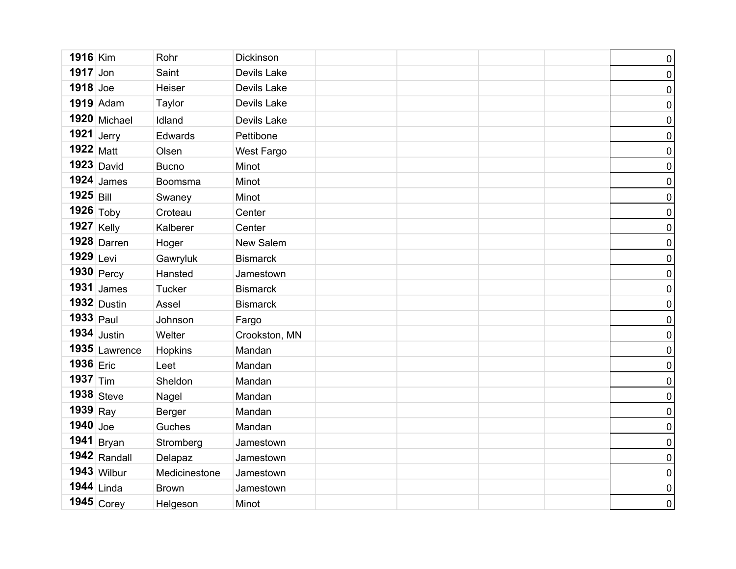| 1916 Kim         |                  | Rohr          | Dickinson       |  |  | $\pmb{0}$        |
|------------------|------------------|---------------|-----------------|--|--|------------------|
| $1917$ Jon       |                  | Saint         | Devils Lake     |  |  | $\pmb{0}$        |
| $1918$ Joe       |                  | Heiser        | Devils Lake     |  |  | $\pmb{0}$        |
|                  | <b>1919</b> Adam | Taylor        | Devils Lake     |  |  | $\pmb{0}$        |
|                  | $1920$ Michael   | Idland        | Devils Lake     |  |  | $\pmb{0}$        |
| 1921 Jerry       |                  | Edwards       | Pettibone       |  |  | $\pmb{0}$        |
| $1922$ Matt      |                  | Olsen         | West Fargo      |  |  | $\pmb{0}$        |
|                  | $1923$ David     | <b>Bucno</b>  | Minot           |  |  | $\pmb{0}$        |
|                  | $1924$ James     | Boomsma       | Minot           |  |  | $\pmb{0}$        |
| $1925$ Bill      |                  | Swaney        | Minot           |  |  | $\pmb{0}$        |
|                  | 1926 Toby        | Croteau       | Center          |  |  | $\pmb{0}$        |
| 1927 Kelly       |                  | Kalberer      | Center          |  |  | $\pmb{0}$        |
|                  | $1928$ Darren    | Hoger         | New Salem       |  |  | $\pmb{0}$        |
| 1929 Levi        |                  | Gawryluk      | <b>Bismarck</b> |  |  | $\pmb{0}$        |
|                  | 1930 Percy       | Hansted       | Jamestown       |  |  | $\pmb{0}$        |
|                  | $1931$ James     | <b>Tucker</b> | <b>Bismarck</b> |  |  | $\pmb{0}$        |
|                  | $1932$ Dustin    | Assel         | <b>Bismarck</b> |  |  | $\pmb{0}$        |
| $1933$ Paul      |                  | Johnson       | Fargo           |  |  | $\pmb{0}$        |
|                  | $1934$ Justin    | Welter        | Crookston, MN   |  |  | $\pmb{0}$        |
|                  | 1935 Lawrence    | Hopkins       | Mandan          |  |  | $\pmb{0}$        |
| 1936 Eric        |                  | Leet          | Mandan          |  |  | $\pmb{0}$        |
| 1937 $\vert$ Tim |                  | Sheldon       | Mandan          |  |  | $\pmb{0}$        |
|                  | $1938$ Steve     | Nagel         | Mandan          |  |  | $\pmb{0}$        |
| $1939$ Ray       |                  | Berger        | Mandan          |  |  | $\pmb{0}$        |
| $1940$ Joe       |                  | Guches        | Mandan          |  |  | $\pmb{0}$        |
|                  | 1941 Bryan       | Stromberg     | Jamestown       |  |  | $\boldsymbol{0}$ |
|                  | 1942 Randall     | Delapaz       | Jamestown       |  |  | $\pmb{0}$        |
|                  | $1943$ Wilbur    | Medicinestone | Jamestown       |  |  | $\overline{0}$   |
|                  | $1944$ Linda     | <b>Brown</b>  | Jamestown       |  |  | $\pmb{0}$        |
|                  | $1945$ Corey     | Helgeson      | Minot           |  |  | $\overline{0}$   |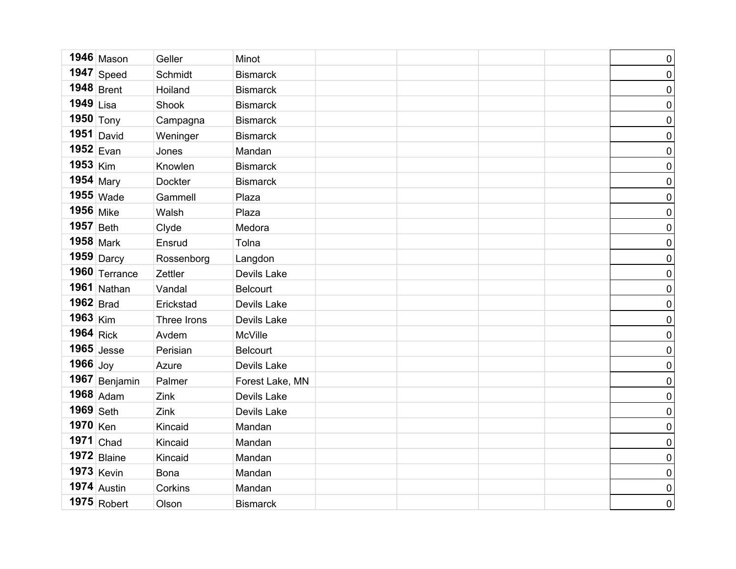|                      | $1946$ Mason        | Geller         | Minot           |  | $\pmb{0}$           |
|----------------------|---------------------|----------------|-----------------|--|---------------------|
|                      | $1947$ Speed        | Schmidt        | <b>Bismarck</b> |  | $\pmb{0}$           |
|                      | $1948$ Brent        | Hoiland        | <b>Bismarck</b> |  | $\pmb{0}$           |
| $1949$ Lisa          |                     | Shook          | <b>Bismarck</b> |  | $\pmb{0}$           |
| 1950 $\text{Tony}$   |                     | Campagna       | <b>Bismarck</b> |  | $\pmb{0}$           |
|                      | 1951  David         | Weninger       | <b>Bismarck</b> |  | $\pmb{0}$           |
|                      | $1952$ Evan         | Jones          | Mandan          |  | $\pmb{0}$           |
| $1953$ Kim           |                     | Knowlen        | <b>Bismarck</b> |  | $\pmb{0}$           |
|                      | 1954 $Mary$         | <b>Dockter</b> | <b>Bismarck</b> |  | $\pmb{0}$           |
|                      | $1955$ Wade         | Gammell        | Plaza           |  | $\pmb{0}$           |
| <b>1956</b> Mike     |                     | Walsh          | Plaza           |  | $\pmb{0}$           |
| $1957$ Beth          |                     | Clyde          | Medora          |  | $\pmb{0}$           |
|                      | $1958$ Mark         | Ensrud         | Tolna           |  | $\pmb{0}$           |
|                      | 1959 Darcy          | Rossenborg     | Langdon         |  | $\pmb{0}$           |
|                      | 1960 $\top$ errance | Zettler        | Devils Lake     |  | $\pmb{0}$           |
|                      | 1961 Nathan         | Vandal         | <b>Belcourt</b> |  | $\pmb{0}$           |
| $1962$ Brad          |                     | Erickstad      | Devils Lake     |  | $\pmb{0}$           |
| $1963$ Kim           |                     | Three Irons    | Devils Lake     |  | $\pmb{0}$           |
| $1964$ Rick          |                     | Avdem          | McVille         |  | $\pmb{0}$           |
|                      | $1965$ Jesse        | Perisian       | <b>Belcourt</b> |  | $\mathsf{O}\xspace$ |
| 1966 $_{\text{Joy}}$ |                     | Azure          | Devils Lake     |  | $\pmb{0}$           |
|                      | 1967 Benjamin       | Palmer         | Forest Lake, MN |  | $\mathsf{O}\xspace$ |
|                      | $1968$ Adam         | Zink           | Devils Lake     |  | $\pmb{0}$           |
| $1969$ Seth          |                     | Zink           | Devils Lake     |  | $\mathsf{O}\xspace$ |
| 1970 Ken             |                     | Kincaid        | Mandan          |  | $\pmb{0}$           |
|                      | $1971$ Chad         | Kincaid        | Mandan          |  | $\pmb{0}$           |
|                      | $1972$ Blaine       | Kincaid        | Mandan          |  | $\pmb{0}$           |
|                      | $1973$ Kevin        | <b>Bona</b>    | Mandan          |  | $\mathsf{O}\xspace$ |
|                      | $1974$ Austin       | Corkins        | Mandan          |  | $\pmb{0}$           |
|                      | $1975$ Robert       | Olson          | <b>Bismarck</b> |  | $\mathbf 0$         |